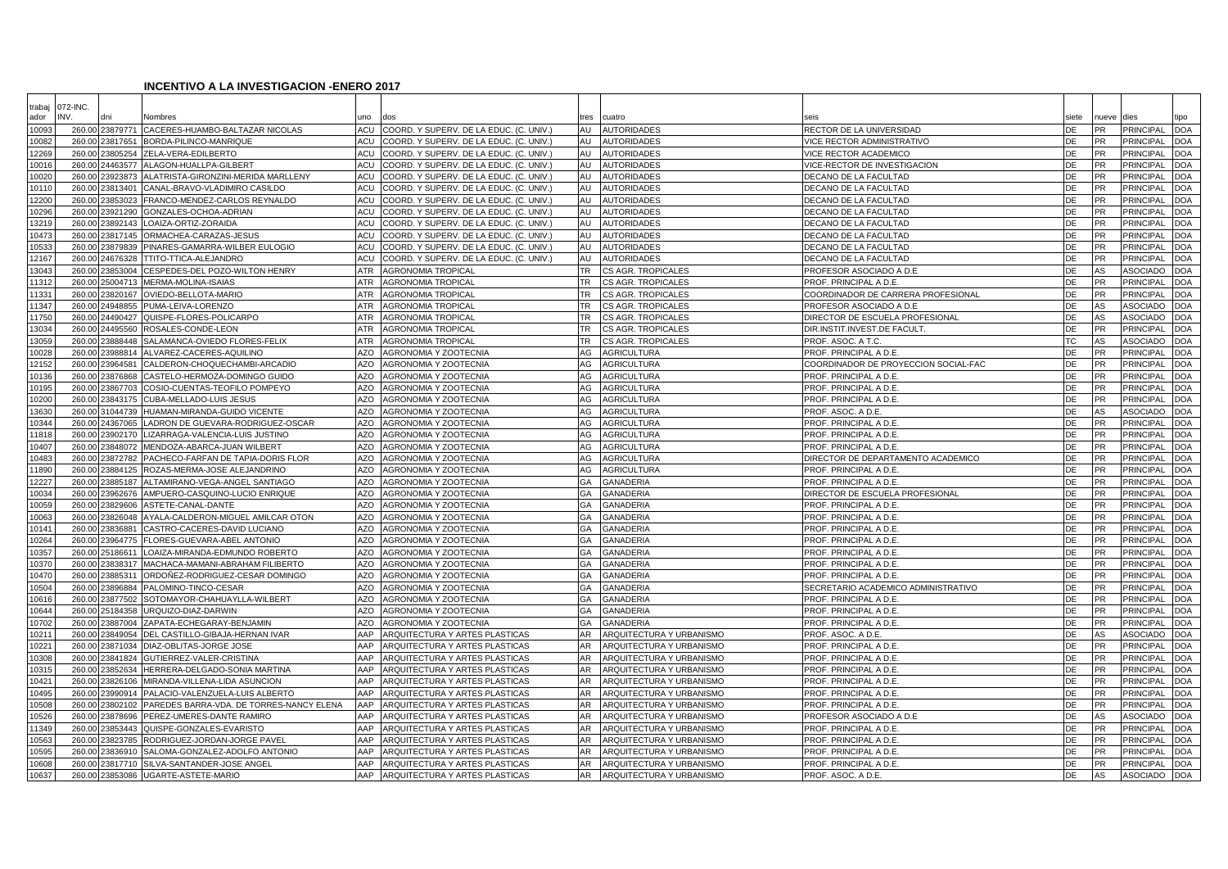## **INCENTIVO A LA INVESTIGACION -ENERO 2017**

| trabaj<br>ador | 072-INC.<br>INV. |                      | Nombres                                                 | <b>uno</b>               | dos                                            | tres      | cuatro                               |                                                               | siete    | nueve                  | dies                          | tipo                     |
|----------------|------------------|----------------------|---------------------------------------------------------|--------------------------|------------------------------------------------|-----------|--------------------------------------|---------------------------------------------------------------|----------|------------------------|-------------------------------|--------------------------|
| 10093          |                  | 260.00 23879771      | CACERES-HUAMBO-BALTAZAR NICOLAS                         | <b>ACU</b>               | COORD. Y SUPERV. DE LA EDUC. (C. UNIV.)        | AU        | <b>AUTORIDADES</b>                   | RECTOR DE LA UNIVERSIDAD                                      | DE       | <b>PR</b>              | <b>PRINCIPAL</b>              | <b>DOA</b>               |
| 10082          | 260.00           | 23817651             | BORDA-PILINCO-MANRIQUE                                  | <b>ACU</b>               | COORD. Y SUPERV. DE LA EDUC. (C. UNIV.)        | AU        | <b>AUTORIDADES</b>                   | VICE RECTOR ADMINISTRATIVO                                    | DE       | <b>PR</b>              | <b>PRINCIPAL</b>              | <b>DOA</b>               |
| 12269          |                  | 260.00 23805254      | ZELA-VERA-EDILBERTO                                     | <b>ACU</b>               | COORD. Y SUPERV. DE LA EDUC. (C. UNIV.)        | AU        | <b>AUTORIDADES</b>                   | VICE RECTOR ACADEMICO                                         | DE       | <b>PR</b>              | PRINCIPAL                     | <b>DOA</b>               |
| 10016          | 260.00           | 24463577             | ALAGON-HUALLPA-GILBERT                                  | <b>ACU</b>               | COORD. Y SUPERV. DE LA EDUC. (C. UNIV.)        | AU        | <b>AUTORIDADES</b>                   | VICE-RECTOR DE INVESTIGACION                                  | DE       | <b>PR</b>              | <b>PRINCIPAL</b>              | DOA                      |
| 10020          | 260.00           | 23923873             | ALATRISTA-GIRONZINI-MERIDA MARLLENY                     | <b>ACU</b>               | COORD. Y SUPERV. DE LA EDUC. (C. UNIV.         | AU        | <b>AUTORIDADES</b>                   | DECANO DE LA FACULTAD                                         | DE       | <b>PR</b>              | <b>PRINCIPAL</b>              | DOA                      |
| 10110          | 260.00           | 23813401             | CANAL-BRAVO-VLADIMIRO CASILDO                           | <b>ACU</b>               | COORD. Y SUPERV. DE LA EDUC. (C. UNIV.)        | AU        | <b>AUTORIDADES</b>                   | DECANO DE LA FACULTAD                                         | DE       | <b>PR</b>              | PRINCIPAL                     | <b>DOA</b>               |
| 12200          | 260.00           | 23853023             | FRANCO-MENDEZ-CARLOS REYNALDO                           | ACU                      | COORD. Y SUPERV. DE LA EDUC. (C. UNIV.)        | AU        | <b>AUTORIDADES</b>                   | DECANO DE LA FACULTAD                                         | DE       | PR                     | PRINCIPAL                     | DOA                      |
| 10296          | 260.00           | 23921290             | GONZALES-OCHOA-ADRIAN                                   | <b>ACU</b>               | COORD. Y SUPERV. DE LA EDUC. (C. UNIV.)        | AU        | <b>AUTORIDADES</b>                   | DECANO DE LA FACULTAD                                         | DE       | <b>PR</b>              | PRINCIPAL                     | DOA                      |
| 13219          | 260.00           | 23892143             | OAIZA-ORTIZ-ZORAIDA                                     | <b>ACU</b>               | COORD. Y SUPERV. DE LA EDUC. (C. UNIV.)        | AU        | <b>AUTORIDADES</b>                   | DECANO DE LA FACULTAD                                         | DE       | PR                     | <b>PRINCIPAL</b>              | <b>DOA</b>               |
| 10473          |                  | 260.00 23817145      | ORMACHEA-CARAZAS-JESUS                                  | <b>ACU</b>               | COORD. Y SUPERV. DE LA EDUC. (C. UNIV.)        | AU        | <b>AUTORIDADES</b>                   | DECANO DE LA FACULTAD                                         | DE       | <b>PR</b>              | PRINCIPAL                     | <b>DOA</b>               |
| 10533          | 260.00           | 23879839             | PINARES-GAMARRA-WILBER EULOGIO                          | <b>ACU</b>               | COORD. Y SUPERV. DE LA EDUC. (C. UNIV.)        | AU        | <b>AUTORIDADES</b>                   | DECANO DE LA FACULTAD                                         | DE       | <b>PR</b>              | <b>PRINCIPAL</b>              | <b>DOA</b>               |
| 12167          | 260.00           | 24676328             | TTITO-TTICA-ALEJANDRO                                   | <b>ACU</b>               | COORD. Y SUPERV. DE LA EDUC. (C. UNIV.)        | AU        | <b>AUTORIDADES</b>                   | DECANO DE LA FACULTAD                                         | DE       | <b>PR</b>              | PRINCIPAL                     | <b>DOA</b>               |
| 13043          | 260.00           | 23853004             | CESPEDES-DEL POZO-WILTON HENRY                          | <b>ATR</b>               | AGRONOMIA TROPICAL                             | <b>TR</b> | CS AGR. TROPICALES                   | PROFESOR ASOCIADO A D.E                                       | DE       | AS                     | ASOCIADO                      | <b>DOA</b>               |
| 11312          | 260.00           | 25004713             | MERMA-MOLINA-ISAIAS                                     | <b>ATR</b>               | <b>AGRONOMIA TROPICAL</b>                      | <b>TR</b> | CS AGR. TROPICALES                   | PROF. PRINCIPAL A D.E.                                        | DE       | PR                     | PRINCIPAL                     | DOA                      |
| 11331          | 260.0            | 23820167             | OVIEDO-BELLOTA-MARIO                                    | <b>ATR</b>               | <b>AGRONOMIA TROPICAL</b>                      | <b>TR</b> | CS AGR. TROPICALES                   | COORDINADOR DE CARRERA PROFESIONAL                            | DE       | PR                     | PRINCIPAL                     | <b>DOA</b>               |
| 11347          | 260.00           | 24948855             | PUMA-LEIVA-LORENZO                                      | <b>ATR</b>               | AGRONOMIA TROPICAL                             | TR.       | CS AGR. TROPICALES                   | PROFESOR ASOCIADO A D.E                                       | DE       | AS                     | <b>ASOCIADO</b>               | <b>DOA</b>               |
| 11750          | 260.00           | 24490427             | QUISPE-FLORES-POLICARPO                                 | <b>ATR</b>               | <b>AGRONOMIA TROPICAL</b>                      | TR.       | CS AGR. TROPICALES                   | DIRECTOR DE ESCUELA PROFESIONAL                               | DE       | AS                     | ASOCIADO                      | <b>DOA</b>               |
| 13034          | 260.00           | 24495560             | ROSALES-CONDE-LEON                                      | <b>ATR</b>               | <b>AGRONOMIA TROPICAL</b>                      | <b>TR</b> | CS AGR. TROPICALES                   | DIR.INSTIT.INVEST.DE FACULT                                   | DE       | <b>PR</b>              | <b>PRINCIPAL</b>              | <b>DOA</b>               |
| 13059          | 260.00           | 23888448             | SALAMANCA-OVIEDO FLORES-FELIX                           | <b>ATR</b>               | AGRONOMIA TROPICAL                             | TR.       | CS AGR. TROPICALES                   | PROF. ASOC. A T.C.                                            | ТC       | AS                     | ASOCIADC                      | <b>DOA</b>               |
| 10028          | 260.00           | 23988814             | ALVAREZ-CACERES-AQUILINO                                | <b>AZO</b>               | AGRONOMIA Y ZOOTECNIA                          | AG        | <b>AGRICULTURA</b>                   | PROF. PRINCIPAL A D.E.                                        | DE       | <b>PR</b>              | <b>PRINCIPAL</b>              | <b>DOA</b>               |
| 12152          | 260.00           | 23964581             | CALDERON-CHOQUECHAMBI-ARCADIO                           | <b>AZO</b>               | AGRONOMIA Y ZOOTECNIA                          | AG        | <b>AGRICULTURA</b>                   | COORDINADOR DE PROYECCION SOCIAL-FAC                          | DE       | PR                     | PRINCIPAL                     | <b>DOA</b>               |
| 10136          | 260.00           | 23876868             | CASTELO-HERMOZA-DOMINGO GUIDO                           | <b>AZO</b>               | AGRONOMIA Y ZOOTECNIA                          | AG        | <b>AGRICULTURA</b>                   | PROF. PRINCIPAL A D.E.                                        | DE       | <b>PR</b>              | <b>PRINCIPAL</b>              | DOA                      |
| 10195          |                  | 260.00 23867703      | COSIO-CUENTAS-TEOFILO POMPEYO                           | <b>AZO</b>               | AGRONOMIA Y ZOOTECNIA                          | AG        | <b>AGRICULTURA</b>                   | PROF. PRINCIPAL A D.E.                                        | DE       | <b>PR</b>              | <b>PRINCIPAL</b>              | DOA                      |
| 10200          | 260.00           | 23843175             | CUBA-MELLADO-LUIS JESUS                                 | <b>AZO</b>               | <b>AGRONOMIA Y ZOOTECNIA</b>                   | AG        | <b>AGRICULTURA</b>                   | PROF. PRINCIPAL A D.E.                                        | DE       | PR                     | <b>PRINCIPAL</b>              | <b>DOA</b>               |
| 13630          |                  | 260.00 31044739      | HUAMAN-MIRANDA-GUIDO VICENTE                            | <b>AZO</b>               | AGRONOMIA Y ZOOTECNIA                          | AG        | <b>AGRICULTURA</b>                   | PROF. ASOC. A D.E.                                            | DE       | AS                     | ASOCIADO                      | DOA                      |
| 10344          | 260.00           | 24367065             | ADRON DE GUEVARA-RODRIGUEZ-OSCAR                        | <b>AZO</b>               | AGRONOMIA Y ZOOTECNIA                          | AG        | <b>AGRICULTURA</b>                   | PROF. PRINCIPAL A D.E.                                        | DE       | <b>PR</b>              | <b>PRINCIPAL</b>              | DOA                      |
| 11818          | 260.00           | 23902170             | IZARRAGA-VALENCIA-LUIS JUSTINO                          | <b>AZO</b>               | AGRONOMIA Y ZOOTECNIA                          | AG        | <b>AGRICULTURA</b>                   | PROF. PRINCIPAL A D.E.                                        | DE       | PR                     | PRINCIPAL                     | <b>DOA</b>               |
| 10407          | 260.00           | 23848072             | MENDOZA-ABARCA-JUAN WILBERT                             | <b>AZO</b>               | <b>AGRONOMIA Y ZOOTECNIA</b>                   | AG        | <b>AGRICULTURA</b>                   | PROF. PRINCIPAL A D.E.                                        | DE       | <b>PR</b>              | PRINCIPAL                     | <b>DOA</b>               |
| 10483          | 260.00           | 23872782             | PACHECO-FARFAN DE TAPIA-DORIS FLOR                      | <b>AZO</b>               | <b>AGRONOMIA Y ZOOTECNIA</b>                   | AG        | <b>AGRICULTURA</b>                   | DIRECTOR DE DEPARTAMENTO ACADEMICO                            | DE       | <b>PR</b>              | <b>PRINCIPAL</b>              | <b>DOA</b>               |
| 11890          | 260.00           | 23884125             | ROZAS-MERMA-JOSE ALEJANDRINO                            | <b>AZO</b>               | AGRONOMIA Y ZOOTECNIA                          | AG        | <b>AGRICULTURA</b>                   | PROF. PRINCIPAL A D.E.                                        | DE       | PR                     | PRINCIPAL                     | DOA                      |
| 12227          | 260.00           | 23885187             | ALTAMIRANO-VEGA-ANGEL SANTIAGO                          | <b>AZO</b>               | <b>AGRONOMIA Y ZOOTECNIA</b>                   | GA        | <b>GANADERIA</b>                     | PROF. PRINCIPAL A D.E.                                        | DE       | PR                     | <b>PRINCIPAL</b>              | DOA                      |
| 10034          |                  | 260.00 23962676      | AMPUERO-CASQUINO-LUCIO ENRIQUE                          | AZO                      | AGRONOMIA Y ZOOTECNIA                          | GA        | <b>GANADERIA</b>                     | DIRECTOR DE ESCUELA PROFESIONAL                               | DE       | <b>PR</b>              | PRINCIPAL                     | <b>DOA</b>               |
| 10059          | 260.00           | 23829606             | ASTETE-CANAL-DANTE                                      | <b>AZO</b>               | AGRONOMIA Y ZOOTECNIA                          | GA        | <b>GANADERIA</b>                     | PROF. PRINCIPAL A D.E.                                        | DE       | <b>PR</b>              | PRINCIPAL                     | <b>DOA</b>               |
| 10063          |                  | 260.00 23826048      | AYALA-CALDERON-MIGUEL AMILCAR OTON                      | <b>AZO</b>               | AGRONOMIA Y ZOOTECNIA                          | GA        | <b>GANADERIA</b>                     | PROF. PRINCIPAL A D.E.                                        | DE       | PR                     | PRINCIPAL                     | DOA                      |
| 10141          | 260.00           | 23836881             | CASTRO-CACERES-DAVID LUCIANO                            | <b>AZO</b>               | <b>AGRONOMIA Y ZOOTECNIA</b>                   | GA        | <b>GANADERIA</b>                     | PROF. PRINCIPAL A D.E.                                        | DE       | PR                     | PRINCIPAL                     | <b>DOA</b>               |
| 10264          | 260.00           | 23964775             | FLORES-GUEVARA-ABEL ANTONIO                             | <b>AZO</b>               | AGRONOMIA Y ZOOTECNIA                          | GA        | <b>GANADERIA</b>                     | PROF. PRINCIPAL A D.E.                                        | DE<br>DE | <b>PR</b>              | PRINCIPAL<br><b>PRINCIPAL</b> | <b>DOA</b>               |
| 10357          | 260.00           | 2518661              | OAIZA-MIRANDA-EDMUNDO ROBERTO                           | <b>AZO</b>               | AGRONOMIA Y ZOOTECNIA                          | GA        | <b>GANADERIA</b>                     | PROF. PRINCIPAL A D.E.                                        |          | PR<br><b>PR</b>        |                               | <b>DOA</b><br><b>DOA</b> |
| 10370<br>10470 | 260.00           | 23838317             | MACHACA-MAMANI-ABRAHAM FILIBERTO                        | <b>AZO</b>               | AGRONOMIA Y ZOOTECNIA                          | GA        | <b>GANADERIA</b>                     | PROF. PRINCIPAL A D.E.                                        | DE       |                        | <b>PRINCIPAL</b>              |                          |
| 10504          | 260.00<br>260.00 | 23885311<br>23896884 | ORDOÑEZ-RODRIGUEZ-CESAR DOMINGO<br>PALOMINO-TINCO-CESAR | <b>AZO</b><br><b>AZO</b> | AGRONOMIA Y ZOOTECNIA<br>AGRONOMIA Y ZOOTECNIA | GA<br>GA  | <b>GANADERIA</b><br><b>GANADERIA</b> | PROF. PRINCIPAL A D.E.<br>SECRETARIO ACADEMICO ADMINISTRATIVO | DE<br>DE | <b>PR</b><br><b>PR</b> | PRINCIPAL<br><b>PRINCIPAL</b> | <b>DOA</b><br>DOA        |
| 10616          |                  | 260.00 23877502      | SOTOMAYOR-CHAHUAYLLA-WILBERT                            | <b>AZO</b>               | AGRONOMIA Y ZOOTECNIA                          | GA        | <b>GANADERIA</b>                     | PROF. PRINCIPAL A D.E.                                        | DE       | <b>PR</b>              | PRINCIPAL                     | <b>DOA</b>               |
| 10644          | 260.00           | 25184358             | URQUIZO-DIAZ-DARWIN                                     | <b>AZO</b>               | AGRONOMIA Y ZOOTECNIA                          | GA        | <b>GANADERIA</b>                     | PROF. PRINCIPAL A D.E.                                        | DE       | <b>PR</b>              | <b>PRINCIPAL</b>              | <b>DOA</b>               |
| 10702          |                  | 260.00 23887004      | ZAPATA-ECHEGARAY-BENJAMIN                               | <b>AZO</b>               | AGRONOMIA Y ZOOTECNIA                          | GA        | <b>GANADERIA</b>                     | PROF. PRINCIPAL A D.E.                                        | DE       | <b>PR</b>              | PRINCIPAL                     | DOA                      |
| 1021           | 260.00           | 23849054             | DEL CASTILLO-GIBAJA-HERNAN IVAR                         | AAP                      | ARQUITECTURA Y ARTES PLASTICAS                 | AR        | ARQUITECTURA Y URBANISMO             | PROF. ASOC. A D.E.                                            | DE       | AS                     | ASOCIADC                      | <b>DOA</b>               |
| 10221          | 260.00           | 23871034             | DIAZ-OBLITAS-JORGE JOSE                                 | AAP                      | ARQUITECTURA Y ARTES PLASTICAS                 | AR        | ARQUITECTURA Y URBANISMO             | PROF. PRINCIPAL A D.E.                                        | DE       | <b>PR</b>              | PRINCIPAL                     | DOA                      |
| 10308          | 260.00           | 23841824             | GUTIERREZ-VALER-CRISTINA                                | AAP                      | ARQUITECTURA Y ARTES PLASTICAS                 | AR        | ARQUITECTURA Y URBANISMO             | PROF. PRINCIPAL A D.E.                                        | DE       | <b>PR</b>              | PRINCIPAL                     | DOA                      |
| 10315          | 260.00           | 23852634             | HERRERA-DELGADO-SONIA MARTINA                           | AAP                      | ARQUITECTURA Y ARTES PLASTICAS                 | AR        | ARQUITECTURA Y URBANISMO             | PROF. PRINCIPAL A D.E.                                        | DE       | PR                     | PRINCIPAL                     | <b>DOA</b>               |
| 10421          | 260.00           | 23826106             | MIRANDA-VILLENA-LIDA ASUNCION                           | AAP                      | ARQUITECTURA Y ARTES PLASTICAS                 | AR        | ARQUITECTURA Y URBANISMO             | PROF. PRINCIPAL A D.E.                                        | DE       | <b>PR</b>              | PRINCIPAL                     | <b>DOA</b>               |
| 10495          | 260.00           | 23990914             | PALACIO-VALENZUELA-LUIS ALBERTO                         | AAP                      | ARQUITECTURA Y ARTES PLASTICAS                 | AR        | ARQUITECTURA Y URBANISMO             | PROF. PRINCIPAL A D.E.                                        | DE       | <b>PR</b>              | <b>PRINCIPAL</b>              | <b>DOA</b>               |
| 10508          | 260.00           | 23802102             | PAREDES BARRA-VDA. DE TORRES-NANCY ELENA                | AAP                      | ARQUITECTURA Y ARTES PLASTICAS                 | AR        | ARQUITECTURA Y URBANISMO             | PROF. PRINCIPAL A D.E.                                        | DE       | <b>PR</b>              | PRINCIPAL                     | <b>DOA</b>               |
| 10526          | 260.00           | 23878696             | PEREZ-UMERES-DANTE RAMIRO                               | AAP                      | ARQUITECTURA Y ARTES PLASTICAS                 | AR.       | ARQUITECTURA Y URBANISMO             | PROFESOR ASOCIADO A D.E                                       | DE       | AS                     | ASOCIADC                      | <b>DOA</b>               |
| 11349          | 260.00           | 23853443             | QUISPE-GONZALES-EVARISTO                                | AAP                      | ARQUITECTURA Y ARTES PLASTICAS                 | AR        | ARQUITECTURA Y URBANISMO             | PROF. PRINCIPAL A D.E.                                        | DE       | PR                     | PRINCIPAL                     | <b>DOA</b>               |
| 10563          | 260.00           | 23823785             | RODRIGUEZ-JORDAN-JORGE PAVEL                            | AAP                      | ARQUITECTURA Y ARTES PLASTICAS                 | AR.       | ARQUITECTURA Y URBANISMO             | PROF. PRINCIPAL A D.E.                                        | DE       | <b>PR</b>              | PRINCIPAL                     | <b>DOA</b>               |
| 10595          | 260.00           | 23836910             | SALOMA-GONZALEZ-ADOLFO ANTONIO                          | AAP                      | ARQUITECTURA Y ARTES PLASTICAS                 | AR        | ARQUITECTURA Y URBANISMO             | PROF. PRINCIPAL A D.E.                                        | DE       | PR                     | PRINCIPAL                     | <b>DOA</b>               |
| 10608          | 260.0            | 23817710             | SILVA-SANTANDER-JOSE ANGEL                              | AAP                      | ARQUITECTURA Y ARTES PLASTICAS                 |           | ARQUITECTURA Y URBANISMO             | PROF. PRINCIPAL A D.E.                                        | DE       | PR                     | PRINCIPAL                     | <b>DOA</b>               |
| 10637          | 260.00           | 23853086             | UGARTE-ASTETE-MARIO                                     | AAP                      | ARQUITECTURA Y ARTES PLASTICAS                 | AR        | ARQUITECTURA Y URBANISMO             | PROF. ASOC. A D.E.                                            | DE       | AS                     | ASOCIADO                      | DOA                      |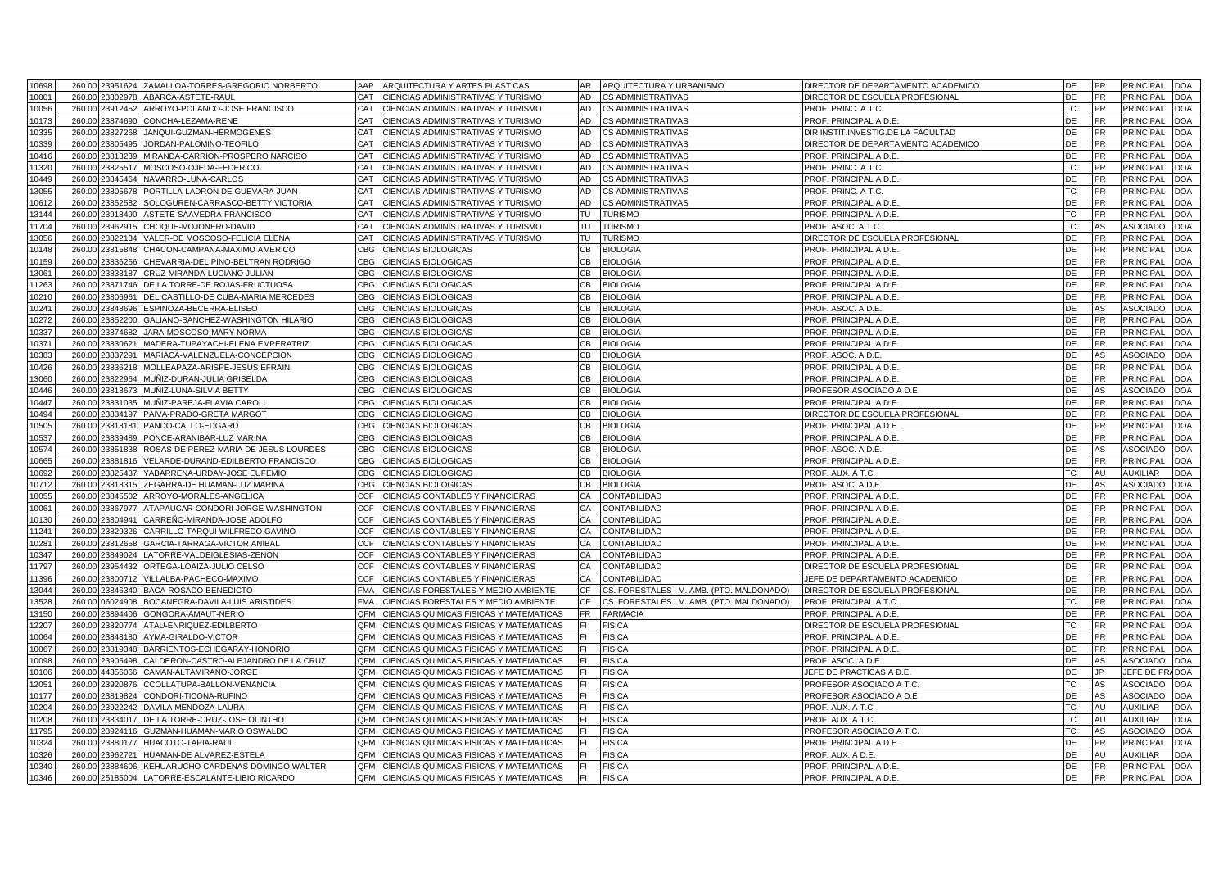| 10698          |        |                 | 260.00 23951624 ZAMALLOA-TORRES-GREGORIO NORBERTO | ARQUITECTURA Y ARTES PLASTICAS<br>AAP              | ARQUITECTURA Y URBANISMO<br>AR.                 | DIRECTOR DE DEPARTAMENTO ACADEMICC                        | DE        | <b>PR</b> | <b>PRINCIPAL</b>       | <b>DOA</b> |
|----------------|--------|-----------------|---------------------------------------------------|----------------------------------------------------|-------------------------------------------------|-----------------------------------------------------------|-----------|-----------|------------------------|------------|
| 10001          | 260.00 | 23802978        | ABARCA-ASTETE-RAUL                                | CIENCIAS ADMINISTRATIVAS Y TURISMO<br>CAT          | CS ADMINISTRATIVAS<br>AD                        | DIRECTOR DE ESCUELA PROFESIONAL                           | DE        | PR        | <b>PRINCIPAL</b>       | <b>DOA</b> |
| 10056          |        | 260.00 23912452 | ARROYO-POLANCO-JOSE FRANCISCO                     | CAT<br>CIENCIAS ADMINISTRATIVAS Y TURISMO          | AD<br>CS ADMINISTRATIVAS                        | PROF. PRINC. A T.C.                                       | TC        | <b>PR</b> | PRINCIPAL              | <b>OC</b>  |
| 10173          | 260.00 | 23874690        | CONCHA-LEZAMA-RENE                                | CAT<br>CIENCIAS ADMINISTRATIVAS Y TURISMO          | AD<br><b>CS ADMINISTRATIVAS</b>                 | PROF. PRINCIPAL A D.E.                                    | DE        | <b>PR</b> | PRINCIPAL              | <b>DOA</b> |
| 10335          |        | 260.00 23827268 | JANQUI-GUZMAN-HERMOGENES                          | CAT<br>CIENCIAS ADMINISTRATIVAS Y TURISMO          | AD<br>CS ADMINISTRATIVAS                        | DIR.INSTIT.INVESTIG.DE LA FACULTAD                        | DE        | <b>PR</b> | PRINCIPAL              | DOA        |
| 10339          | 260.00 | 23805495        | JORDAN-PALOMINO-TEOFILO                           | CAT<br>CIENCIAS ADMINISTRATIVAS Y TURISMO          | AD<br>CS ADMINISTRATIVAS                        | DIRECTOR DE DEPARTAMENTO ACADEMICO                        | DE        | PR        | <b>PRINCIPAL</b>       | DOA        |
| 10416          |        | 260.00 23813239 | MIRANDA-CARRION-PROSPERO NARCISO                  | CIENCIAS ADMINISTRATIVAS Y TURISMO<br>CAT          | AD<br><b>CS ADMINISTRATIVAS</b>                 | PROF. PRINCIPAL A D.E.                                    | DE        | <b>PR</b> | PRINCIPAL              | <b>DOA</b> |
| 11320          | 260.00 | 23825517        | MOSCOSO-OJEDA-FEDERICO                            | CAT<br>CIENCIAS ADMINISTRATIVAS Y TURISMO          | AD<br><b>CS ADMINISTRATIVAS</b>                 | PROF. PRINC. A T.C                                        | TC        | <b>PR</b> | <b>PRINCIPAL</b>       | DOA        |
| 10449          |        | 260.00 23845464 | NAVARRO-LUNA-CARLOS                               | CAT<br>CIENCIAS ADMINISTRATIVAS Y TURISMO          | AD<br><b>CS ADMINISTRATIVAS</b>                 | PROF. PRINCIPAL A D.E.                                    | DE        | <b>PR</b> | <b>PRINCIPAL</b>       | <b>DOA</b> |
| 13055          | 260.00 | 23805678        | PORTILLA-LADRON DE GUEVARA-JUAN                   | CAT<br>CIENCIAS ADMINISTRATIVAS Y TURISMO          | AD<br><b>CS ADMINISTRATIVAS</b>                 | PROF. PRINC. A T.C                                        | TC        | <b>PR</b> | PRINCIPAL              | <b>DOA</b> |
| 10612          |        | 260.00 23852582 | SOLOGUREN-CARRASCO-BETTY VICTORIA                 | CIENCIAS ADMINISTRATIVAS Y TURISMO<br>CAT          | AD<br><b>CS ADMINISTRATIVAS</b>                 | PROF. PRINCIPAL A D.E.                                    | DE        | <b>PR</b> | <b>PRINCIPAL</b>       | <b>DOA</b> |
| 13144          |        | 260.00 23918490 | ASTETE-SAAVEDRA-FRANCISCO                         | CAT<br>CIENCIAS ADMINISTRATIVAS Y TURISMO          | TU<br><b>TURISMO</b>                            | PROF. PRINCIPAL A D.E.                                    | <b>TC</b> | <b>PR</b> | <b>PRINCIPAL</b>       | <b>DOA</b> |
| 11704          |        | 260.00 23962915 | CHOQUE-MOJONERO-DAVID                             | CAT<br>CIENCIAS ADMINISTRATIVAS Y TURISMO          | TU<br><b>TURISMO</b>                            | PROF. ASOC. A T.C.                                        | TC        | AS        | ASOCIADO               | <b>DOA</b> |
| 13056          | 260.00 | 23822134        |                                                   | CAT<br>CIENCIAS ADMINISTRATIVAS Y TURISMO          | TU<br><b>TURISMO</b>                            |                                                           | DE        | <b>PR</b> | <b>PRINCIPAL</b>       | <b>DOA</b> |
|                |        |                 | VALER-DE MOSCOSO-FELICIA ELENA                    |                                                    |                                                 | DIRECTOR DE ESCUELA PROFESIONAL<br>PROF. PRINCIPAL A D.E. |           |           |                        |            |
| 10148          |        | 260.00 23815848 | CHACON-CAMPANA-MAXIMO AMERICO                     | <b>CBG</b><br>CIENCIAS BIOLOGICAS                  | CВ<br><b>BIOLOGIA</b>                           |                                                           | DE        | PR        | <b>PRINCIPAL</b>       | <b>DOA</b> |
| 10159          | 260.00 | 23836256        | CHEVARRIA-DEL PINO-BELTRAN RODRIGO                | <b>CBG</b><br>CIENCIAS BIOLOGICAS                  | CB<br><b>BIOLOGIA</b>                           | PROF. PRINCIPAL A D.E.                                    | DE        | <b>PR</b> | <b>PRINCIPAL</b>       | <b>DOA</b> |
| 13061          |        | 260.00 23833187 | CRUZ-MIRANDA-LUCIANO JULIAN                       | CBG<br>CIENCIAS BIOLOGICAS                         | CВ<br><b>BIOLOGIA</b>                           | PROF. PRINCIPAL A D.E.                                    | DE        | <b>PR</b> | PRINCIPAL              | <b>DOA</b> |
| 11263          | 260.00 | 23871746        | DE LA TORRE-DE ROJAS-FRUCTUOSA                    | <b>CBG</b><br>CIENCIAS BIOLOGICAS                  | C <sub>B</sub><br><b>BIOLOGIA</b>               | PROF. PRINCIPAL A D.E.                                    | DE        | <b>PR</b> | <b>PRINCIPAL</b>       | <b>DOA</b> |
| 10210          | 260.00 | 23806961        | DEL CASTILLO-DE CUBA-MARIA MERCEDES               | CIENCIAS BIOLOGICAS<br>CBG                         | <b>BIOLOGIA</b><br>CВ                           | PROF. PRINCIPAL A D.E.                                    | DE        | <b>PR</b> | PRINCIPAL              | <b>DOA</b> |
| 10241          | 260.00 | 23848696        | ESPINOZA-BECERRA-ELISEO                           | <b>CBG</b><br>CIENCIAS BIOLOGICAS                  | <b>CB</b><br><b>BIOLOGIA</b>                    | PROF. ASOC. A D.E.                                        | DE        | AS        | ASOCIADO               | <b>DOA</b> |
| 10272          |        | 260.00 23852200 | GALIANO-SANCHEZ-WASHINGTON HILARIO                | <b>CBG</b><br>CIENCIAS BIOLOGICAS                  | CB<br><b>BIOLOGIA</b>                           | PROF. PRINCIPAL A D.E.                                    | <b>DE</b> | <b>PR</b> | PRINCIPAL              | <b>DOA</b> |
| 10337          | 260.00 | 23874682        | JARA-MOSCOSO-MARY NORMA                           | CBG<br>CIENCIAS BIOLOGICAS                         | C <sub>B</sub><br><b>BIOLOGIA</b>               | PROF. PRINCIPAL A D.E.                                    | DE        | <b>PR</b> | <b>PRINCIPAL</b>       | DOA        |
| 10371          | 260.00 | 23830621        | MADERA-TUPAYACHI-ELENA EMPERATRIZ                 | <b>CBG</b><br>CIENCIAS BIOLOGICAS                  | <b>BIOLOGIA</b><br>CВ                           | PROF. PRINCIPAL A D.E.                                    | DE        | <b>PR</b> | PRINCIPAL              | <b>DOA</b> |
| 10383          | 260.00 | 23837291        | MARIACA-VALENZUELA-CONCEPCION                     | <b>CBG</b><br>CIENCIAS BIOLOGICAS                  | CВ<br><b>BIOLOGIA</b>                           | PROF. ASOC. A D.E                                         | DE        | AS        | <b>ASOCIADC</b>        | DOA        |
| 10426          | 260.00 | 23836218        | MOLLEAPAZA-ARISPE-JESUS EFRAIN                    | <b>CBG</b><br>CIENCIAS BIOLOGICAS                  | CВ<br><b>BIOLOGIA</b>                           | PROF. PRINCIPAL A D.E.                                    | DE        | <b>PR</b> | PRINCIPAL              | <b>DOA</b> |
| 13060          | 260.00 | 23822964        | MUÑIZ-DURAN-JULIA GRISELDA                        | CBG<br>CIENCIAS BIOLOGICAS                         | CВ<br><b>BIOLOGIA</b>                           | PROF. PRINCIPAL A D.E.                                    | DE        | <b>PR</b> | <b>PRINCIPAL</b>       | <b>DOA</b> |
| 10446          | 260.00 | 23818673        | MUÑIZ-LUNA-SILVIA BETTY                           | <b>CBG</b><br>CIENCIAS BIOLOGICAS                  | CВ<br><b>BIOLOGIA</b>                           | PROFESOR ASOCIADO A D.E                                   | DE        | AS        | ASOCIADO               | <b>DOA</b> |
| 10447          | 260.00 | 23831035        | MUÑIZ-PAREJA-FLAVIA CAROL                         | <b>CBG</b><br>CIENCIAS BIOLOGICAS                  | CВ<br><b>BIOLOGIA</b>                           | PROF. PRINCIPAL A D.E.                                    | DE        | PR        | PRINCIPAL              | <b>DOA</b> |
| 10494          | 260.00 | 23834197        | PAIVA-PRADO-GRETA MARGOT                          | <b>CBG</b><br><b>CIENCIAS BIOLOGICAS</b>           | CВ<br><b>BIOLOGIA</b>                           | DIRECTOR DE ESCUELA PROFESIONAL                           | DE        | <b>PR</b> | <b>PRINCIPAL</b>       | <b>DOA</b> |
| 10505          |        | 260.00 23818181 | PANDO-CALLO-EDGARD                                | <b>CBG</b><br>CIENCIAS BIOLOGICAS                  | CВ<br><b>BIOLOGIA</b>                           | PROF. PRINCIPAL A D.E.                                    | DE        | PR        | PRINCIPAL              | <b>DOA</b> |
| 0537           | 260.00 | 3839489         | PONCE-ARANIBAR-LUZ MARINA                         | <b>CBG</b><br>CIENCIAS BIOLOGICAS                  | CВ<br><b>BIOLOGIA</b>                           | PROF. PRINCIPAL A D.E.                                    | DE        | PR        | <b>PRINCIPAL</b>       | DOA        |
| 10574          |        | 260.00 23851838 | ROSAS-DE PEREZ-MARIA DE JESUS LOURDES             | CIENCIAS BIOLOGICAS<br><b>CBG</b>                  | CВ<br><b>BIOLOGIA</b>                           | PROF. ASOC. A D.E                                         | DE        | AS        | <b>ASOCIADO</b>        | DOA        |
| 10665          | 260.00 | 23881816        | VELARDE-DURAND-EDILBERTO FRANCISCO                | <b>CBG</b><br>CIENCIAS BIOLOGICAS                  | CВ<br><b>BIOLOGIA</b>                           | PROF. PRINCIPAL A D.E.                                    | DE        | <b>PR</b> | <b>PRINCIPAL</b>       | <b>DOA</b> |
| 10692          |        | 260.00 23825437 | YABARRENA-URDAY-JOSE EUFEMIO                      | <b>CBG</b><br><b>CIENCIAS BIOLOGICAS</b>           | CB<br><b>BIOLOGIA</b>                           | PROF. AUX. A T.C                                          | TC        | AU        | <b>AUXILIAR</b>        | DOA        |
| 10712          | 260.00 | 3818315         | ZEGARRA-DE HUAMAN-LUZ MARINA                      | <b>CBG</b><br>CIENCIAS BIOLOGICAS                  | CВ<br><b>BIOLOGIA</b>                           | PROF. ASOC. A D.E.                                        | DE        | AS        | ASOCIADC               | <b>DOA</b> |
| 10055          |        | 260.00 23845502 | ARROYO-MORALES-ANGELICA                           | <b>CCF</b><br>CIENCIAS CONTABLES Y FINANCIERAS     | CONTABILIDAD<br>СA                              | PROF. PRINCIPAL A D.E.                                    | DE        | <b>PR</b> | <b>PRINCIPAL</b>       | DOA        |
| 10061          | 260.00 | 23867977        | ATAPAUCAR-CONDORI-JORGE WASHINGTON                | <b>CCF</b><br>CIENCIAS CONTABLES Y FINANCIERAS     | CA<br>CONTABILIDAD                              | PROF. PRINCIPAL A D.E.                                    | DE        | <b>PR</b> | PRINCIPAL              | <b>DOA</b> |
|                |        | 260.00 23804941 |                                                   | <b>CCF</b>                                         | CA                                              |                                                           | DE        | <b>PR</b> |                        |            |
| 10130<br>11241 | 260.00 | 23829326        | CARREÑO-MIRANDA-JOSE ADOLFO                       | CIENCIAS CONTABLES Y FINANCIERAS<br><b>CCF</b>     | CONTABILIDAD<br>CONTABILIDAD<br>СA              | PROF. PRINCIPAL A D.E.<br>PROF. PRINCIPAL A D.E.          | DE        | <b>PR</b> | PRINCIPAL<br>PRINCIPAL | DOA<br>DOA |
|                |        |                 | CARRILLO-TARQUI-WILFREDO GAVINO                   | CIENCIAS CONTABLES Y FINANCIERAS                   |                                                 |                                                           |           |           |                        |            |
| 10281          | 260.00 | 23812658        | GARCIA-TARRAGA-VICTOR ANIBAL                      | <b>CCF</b><br>CIENCIAS CONTABLES Y FINANCIERAS     | СA<br>CONTABILIDAD                              | PROF. PRINCIPAL A D.E.                                    | DE        | PR        | <b>PRINCIPAL</b>       | DOA        |
| 10347          | 260.00 | 23849024        | LATORRE-VALDEIGLESIAS-ZENON                       | <b>CCF</b><br>CIENCIAS CONTABLES Y FINANCIERAS     | CA<br>CONTABILIDAD                              | PROF. PRINCIPAL A D.E.                                    | DE        | <b>PR</b> | PRINCIPAL              | <b>DOA</b> |
| 11797          |        | 260.00 23954432 | ORTEGA-LOAIZA-JULIO CELSO                         | <b>CCF</b><br>CIENCIAS CONTABLES Y FINANCIERAS     | CA<br>CONTABILIDAD                              | DIRECTOR DE ESCUELA PROFESIONAL                           | DE        | <b>PR</b> | <b>PRINCIPAL</b>       | DOA        |
| 11396          | 260.00 | 23800712        | VILLALBA-PACHECO-MAXIMO                           | CCF<br>CIENCIAS CONTABLES Y FINANCIERAS            | CA<br>CONTABILIDAD                              | JEFE DE DEPARTAMENTO ACADEMICO                            | DE        | <b>PR</b> | PRINCIPAL              | <b>DOA</b> |
| 13044          |        | 260.00 23846340 | BACA-ROSADO-BENEDICTO                             | <b>FMA</b><br>CIENCIAS FORESTALES Y MEDIO AMBIENTE | CF<br>CS. FORESTALES I M. AMB. (PTO. MALDONADO) | DIRECTOR DE ESCUELA PROFESIONAL                           | DE        | <b>PR</b> | <b>PRINCIPAL</b>       | DOA        |
| 13528          | 260.00 | 06024908        | BOCANEGRA-DAVILA-LUIS ARISTIDES                   | <b>FMA</b><br>CIENCIAS FORESTALES Y MEDIO AMBIENTE | CF<br>CS. FORESTALES I M. AMB. (PTO. MALDONADO) | PROF. PRINCIPAL A T.C                                     | <b>TC</b> | <b>PR</b> | PRINCIPAL              | DOA        |
| 13150          |        | 260.00 23894406 | GONGORA-AMAUT-NERIO                               | QFM<br>CIENCIAS QUIMICAS FISICAS Y MATEMATICAS     | <b>FR</b><br><b>FARMACIA</b>                    | PROF. PRINCIPAL A D.E.                                    | DE        | <b>PR</b> | <b>PRINCIPAL</b>       | DOA        |
| 12207          | 260.00 | 23820774        | ATAU-ENRIQUEZ-EDILBERTO                           | OFM<br>CIENCIAS QUIMICAS FISICAS Y MATEMATICAS     | <b>FISICA</b><br>FL.                            | DIRECTOR DE ESCUELA PROFESIONAL                           | TC        | PR        | PRINCIPAL              | DOA        |
| 10064          | 260.00 | 23848180        | AYMA-GIRALDO-VICTOR                               | QFM<br>CIENCIAS QUIMICAS FISICAS Y MATEMATICAS     | <b>FISICA</b>                                   | PROF. PRINCIPAL A D.E.                                    | DE        | <b>PR</b> | <b>PRINCIPAL</b>       | DOA        |
| 10067          | 260.00 | 23819348        | BARRIENTOS-ECHEGARAY-HONORIO                      | QFM<br>CIENCIAS QUIMICAS FISICAS Y MATEMATICAS     | <b>FISICA</b>                                   | PROF. PRINCIPAL A D.E.                                    | DE        | <b>PR</b> | <b>PRINCIPAL</b>       | DOA        |
| 10098          |        | 260.00 23905498 | CALDERON-CASTRO-ALEJANDRO DE LA CRUZ              | QFM<br>CIENCIAS QUIMICAS FISICAS Y MATEMATICAS     | <b>FISICA</b>                                   | PROF. ASOC. A D.E.                                        | DE        | AS        | <b>ASOCIADO</b>        | <b>DOA</b> |
| 10106          |        | 260.00 44356066 | CAMAN-ALTAMIRANO-JORGE                            | CIENCIAS QUIMICAS FISICAS Y MATEMATICAS<br>QFM     | <b>FISICA</b>                                   | JEFE DE PRACTICAS A D.E.                                  | DE        | JP.       | JEFE DE PRADOA         |            |
| 12051          |        | 260.00 23920876 | CCOLLATUPA-BALLON-VENANCIA                        | CIENCIAS QUIMICAS FISICAS Y MATEMATICAS<br>QFM     | <b>FISICA</b>                                   | PROFESOR ASOCIADO A T.C.                                  | TC        | AS        | ASOCIADO               | <b>DOA</b> |
| 10177          |        | 260.00 23819824 | CONDORI-TICONA-RUFINO                             | QFM<br>CIENCIAS QUIMICAS FISICAS Y MATEMATICAS     | <b>FISICA</b>                                   | PROFESOR ASOCIADO A D.E                                   | DE        | AS        | ASOCIADO               | <b>DOA</b> |
| 10204          |        | 260.00 23922242 | DAVILA-MENDOZA-LAURA                              | QFM<br>CIENCIAS QUIMICAS FISICAS Y MATEMATICAS     | <b>FISICA</b><br>F١                             | PROF. AUX. A T.C.                                         | <b>TC</b> | AU        | <b>AUXILIAR</b>        | <b>DOA</b> |
| 10208          | 260.00 | 23834017        | DE LA TORRE-CRUZ-JOSE OLINTHO                     | CIENCIAS QUIMICAS FISICAS Y MATEMATICAS<br>OFM     | <b>FISICA</b>                                   | PROF. AUX. A T.C.                                         | TC        | AU        | <b>AUXILIAR</b>        | <b>DOA</b> |
| 11795          |        | 260.00 23924116 | GUZMAN-HUAMAN-MARIO OSWALDO                       | CIENCIAS QUIMICAS FISICAS Y MATEMATICAS<br>OFM     | <b>FISICA</b>                                   | PROFESOR ASOCIADO A T.C.                                  | ТC        | AS        | ASOCIADC               | <b>DOA</b> |
| 10324          | 260.00 | 23880177        | HUACOTO-TAPIA-RAUI                                | CIENCIAS QUIMICAS FISICAS Y MATEMATICAS<br>OFM     | <b>FISICA</b>                                   | PROF. PRINCIPAL A D.E.                                    | DE        | PR        | <b>PRINCIPAL</b>       | DOA        |
| 10326          |        | 260.00 23962721 | HUAMAN-DE ALVAREZ-ESTELA                          | QFM<br>CIENCIAS QUIMICAS FISICAS Y MATEMATICAS     | <b>FISICA</b>                                   | PROF. AUX. A D.E.                                         | DE        | AU        | <b>AUXILIAR</b>        | <b>DOA</b> |
| 10340          | 260.00 | 23884606        | KEHUARUCHO-CARDENAS-DOMINGO WALTER                | OFM<br>CIENCIAS QUIMICAS FISICAS Y MATEMATICAS     | <b>FISICA</b>                                   | PROF. PRINCIPAL A D.E.                                    | DE        | <b>PR</b> | <b>PRINCIPAL</b>       | <b>DOA</b> |
|                |        |                 |                                                   |                                                    |                                                 |                                                           |           |           |                        |            |
| 10346          |        | 260.00 25185004 | LATORRE-ESCALANTE-LIBIO RICARDO                   | QFM<br>CIENCIAS QUIMICAS FISICAS Y MATEMATICAS     | <b>FISICA</b>                                   | PROF. PRINCIPAL A D.E.                                    | DE        | PR        | PRINCIPAL              | <b>DOA</b> |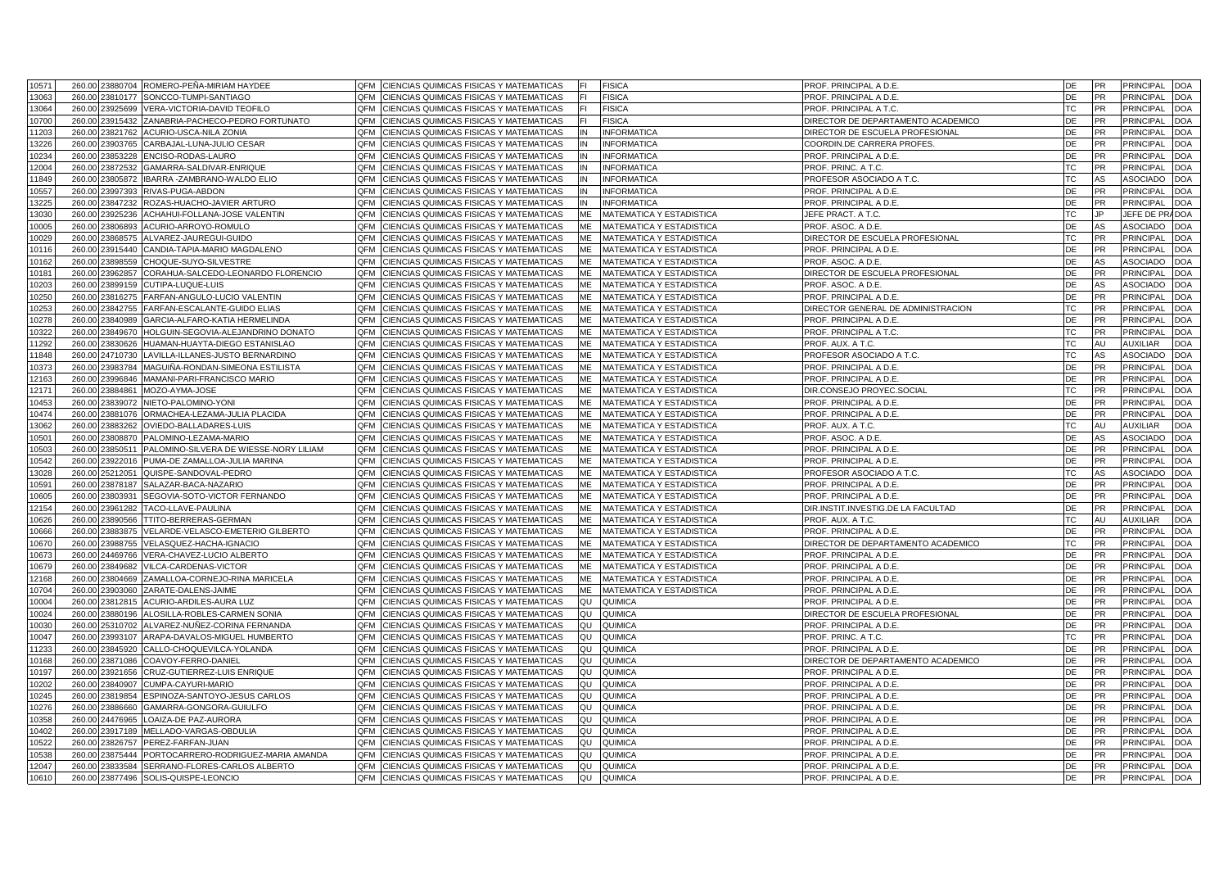| 10571          |        |                             | 260.00 23880704 ROMERO-PEÑA-MIRIAM HAYDEE                            | QFM        | CIENCIAS QUIMICAS FISICAS Y MATEMATICAS                                                  | <b>FISICA</b>                                        | PROF. PRINCIPAL A D.E.                           | DE        | <b>PR</b>              | <b>PRINCIPAL</b> | <b>DOA</b>               |
|----------------|--------|-----------------------------|----------------------------------------------------------------------|------------|------------------------------------------------------------------------------------------|------------------------------------------------------|--------------------------------------------------|-----------|------------------------|------------------|--------------------------|
| 13063          | 260.00 | 23810177                    | SONCCO-TUMPI-SANTIAGO                                                | OFM        | CIENCIAS QUIMICAS FISICAS Y MATEMATICAS                                                  | <b>FISICA</b>                                        | PROF. PRINCIPAL A D.E.                           | DE        | <b>PR</b>              | <b>PRINCIPAL</b> | <b>DOA</b>               |
| 13064          |        | 260.00 23925699             | VERA-VICTORIA-DAVID TEOFILO                                          | OFM        | CIENCIAS QUIMICAS FISICAS Y MATEMATICAS                                                  | <b>FISICA</b>                                        | PROF. PRINCIPAL A T.C.                           | ТC        | PR                     | PRINCIPAL        | DOA                      |
| 10700          | 260.00 | 23915432                    | ZANABRIA-PACHECO-PEDRO FORTUNATO                                     | QFM        | CIENCIAS QUIMICAS FISICAS Y MATEMATICAS                                                  | <b>FISICA</b>                                        | DIRECTOR DE DEPARTAMENTO ACADEMICO               | DE        | <b>PR</b>              | PRINCIPAL        | <b>DOA</b>               |
| 11203          |        | 260.00 23821762             | ACURIO-USCA-NILA ZONIA                                               | OFM        | CIENCIAS QUIMICAS FISICAS Y MATEMATICAS<br>ΙN                                            | <b>INFORMATICA</b>                                   | DIRECTOR DE ESCUELA PROFESIONAL                  | DE        | PR                     | PRINCIPAL        | <b>DOA</b>               |
| 13226          | 260.00 | 23903765                    | CARBAJAL-LUNA-JULIO CESAR                                            | OFM        | CIENCIAS QUIMICAS FISICAS Y MATEMATICAS                                                  | <b>INFORMATICA</b>                                   | COORDIN.DE CARRERA PROFES.                       | DE        | PR                     | <b>PRINCIPAL</b> | <b>DOA</b>               |
| 10234          |        | 260.00 23853228             | ENCISO-RODAS-LAURO                                                   | OFM        | CIENCIAS QUIMICAS FISICAS Y MATEMATICAS<br>IN                                            | <b>INFORMATICA</b>                                   | PROF. PRINCIPAL A D.E.                           | DE        | <b>PR</b>              | PRINCIPAL        | <b>DOA</b>               |
| 12004          | 260.00 | 23872532                    | GAMARRA-SALDIVAR-ENRIQUE                                             | OFM        | CIENCIAS QUIMICAS FISICAS Y MATEMATICAS<br>IN                                            | <b>INFORMATICA</b>                                   | PROF. PRINC. A T.C.                              | TC        | <b>PR</b>              | <b>PRINCIPAL</b> | <b>DOA</b>               |
| 11849          |        | 260.00 23805872             | IBARRA -ZAMBRANO-WALDO ELIO                                          | QFM        | CIENCIAS QUIMICAS FISICAS Y MATEMATICAS<br>IN                                            | <b>INFORMATICA</b>                                   | PROFESOR ASOCIADO A T.C.                         | TC        | AS                     | ASOCIADO         | <b>DOA</b>               |
| 10557          | 260.00 | 23997393                    | RIVAS-PUGA-ABDON                                                     | OFM        | CIENCIAS QUIMICAS FISICAS Y MATEMATICAS<br>IN                                            | <b>INFORMATICA</b>                                   | PROF. PRINCIPAL A D.E.                           | DE        | <b>PR</b>              | PRINCIPAL        | <b>DOA</b>               |
| 13225          |        | 260.00 23847232             | ROZAS-HUACHO-JAVIER ARTURO                                           | QFM        | CIENCIAS QUIMICAS FISICAS Y MATEMATICAS<br>IN                                            | <b>INFORMATICA</b>                                   | PROF. PRINCIPAL A D.E.                           | DE        | PR                     | PRINCIPAL        | <b>DOA</b>               |
| 13030          | 260.00 | 23925236                    | ACHAHUI-FOLLANA-JOSE VALENTIN                                        | OFM        | CIENCIAS QUIMICAS FISICAS Y MATEMATICAS<br>ME                                            | MATEMATICA Y ESTADISTICA                             | JEFE PRACT. A T.C.                               | <b>TC</b> | JP.                    | JEFE DE PRADOA   |                          |
| 10005          |        | 260.00 23806893             | ACURIO-ARROYO-ROMULO                                                 | QFM        | CIENCIAS QUIMICAS FISICAS Y MATEMATICAS<br>ME                                            | MATEMATICA Y ESTADISTICA                             | PROF. ASOC. A D.E.                               | DE        | AS                     | ASOCIADO         | <b>DOA</b>               |
| 10029          | 260.00 | 23868575                    | ALVAREZ-JAUREGUI-GUIDO                                               | OFM        | CIENCIAS QUIMICAS FISICAS Y MATEMATICAS<br>ME                                            | MATEMATICA Y ESTADISTICA                             | DIRECTOR DE ESCUELA PROFESIONAL                  | TC        | <b>PR</b>              | PRINCIPAL        | <b>DOA</b>               |
| 10116          |        | 260.00 23915440             | CANDIA-TAPIA-MARIO MAGDALENO                                         | OFM        | CIENCIAS QUIMICAS FISICAS Y MATEMATICAS<br><b>MF</b>                                     | MATEMATICA Y ESTADISTICA                             | PROF. PRINCIPAL A D.E.                           | DE        | <b>PR</b>              | <b>PRINCIPAL</b> | <b>DOA</b>               |
| 10162          | 260.00 | 23898559                    | CHOQUE-SUYO-SILVESTRE                                                | OFM        | CIENCIAS QUIMICAS FISICAS Y MATEMATICAS<br>МE                                            | MATEMATICA Y ESTADISTICA                             | PROF. ASOC. A D.E.                               | DE        | AS                     | <b>ASOCIADC</b>  | <b>DOA</b>               |
| 10181          |        | 260.00 23962857             | CORAHUA-SALCEDO-LEONARDO FLORENCIO                                   | OFM        | CIENCIAS QUIMICAS FISICAS Y MATEMATICAS<br>ME                                            | <b>MATEMATICA Y ESTADISTICA</b>                      | DIRECTOR DE ESCUELA PROFESIONAL                  | DE        | <b>PR</b>              | <b>PRINCIPAL</b> | <b>DOA</b>               |
| 10203          | 260.00 | 23899159                    | CUTIPA-LUQUE-LUIS                                                    | QFM        | CIENCIAS QUIMICAS FISICAS Y MATEMATICAS<br>ME                                            | MATEMATICA Y ESTADISTICA                             | PROF. ASOC. A D.E.                               | DE        | AS                     | <b>ASOCIADO</b>  | <b>DOA</b>               |
| 10250          | 260.00 | 23816275                    | FARFAN-ANGULO-LUCIO VALENTIN                                         | OFM        | CIENCIAS QUIMICAS FISICAS Y MATEMATICAS<br>MF                                            | MATEMATICA Y ESTADISTICA                             | PROF. PRINCIPAL A D.E.                           | DE        | <b>PR</b>              | PRINCIPAL        | <b>DOA</b>               |
| 10253          | 260.00 | 23842755                    | FARFAN-ESCALANTE-GUIDO ELIAS                                         | OFM        | CIENCIAS QUIMICAS FISICAS Y MATEMATICAS<br>ME                                            | MATEMATICA Y ESTADISTICA                             | DIRECTOR GENERAL DE ADMINISTRACION               | <b>TC</b> | <b>PR</b>              | <b>PRINCIPAL</b> | <b>DOA</b>               |
|                |        |                             |                                                                      | QFM        | MЕ                                                                                       |                                                      |                                                  | DE        |                        | PRINCIPAL        |                          |
| 10278<br>10322 | 260.00 | 23840989<br>260.00 23849670 | GARCIA-ALFARO-KATIA HERMELINDA<br>HOLGUIN-SEGOVIA-ALEJANDRINO DONATO | QFM        | CIENCIAS QUIMICAS FISICAS Y MATEMATICAS<br>CIENCIAS QUIMICAS FISICAS Y MATEMATICAS<br>ME | MATEMATICA Y ESTADISTICA<br>MATEMATICA Y ESTADISTICA | PROF. PRINCIPAL A D.E.<br>PROF. PRINCIPAL A T.C. | <b>TC</b> | <b>PR</b><br><b>PR</b> | <b>PRINCIPAL</b> | <b>DOA</b><br><b>DOA</b> |
|                |        |                             |                                                                      |            |                                                                                          |                                                      |                                                  | ТC        |                        |                  |                          |
| 11292          | 260.00 | 23830626                    | HUAMAN-HUAYTA-DIEGO ESTANISLAO                                       | QFM<br>OFM | CIENCIAS QUIMICAS FISICAS Y MATEMATICAS<br>МE                                            | MATEMATICA Y ESTADISTICA                             | PROF. AUX. A T.C.                                |           | AU                     | <b>AUXILIAR</b>  | DOA<br><b>DOA</b>        |
| 11848          |        | 260.00 24710730             | LAVILLA-ILLANES-JUSTO BERNARDINO                                     |            | CIENCIAS QUIMICAS FISICAS Y MATEMATICAS<br>ME                                            | MATEMATICA Y ESTADISTICA                             | PROFESOR ASOCIADO A T.C.                         | <b>TC</b> | AS                     | ASOCIADO         |                          |
| 10373          |        | 260.00 23983784             | MAGUIÑA-RONDAN-SIMEONA ESTILISTA                                     | QFM        | CIENCIAS QUIMICAS FISICAS Y MATEMATICAS<br>МE                                            | MATEMATICA Y ESTADISTICA                             | PROF. PRINCIPAL A D.E.                           | DE        | <b>PR</b>              | PRINCIPAL        | <b>DOA</b>               |
| 12163          |        |                             | 260.00 23996846 MAMANI-PARI-FRANCISCO MARIO                          | OFM        | CIENCIAS QUIMICAS FISICAS Y MATEMATICAS<br>ME                                            | MATEMATICA Y ESTADISTICA                             | PROF. PRINCIPAL A D.E.                           | DE        | <b>PR</b>              | PRINCIPAL        | <b>DOA</b>               |
| 12171          | 260.00 | 23884861                    | MOZO-AYMA-JOSE                                                       | OFM        | CIENCIAS QUIMICAS FISICAS Y MATEMATICAS<br>ME                                            | MATEMATICA Y ESTADISTICA                             | DIR.CONSEJO PROYEC.SOCIAL                        | ТC        | <b>PR</b>              | PRINCIPAL        | <b>DOA</b>               |
| 10453          |        | 260.00 23839072             | NIETO-PALOMINO-YONI                                                  | QFM        | CIENCIAS QUIMICAS FISICAS Y MATEMATICAS<br>МE                                            | MATEMATICA Y ESTADISTICA                             | PROF. PRINCIPAL A D.E.                           | DE        | PR                     | <b>PRINCIPAL</b> | DOA                      |
| 10474          | 260.00 | 23881076                    | ORMACHEA-LEZAMA-JULIA PLACIDA                                        | QFM        | CIENCIAS QUIMICAS FISICAS Y MATEMATICAS<br>МE                                            | MATEMATICA Y ESTADISTICA                             | PROF. PRINCIPAL A D.E.                           | DE        | <b>PR</b>              | PRINCIPAL        | <b>DOA</b>               |
| 13062          |        |                             | 260.00 23883262 OVIEDO-BALLADARES-LUIS                               | QFM        | ME<br>CIENCIAS QUIMICAS FISICAS Y MATEMATICAS                                            | MATEMATICA Y ESTADISTICA                             | PROF. AUX. A T.C                                 | ТC        | AU                     | <b>AUXILIAR</b>  | DOA                      |
| 10501          | 260.00 | 23808870                    | PALOMINO-LEZAMA-MARIO                                                | OFM        | CIENCIAS QUIMICAS FISICAS Y MATEMATICAS<br>ME                                            | MATEMATICA Y ESTADISTICA                             | PROF. ASOC. A D.E.                               | DE        | AS                     | ASOCIADO         | <b>DOA</b>               |
| 10503          | 260.00 | 23850511                    | PALOMINO-SILVERA DE WIESSE-NORY LILIAM                               | QFM        | CIENCIAS QUIMICAS FISICAS Y MATEMATICAS<br>МE                                            | <b>MATEMATICA Y ESTADISTICA</b>                      | PROF. PRINCIPAL A D.E.                           | DE        | PR                     | PRINCIPAL        | DOA                      |
| 10542          | 260.00 | 23922016                    | PUMA-DE ZAMALLOA-JULIA MARINA                                        | QFM        | CIENCIAS QUIMICAS FISICAS Y MATEMATICAS<br>МE                                            | MATEMATICA Y ESTADISTICA                             | PROF. PRINCIPAL A D.E.                           | DE        | PR                     | PRINCIPAL        | DOA                      |
| 13028          |        | 260.00 25212051             | QUISPE-SANDOVAL-PEDRO                                                | OFM        | CIENCIAS QUIMICAS FISICAS Y MATEMATICAS<br>ME                                            | <b>MATEMATICA Y ESTADISTICA</b>                      | PROFESOR ASOCIADO A T.C.                         | ТC        | AS                     | <b>ASOCIADO</b>  | <b>DOA</b>               |
| 10591          | 260.00 | 23878187                    | SALAZAR-BACA-NAZARIO                                                 | QFM        | CIENCIAS QUIMICAS FISICAS Y MATEMATICAS<br>МE                                            | <b>MATEMATICA Y ESTADISTICA</b>                      | PROF. PRINCIPAL A D.E.                           | DE        | PR                     | PRINCIPAL        | DOA                      |
| 10605          |        | 260.00 23803931             | SEGOVIA-SOTO-VICTOR FERNANDO                                         | OFM        | CIENCIAS QUIMICAS FISICAS Y MATEMATICAS<br><b>ME</b>                                     | MATEMATICA Y ESTADISTICA                             | PROF. PRINCIPAL A D.E.                           | DE        | <b>PR</b>              | PRINCIPAL        | DOA                      |
| 12154          | 260.00 | 23961282                    | TACO-LLAVE-PAULINA                                                   | OFM        | CIENCIAS QUIMICAS FISICAS Y MATEMATICAS<br>ME                                            | MATEMATICA Y ESTADISTICA                             | DIR.INSTIT.INVESTIG.DE LA FACULTAD               | DE        | <b>PR</b>              | <b>PRINCIPAL</b> | <b>DOA</b>               |
| 10626          |        | 260.00 23890566             | TTITO-BERRERAS-GERMAN                                                | QFM        | CIENCIAS QUIMICAS FISICAS Y MATEMATICAS<br>ME                                            | MATEMATICA Y ESTADISTICA                             | PROF. AUX. A T.C.                                | ТC        | AU                     | <b>AUXILIAR</b>  | DOA                      |
| 10666          | 260.00 | 23883875                    | VELARDE-VELASCO-EMETERIO GILBERTO                                    | OFM        | CIENCIAS QUIMICAS FISICAS Y MATEMATICAS<br>ME                                            | MATEMATICA Y ESTADISTICA                             | PROF. PRINCIPAL A D.E.                           | DE        | <b>PR</b>              | PRINCIPAL        | <b>DOA</b>               |
| 10670          | 260.00 | 23988755                    | VELASQUEZ-HACHA-IGNACIO                                              | OFM        | CIENCIAS QUIMICAS FISICAS Y MATEMATICAS<br><b>ME</b>                                     | MATEMATICA Y ESTADISTICA                             | DIRECTOR DE DEPARTAMENTO ACADEMICO               | TC        | PR                     | <b>PRINCIPAL</b> | <b>DOA</b>               |
| 10673          | 260.00 | 24469766                    | VERA-CHAVEZ-LUCIO ALBERTO                                            | OFM        | CIENCIAS QUIMICAS FISICAS Y MATEMATICAS<br><b>ME</b>                                     | MATEMATICA Y ESTADISTICA                             | PROF. PRINCIPAL A D.E.                           | DE        | <b>PR</b>              | PRINCIPAL        | <b>DOA</b>               |
| 10679          |        | 260.00 23849682             | VILCA-CARDENAS-VICTOR                                                | OFM        | CIENCIAS QUIMICAS FISICAS Y MATEMATICAS<br>ME                                            | MATEMATICA Y ESTADISTICA                             | PROF. PRINCIPAL A D.E.                           | DE        | <b>PR</b>              | PRINCIPAL        | <b>DOA</b>               |
| 12168          | 260.00 | 23804669                    | ZAMALLOA-CORNEJO-RINA MARICELA                                       | QFM        | CIENCIAS QUIMICAS FISICAS Y MATEMATICAS<br>МE                                            | MATEMATICA Y ESTADISTICA                             | PROF. PRINCIPAL A D.E.                           | DE        | <b>PR</b>              | PRINCIPAL        | DOA                      |
| 10704          | 260.00 | 23903060                    | ZARATE-DALENS-JAIME                                                  | OFM        | CIENCIAS QUIMICAS FISICAS Y MATEMATICAS<br>ME                                            | MATEMATICA Y ESTADISTICA                             | PROF. PRINCIPAL A D.E.                           | DE        | <b>PR</b>              | PRINCIPAL        | <b>DOA</b>               |
| 10004          |        | 260.00 23812815             | ACURIO-ARDILES-AURA LUZ                                              | QFM        | CIENCIAS QUIMICAS FISICAS Y MATEMATICAS<br>QU                                            | QUIMICA                                              | PROF. PRINCIPAL A D.E.                           | DE        | <b>PR</b>              | <b>PRINCIPAL</b> | DOA                      |
| 10024          |        | 260.00 23880196             | ALOSILLA-ROBLES-CARMEN SONIA                                         | OFM        | CIENCIAS QUIMICAS FISICAS Y MATEMATICAS<br>uo                                            | QUIMICA                                              | DIRECTOR DE ESCUELA PROFESIONAL                  | DE        | <b>PR</b>              | <b>PRINCIPAL</b> | <b>DOA</b>               |
| 10030          | 260.00 | 25310702                    | ALVAREZ-NUÑEZ-CORINA FERNANDA                                        | OFM        | CIENCIAS QUIMICAS FISICAS Y MATEMATICAS<br>QU                                            | QUIMICA                                              | PROF. PRINCIPAL A D.E.                           | DE        | <b>PR</b>              | <b>PRINCIPAL</b> | DOA                      |
| 10047          | 260.00 | 23993107                    | ARAPA-DAVALOS-MIGUEL HUMBERTO                                        | OFM        | CIENCIAS QUIMICAS FISICAS Y MATEMATICAS<br>QU                                            | QUIMICA                                              | PROF. PRINC. A T.C.                              | ТC        | <b>PR</b>              | PRINCIPAL        | DOA                      |
| 11233          | 260.00 | 23845920                    | CALLO-CHOQUEVILCA-YOLANDA                                            | OFM        | CIENCIAS QUIMICAS FISICAS Y MATEMATICAS<br>QU                                            | QUIMICA                                              | PROF. PRINCIPAL A D.E.                           | DE        | <b>PR</b>              | <b>PRINCIPAL</b> | DOA                      |
| 10168          | 260.00 | 23871086                    | COAVOY-FERRO-DANIEL                                                  | QFM        | CIENCIAS QUIMICAS FISICAS Y MATEMATICAS<br>QU                                            | QUIMICA                                              | DIRECTOR DE DEPARTAMENTO ACADEMICO               | DE        | <b>PR</b>              | <b>PRINCIPAL</b> | <b>DOA</b>               |
| 10197          |        | 260.00 23921656             | CRUZ-GUTIERREZ-LUIS ENRIQUE                                          | OFM        | CIENCIAS QUIMICAS FISICAS Y MATEMATICAS<br>QU                                            | QUIMICA                                              | PROF. PRINCIPAL A D.E.                           | DE        | <b>PR</b>              | <b>PRINCIPAL</b> | <b>DOA</b>               |
| 10202          | 260.00 | 23840907                    | CUMPA-CAYURI-MARIO                                                   | QFM        | CIENCIAS QUIMICAS FISICAS Y MATEMATICAS<br>QU                                            | QUIMICA                                              | PROF. PRINCIPAL A D.E.                           | DE        | <b>PR</b>              | <b>PRINCIPAL</b> | DOA                      |
| 10245          |        | 260.00 23819854             | ESPINOZA-SANTOYO-JESUS CARLOS                                        | OFM        | CIENCIAS QUIMICAS FISICAS Y MATEMATICAS<br>QU                                            | QUIMICA                                              | PROF. PRINCIPAL A D.E.                           | DE        | <b>PR</b>              | PRINCIPAL        | <b>DOA</b>               |
| 10276          |        | 260.00 23886660             | GAMARRA-GONGORA-GUIULFO                                              | QFM        | CIENCIAS QUIMICAS FISICAS Y MATEMATICAS<br>QU                                            | QUIMICA                                              | PROF. PRINCIPAL A D.E.                           | DE        | <b>PR</b>              | PRINCIPAL        | <b>DOA</b>               |
| 10358          |        |                             | 260.00 24476965 LOAIZA-DE PAZ-AURORA                                 | QFM        | CIENCIAS QUIMICAS FISICAS Y MATEMATICAS<br>QU                                            | QUIMICA                                              | PROF. PRINCIPAL A D.E.                           | DE        | <b>PR</b>              | <b>PRINCIPAL</b> | DOA                      |
| 10402          | 260.00 | 23917189                    | MELLADO-VARGAS-OBDULIA                                               | QFM        | CIENCIAS QUIMICAS FISICAS Y MATEMATICAS                                                  | QUIMICA                                              | PROF. PRINCIPAL A D.E.                           | DE        | PR                     | PRINCIPAL        | <b>OC</b>                |
| 10522          | 260.00 | 23826757                    | PEREZ-FARFAN-JUAN                                                    | QFM        | CIENCIAS QUIMICAS FISICAS Y MATEMATICAS<br>QU                                            | QUIMICA                                              | PROF. PRINCIPAL A D.E.                           | DE        | <b>PR</b>              | <b>PRINCIPAL</b> | DOA                      |
| 10538          | 260.00 | 23875444                    | PORTOCARRERO-RODRIGUEZ-MARIA AMANDA                                  | QFM        | CIENCIAS QUIMICAS FISICAS Y MATEMATICAS                                                  | QUIMICA                                              | PROF. PRINCIPAL A D.E.                           | DE        | PR                     | PRINCIPAL        | <b>DOA</b>               |
| 12047          | 260.00 | 23833584                    | SERRANO-FLORES-CARLOS ALBERTO                                        | QFM        | CIENCIAS QUIMICAS FISICAS Y MATEMATICAS<br>QU                                            | QUIMICA                                              | PROF. PRINCIPAL A D.E.                           | DE        | <b>PR</b>              | <b>PRINCIPAL</b> | DOA                      |
| 10610          | 260.00 | 23877496                    | SOLIS-QUISPE-LEONCIO                                                 | QFM        | CIENCIAS QUIMICAS FISICAS Y MATEMATICAS<br>JC                                            | QUIMICA                                              | PROF. PRINCIPAL A D.E.                           | DE        | PR                     | <b>PRINCIPAL</b> | DOA                      |
|                |        |                             |                                                                      |            |                                                                                          |                                                      |                                                  |           |                        |                  |                          |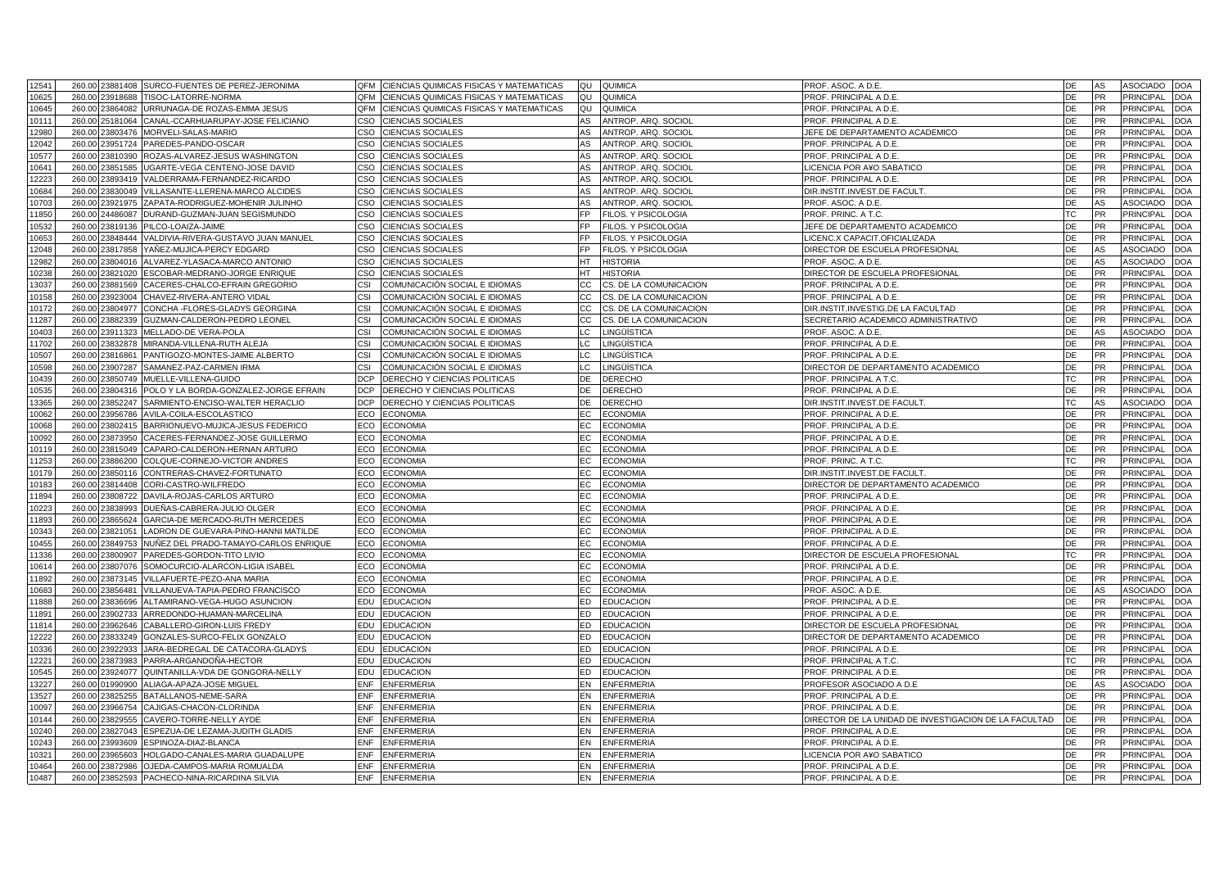| 12541 |        |                 | 260.00 23881408 SURCO-FUENTES DE PEREZ-JERONIMA | QFM CIENCIAS QUIMICAS FISICAS Y MATEMATICAS              | QUIMICA<br>QU                       | PROF. ASOC. A D.E.                                           | DE<br>AS               | <b>ASOCIADO</b><br><b>DOA</b>  |
|-------|--------|-----------------|-------------------------------------------------|----------------------------------------------------------|-------------------------------------|--------------------------------------------------------------|------------------------|--------------------------------|
| 10625 | 260.00 | 23918688        | TISOC-LATORRE-NORMA                             | OFM<br>CIENCIAS QUIMICAS FISICAS Y MATEMATICAS           | QU<br>QUIMICA                       | PROF. PRINCIPAL A D.E.                                       | DE<br>PR               | <b>PRINCIPAL</b><br><b>DOA</b> |
| 10645 | 260.00 | 23864082        | URRUNAGA-DE ROZAS-EMMA JESUS                    | <b>OFM</b><br>CIENCIAS QUIMICAS FISICAS Y MATEMATICAS    | QU<br>QUIMICA                       | PROF. PRINCIPAL A D.E.                                       | <b>PR</b><br>DE        | <b>DOA</b><br><b>PRINCIPAL</b> |
| 10111 | 260.00 | 25181064        | CANAL-CCARHUARUPAY-JOSE FELICIANO               | CSO<br><b>CIENCIAS SOCIALES</b>                          | ANTROP. ARQ. SOCIOL<br>AS           | PROF. PRINCIPAL A D.E.                                       | DE<br><b>PR</b>        | <b>PRINCIPAL</b><br><b>DOA</b> |
| 12980 | 260.00 | 23803476        | MORVELI-SALAS-MARIO                             | <b>CSO</b><br><b>CIENCIAS SOCIALES</b>                   | AS<br>ANTROP, ARQ, SOCIOL           | JEFE DE DEPARTAMENTO ACADEMICO                               | <b>DE</b><br><b>PR</b> | <b>PRINCIPAL</b><br><b>DOA</b> |
| 12042 | 260.00 | 23951724        | PAREDES-PANDO-OSCAR                             | CSO<br><b>CIENCIAS SOCIALES</b>                          | ANTROP. ARQ. SOCIOL<br>AS           | PROF. PRINCIPAL A D.E.                                       | DE<br><b>PR</b>        | <b>PRINCIPAL</b><br><b>DOA</b> |
| 10577 | 260.00 | 23810390        | ROZAS-ALVAREZ-JESUS WASHINGTON                  | CSO<br><b>CIENCIAS SOCIALES</b>                          | AS<br>ANTROP, ARQ, SOCIOL           | PROF. PRINCIPAL A D.E.                                       | <b>PR</b><br><b>DE</b> | <b>DOA</b><br><b>PRINCIPAL</b> |
| 10641 | 260.00 | 23851585        | JGARTE-VEGA CENTENO-JOSE DAVID                  | <b>CSO</b><br><b>CIENCIAS SOCIALES</b>                   | AS<br>ANTROP. ARQ. SOCIOL           | LICENCIA POR A¥O SABATICO                                    | DE<br><b>PR</b>        | PRINCIPAL<br><b>DOA</b>        |
| 12223 | 260.00 | 23893419        | VALDERRAMA-FERNANDEZ-RICARDO                    | CSO<br><b>CIENCIAS SOCIALES</b>                          | AS<br>ANTROP. ARQ. SOCIOL           | PROF. PRINCIPAL A D.E                                        | DE<br>PR               | <b>DOA</b><br>PRINCIPAL        |
| 10684 | 260.00 | 3830049         | /ILLASANTE-LLERENA-MARCO ALCIDES                | CSO<br><b>CIENCIAS SOCIALES</b>                          | AS<br>ANTROP. ARQ. SOCIOL           | DIR.INSTIT.INVEST.DE FACULT                                  | DE<br><b>PR</b>        | <b>PRINCIPAL</b><br><b>DOA</b> |
| 10703 | 260.00 | 23921975        | ZAPATA-RODRIGUEZ-MOHENIR JULINHO                | CSO<br><b>CIENCIAS SOCIALES</b>                          | AS<br>ANTROP. ARQ. SOCIOL           | PROF. ASOC. A D.E.                                           | AS<br>DE               | <b>DOA</b><br><b>ASOCIADO</b>  |
| 11850 | 260.00 | 24486087        | DURAND-GUZMAN-JUAN SEGISMUNDO                   | CSO<br><b>CIENCIAS SOCIALES</b>                          | <b>FP</b><br>FILOS. Y PSICOLOGIA    | PROF. PRINC. A T.C                                           | <b>TC</b><br><b>PR</b> | <b>PRINCIPAL</b><br><b>DOA</b> |
| 10532 |        | 260.00 23819136 | PILCO-LOAIZA-JAIME                              | CSO<br><b>CIENCIAS SOCIALES</b>                          | FP<br>FILOS. Y PSICOLOGIA           | JEFE DE DEPARTAMENTO ACADEMICO                               | DE<br>PR               | PRINCIPAL<br><b>DOA</b>        |
| 0653  | 260.00 | 23848444        | /ALDIVIA-RIVERA-GUSTAVO JUAN MANUEL             | CSO<br>CIENCIAS SOCIALES                                 | FP<br><b>ILOS. Y PSICOLOGIA</b>     | LICENC.X CAPACIT.OFICIALIZADA                                | DE<br><b>PR</b>        | <b>PRINCIPAL</b><br><b>DOA</b> |
| 12048 |        | 260.00 23817858 | YAÑEZ-MUJICA-PERCY EDGARD                       | CSO<br><b>CIENCIAS SOCIALES</b>                          | FP<br>FILOS. Y PSICOLOGIA           | DIRECTOR DE ESCUELA PROFESIONAL                              | DE<br>AS               | <b>DOA</b><br><b>ASOCIADO</b>  |
| 2982  | 260.00 | 23804016        | ALVAREZ-YLASACA-MARCO ANTONIO                   | CSO<br><b>CIENCIAS SOCIALES</b>                          | HТ<br>HISTORIA                      | PROF. ASOC. A D.E.                                           | DE<br>AS               | ASOCIADO<br><b>DOA</b>         |
| 0238  |        | 260.00 23821020 | ESCOBAR-MEDRANO-JORGE ENRIQUE                   | CSO<br><b>CIENCIAS SOCIALES</b>                          | НT<br><b>HISTORIA</b>               | DIRECTOR DE ESCUELA PROFESIONAL                              | DE<br><b>PR</b>        | PRINCIPAL<br><b>DOA</b>        |
| 13037 | 260.00 | 23881569        | CACERES-CHALCO-EFRAIN GREGORIO                  | CSI<br>COMUNICACIÓN SOCIAL E IDIOMAS                     | CС<br>S. DE LA COMUNICACION         | PROF. PRINCIPAL A D.E.                                       | DE<br>PR               | <b>PRINCIPAL</b><br><b>DOA</b> |
| 10158 |        | 260.00 23923004 | CHAVEZ-RIVERA-ANTERO VIDAL                      | COMUNICACIÓN SOCIAL E IDIOMAS<br>CSI                     | CС<br>CS. DE LA COMUNICACION        | PROF. PRINCIPAL A D.E.                                       | DE<br><b>PR</b>        | <b>PRINCIPAL</b><br><b>DOA</b> |
| 10172 | 260.00 | 3804977         | CONCHA - FLORES-GLADYS GEORGINA                 | CSI<br>COMUNICACIÓN SOCIAL E IDIOMAS                     | CС<br>CS. DE LA COMUNICACION        | DIR.INSTIT.INVESTIG.DE LA FACULTAD                           | DE<br>PR               | <b>PRINCIPAL</b><br><b>DOA</b> |
| 11287 |        | 260.00 23882339 | GUZMAN-CALDERON-PEDRO LEONEL                    | CSI<br>COMUNICACIÓN SOCIAL E IDIOMAS                     | CC.<br>CS. DE LA COMUNICACION       | SECRETARIO ACADEMICO ADMINISTRATIVO                          | DE<br>PR               | <b>PRINCIPAL</b><br><b>DOA</b> |
| 10403 | 260.00 | 23911323        | MELLADO-DE VERA-POLA                            | CSI<br>COMUNICACIÓN SOCIAL E IDIOMAS                     | LC<br>LINGÜÍSTICA                   | PROF. ASOC. A D.E.                                           | DE<br>AS               | <b>ASOCIADO</b><br><b>DOA</b>  |
| 11702 |        | 260.00 23832878 | MIRANDA-VILLENA-RUTH ALEJA                      | CSI<br>COMUNICACIÓN SOCIAL E IDIOMAS                     | LС<br>LINGÜÍSTICA                   | PROF. PRINCIPAL A D.E.                                       | DE<br>PR               | PRINCIPAL<br><b>DOA</b>        |
| 10507 |        | 260.00 23816861 | PANTIGOZO-MONTES-JAIME ALBERTO                  | CSI<br>COMUNICACIÓN SOCIAL E IDIOMAS                     | LC<br>LINGÜÍSTICA                   | PROF. PRINCIPAL A D.E.                                       | DE<br>PR               | <b>PRINCIPAL</b><br><b>DOA</b> |
| 10598 |        | 260.00 23907287 | SAMANEZ-PAZ-CARMEN IRMA                         | CSI<br>COMUNICACIÓN SOCIAL E IDIOMAS                     | LC                                  |                                                              | DE<br><b>PR</b>        | PRINCIPAL<br><b>DOA</b>        |
| 10439 | 260.00 | 23850749        | MUELLE-VILLENA-GUIDO                            | <b>DCP</b>                                               | LINGÜÍSTICA<br>DE<br><b>DERECHO</b> | DIRECTOR DE DEPARTAMENTO ACADEMICO<br>PROF. PRINCIPAL A T.C. | <b>TC</b><br><b>PR</b> | <b>PRINCIPAL</b><br><b>DOA</b> |
|       |        |                 |                                                 | DERECHO Y CIENCIAS POLITICAS                             |                                     |                                                              |                        | <b>PRINCIPAL</b>               |
| 10535 |        | 260.00 23804316 | POLO Y LA BORDA-GONZALEZ-JORGE EFRAIN           | <b>DCP</b><br>DERECHO Y CIENCIAS POLITICAS<br><b>DCP</b> | DE<br><b>DERECHO</b>                | PROF. PRINCIPAL A D.E.                                       | DE<br>PR<br>AS         | <b>DOA</b>                     |
| 13365 | 260.00 | 23852247        | SARMIENTO-ENCISO-WALTER HERACLIO                | DERECHO Y CIENCIAS POLITICAS                             | DE<br>DERECHO                       | DIR.INSTIT.INVEST.DE FACULT                                  | <b>TC</b>              | ASOCIADO<br><b>DOA</b>         |
| 10062 |        | 260.00 23956786 | AVILA-COILA-ESCOLASTICO                         | ECO<br><b>ECONOMIA</b>                                   | ЕC<br>ECONOMIA                      | PROF. PRINCIPAL A D.E.                                       | DE<br><b>PR</b>        | <b>PRINCIPAL</b><br><b>DOA</b> |
| 10068 | 260.00 | 23802415        | BARRIONUEVO-MUJICA-JESUS FEDERICO               | ECO<br><b>ECONOMIA</b>                                   | <b>ECONOMIA</b><br>EC               | PROF. PRINCIPAL A D.E.                                       | DE<br>PR               | <b>PRINCIPAL</b><br><b>DOA</b> |
| 10092 |        | 260.00 23873950 | CACERES-FERNANDEZ-JOSE GUILLERMO                | ECO<br><b>ECONOMIA</b>                                   | EC.<br>ECONOMIA                     | PROF. PRINCIPAL A D.E.                                       | DE<br><b>PR</b>        | <b>PRINCIPAL</b><br><b>DOA</b> |
| 10119 |        | 260.00 23815049 | CAPARO-CALDERON-HERNAN ARTURO                   | ECO<br><b>ECONOMIA</b>                                   | ЕC<br><b>ECONOMIA</b>               | PROF. PRINCIPAL A D.E.                                       | PR<br>DE               | <b>PRINCIPAL</b><br><b>DOA</b> |
| 11253 |        | 260.00 23886200 | COLQUE-CORNEJO-VICTOR ANDRES                    | ECO<br><b>ECONOMIA</b>                                   | EC.<br><b>ECONOMIA</b>              | PROF. PRINC. A T.C.                                          | <b>TC</b><br><b>PR</b> | <b>PRINCIPAL</b><br><b>DOA</b> |
| 10179 | 260.00 | 23850116        | CONTRERAS-CHAVEZ-FORTUNATO                      | ECO<br><b>ECONOMIA</b>                                   | EC<br><b>ECONOMIA</b>               | DIR.INSTIT.INVEST.DE FACULT.                                 | DE<br><b>PR</b>        | <b>PRINCIPAL</b><br><b>DOA</b> |
| 10183 | 260.00 | 23814408        | CORI-CASTRO-WILFREDO                            | ECO<br><b>ECONOMIA</b>                                   | ECONOMIA<br>EC.                     | DIRECTOR DE DEPARTAMENTO ACADEMICO                           | DE<br><b>PR</b>        | <b>PRINCIPAL</b><br><b>DOA</b> |
| 11894 | 260.00 | 23808722        | DAVILA-ROJAS-CARLOS ARTURO                      | ECO<br><b>ECONOMIA</b>                                   | EC<br><b>ECONOMIA</b>               | PROF. PRINCIPAL A D.E                                        | <b>PR</b><br><b>DE</b> | <b>DOA</b><br><b>PRINCIPAL</b> |
| 10223 | 260.00 | 23838993        | DUEÑAS-CABRERA-JULIO OLGER                      | ECO<br><b>ECONOMIA</b>                                   | ЕC<br><b>ECONOMIA</b>               | PROF. PRINCIPAL A D.E.                                       | DE<br><b>PR</b>        | PRINCIPAL<br><b>DOA</b>        |
| 11893 | 260.00 | 23865624        | GARCIA-DE MERCADO-RUTH MERCEDES                 | ECO<br><b>ECONOMIA</b>                                   | EC<br><b>ECONOMIA</b>               | PROF. PRINCIPAL A D.E.                                       | <b>DE</b><br><b>PR</b> | <b>PRINCIPAL</b><br><b>DOA</b> |
| 10343 | 260.00 | 3821051         | LADRON DE GUEVARA-PINO-HANNI MATILDE            | ECO<br><b>ECONOMIA</b>                                   | ЕC<br>ECONOMIA                      | PROF. PRINCIPAL A D.E.                                       | DE<br><b>PR</b>        | PRINCIPAL<br><b>DOA</b>        |
| 10455 | 260.00 | 23849753        | NUÑEZ DEL PRADO-TAMAYO-CARLOS ENRIQUE           | ECO<br><b>ECONOMIA</b>                                   | EC<br><b>ECONOMIA</b>               | PROF. PRINCIPAL A D.E.                                       | <b>DE</b><br><b>PR</b> | <b>DOA</b><br><b>PRINCIPAL</b> |
| 11336 | 260.00 | 23800907        | PAREDES-GORDON-TITO LIVIO                       | ECO<br><b>ECONOMIA</b>                                   | ЕC<br>ECONOMIA                      | DIRECTOR DE ESCUELA PROFESIONAL                              | <b>TC</b><br>PR        | PRINCIPAL<br><b>DOA</b>        |
| 10614 | 260.00 | 23807076        | SOMOCURCIO-ALARCON-LIGIA ISABEL                 | ECO<br><b>ECONOMIA</b>                                   | EC<br><b>ECONOMIA</b>               | PROF. PRINCIPAL A D.E                                        | DE<br><b>PR</b>        | <b>DOA</b><br>PRINCIPAL        |
| 1892  | 260.00 | 23873145        | VILLAFUERTE-PEZO-ANA MARIA                      | ECO<br><b>ECONOMIA</b>                                   | ЕC<br>ECONOMIA                      | PROF. PRINCIPAL A D.E.                                       | DE<br><b>PR</b>        | PRINCIPAL<br><b>DOA</b>        |
| 10683 | 260.00 | 23856481        | VILLANUEVA-TAPIA-PEDRO FRANCISCO                | ECO<br><b>ECONOMIA</b>                                   | EC<br><b>ECONOMIA</b>               | PROF. ASOC. A D.E                                            | AS<br>DE               | <b>ASOCIADO</b><br><b>DOA</b>  |
| 11888 | 260.00 | 23836696        | ALTAMIRANO-VEGA-HUGO ASUNCION                   | EDU<br><b>EDUCACION</b>                                  | ED<br><b>EDUCACION</b>              | PROF. PRINCIPAL A D.E.                                       | DE<br><b>PR</b>        | PRINCIPAL<br><b>DOA</b>        |
| 11891 | 260.00 | 23902733        | ARREDONDO-HUAMAN-MARCELINA                      | EDU<br><b>EDUCACION</b>                                  | ED.<br><b>EDUCACION</b>             | PROF. PRINCIPAL A D.E.                                       | DE<br><b>PR</b>        | <b>DOA</b><br>PRINCIPAL        |
| 11814 | 260.00 | 3962646         | CABALLERO-GIRON-LUIS FREDY                      | EDU<br><b>EDUCACION</b>                                  | ED<br><b>EDUCACION</b>              | DIRECTOR DE ESCUELA PROFESIONAL                              | DE<br><b>PR</b>        | <b>PRINCIPAL</b><br><b>DOA</b> |
| 12222 |        | 260.00 23833249 | GONZALES-SURCO-FELIX GONZALO                    | EDU<br><b>EDUCACION</b>                                  | ED<br><b>EDUCACION</b>              | DIRECTOR DE DEPARTAMENTO ACADEMICO                           | DE<br><b>PR</b>        | PRINCIPAL<br><b>DOA</b>        |
| 10336 | 260.00 | 3922933         | <b>IARA-BEDREGAL DE CATACORA-GLADYS</b>         | EDU<br><b>EDUCACION</b>                                  | ED<br>EDUCACION                     | PROF. PRINCIPAL A D.E                                        | DE<br>PR               | <b>PRINCIPAL</b><br><b>DOA</b> |
| 12221 |        | 260.00 23873983 | PARRA-ARGANDOÑA-HECTOR                          | EDU<br><b>EDUCACION</b>                                  | ED<br><b>EDUCACION</b>              | PROF. PRINCIPAL A T.C.                                       | ТC<br><b>PR</b>        | PRINCIPAL<br><b>DOA</b>        |
| 10545 | 260.00 | 3924077         | QUINTANILLA-VDA DE GONGORA-NELLY                | EDU<br><b>EDUCACION</b>                                  | ED<br>EDUCACION                     | PROF. PRINCIPAL A D.E.                                       | DE<br>PR               | PRINCIPAL<br><b>DOA</b>        |
| 13227 |        | 260.00 01990900 | ALIAGA-APAZA-JOSE MIGUEL                        | <b>ENF</b><br><b>ENFERMERIA</b>                          | <b>ENFERMERIA</b><br>EN             | PROFESOR ASOCIADO A D.E                                      | AS<br>DE               | <b>ASOCIADO</b><br><b>DOA</b>  |
| 13527 | 260.00 | 3825255         | BATALLANOS-NEME-SARA                            | <b>ENF</b><br><b>ENFERMERIA</b>                          | EN<br><b>ENFERMERIA</b>             | PROF. PRINCIPAL A D.E                                        | DE<br>PR               | PRINCIPAL<br><b>DOA</b>        |
| 10097 |        | 260.00 23966754 | CAJIGAS-CHACON-CLORINDA                         | ENF<br><b>ENFERMERIA</b>                                 | EN<br><b>ENFERMERIA</b>             | PROF. PRINCIPAL A D.E.                                       | DE<br>PR               | <b>PRINCIPAL</b><br><b>DOA</b> |
| 10144 | 260.00 | 23829555        | CAVERO-TORRE-NELLY AYDE                         | <b>ENF</b><br><b>ENFERMERIA</b>                          | EN<br><b>ENFERMERIA</b>             | DIRECTOR DE LA UNIDAD DE INVESTIGACION DE LA FACULTAD        | DE<br>PR               | <b>PRINCIPAL</b><br><b>DOA</b> |
| 10240 |        | 260.00 23827043 | ESPEZUA-DE LEZAMA-JUDITH GLADIS                 | <b>ENF</b><br><b>ENFERMERIA</b>                          | EN<br>ENFERMERIA                    | PROF. PRINCIPAL A D.E.                                       | PR<br>DE               | PRINCIPAL<br><b>DOA</b>        |
| 10243 | 260.00 | 23993609        | ESPINOZA-DIAZ-BLANCA                            | <b>ENF</b><br><b>ENFERMERIA</b>                          | EN<br><b>ENFERMERIA</b>             | PROF. PRINCIPAL A D.E                                        | DE<br>PR               | <b>PRINCIPAL</b><br><b>DOA</b> |
| 10321 |        | 260.00 23965603 | HOLGADO-CANALES-MARIA GUADALUPE                 | ENF<br><b>ENFERMERIA</b>                                 | EN<br>ENFERMERIA                    | <b>ICENCIA POR A¥O SABATICO</b>                              | DE<br><b>PR</b>        | PRINCIPAL<br><b>DOA</b>        |
| 10464 | 260.00 | 23872986        | OJEDA-CAMPOS-MARIA ROMUALDA                     | <b>ENF</b><br><b>ENFERMERIA</b>                          | EN<br><b>ENFERMERIA</b>             | PROF. PRINCIPAL A D.E.                                       | <b>DE</b><br><b>PR</b> | <b>DOA</b><br><b>PRINCIPAL</b> |
| 10487 |        |                 | 260.00 23852593 PACHECO-NINA-RICARDINA SILVIA   | ENF ENFERMERIA                                           | EN<br><b>ENFERMERIA</b>             | PROF. PRINCIPAL A D.E.                                       | DE<br>PR               | <b>PRINCIPAL</b><br><b>DOA</b> |
|       |        |                 |                                                 |                                                          |                                     |                                                              |                        |                                |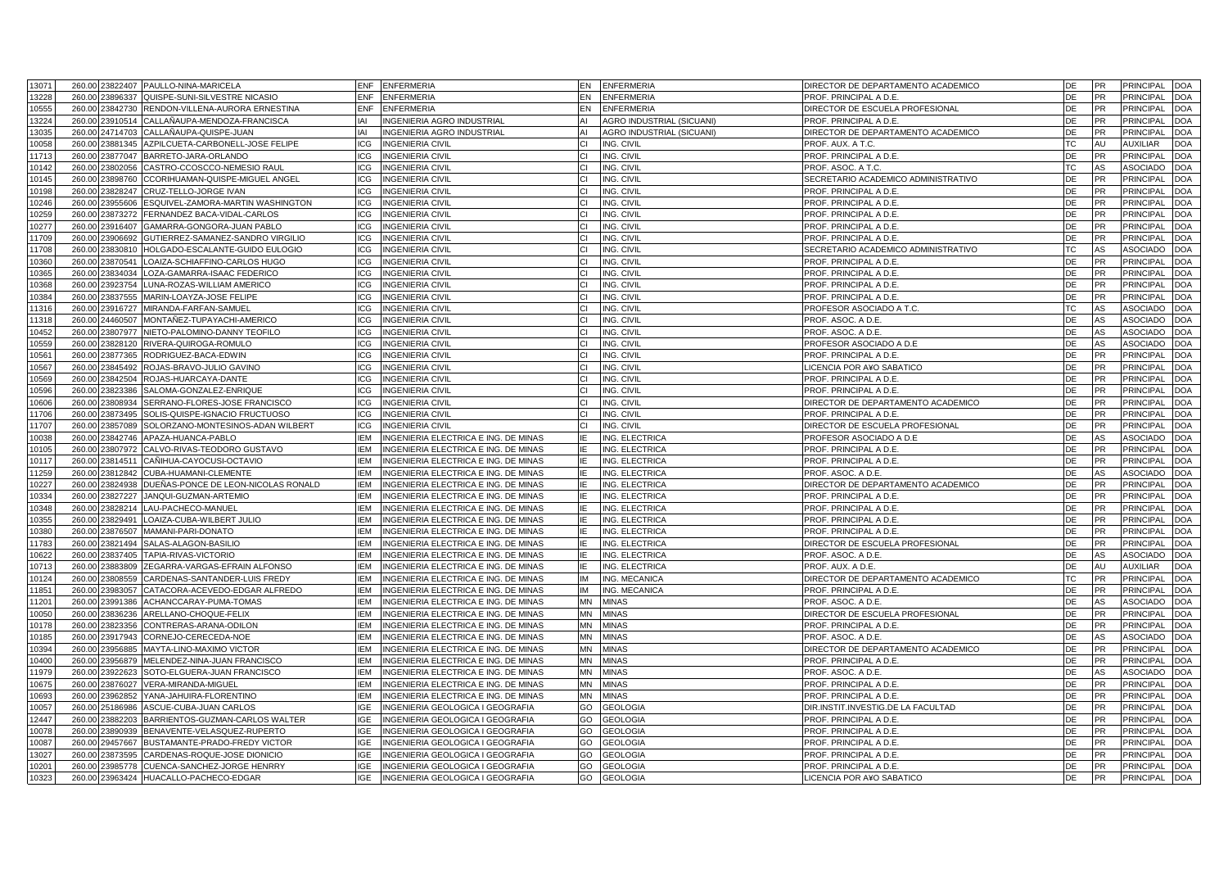| 13071 |        | 260.00 23822407 | PAULLO-NINA-MARICELA                   | <b>ENF</b><br><b>ENFERMERIA</b>                    | EN        | <b>ENFERMERIA</b>         | DIRECTOR DE DEPARTAMENTO ACADEMICO  | DE              | <b>PR</b> | PRINCIPAL        | <b>DOA</b> |
|-------|--------|-----------------|----------------------------------------|----------------------------------------------------|-----------|---------------------------|-------------------------------------|-----------------|-----------|------------------|------------|
| 13228 | 260.00 | 23896337        | QUISPE-SUNI-SILVESTRE NICASIO          | ENF<br><b>ENFERMERIA</b>                           | EN        | <b>ENFERMERIA</b>         | PROF. PRINCIPAL A D.E.              | DE              | <b>PR</b> | PRINCIPAL        | <b>DOA</b> |
| 10555 | 260.00 | 23842730        | RENDON-VILLENA-AURORA ERNESTINA        | <b>ENF</b><br><b>ENFERMERIA</b>                    | EN        | <b>ENFERMERIA</b>         | DIRECTOR DE ESCUELA PROFESIONAL     | DE              | <b>PR</b> | PRINCIPAL        | <b>DOA</b> |
| 13224 | 260.00 | 23910514        | CALLAÑAUPA-MENDOZA-FRANCISCA           | IAI<br>INGENIERIA AGRO INDUSTRIAL                  | ΔI        | AGRO INDUSTRIAL (SICUANI) | PROF. PRINCIPAL A D.E.              | DE              | <b>PR</b> | PRINCIPAL        | <b>DOA</b> |
| 13035 |        | 260.00 24714703 | CALLAÑAUPA-QUISPE-JUAN                 | IAI<br><b>INGENIERIA AGRO INDUSTRIAL</b>           | ΔI        | AGRO INDUSTRIAL (SICUANI) | DIRECTOR DE DEPARTAMENTO ACADEMICO  | DE              | <b>PR</b> | PRINCIPAL        | <b>DOA</b> |
| 10058 | 260.00 | 23881345        | AZPILCUETA-CARBONELL-JOSE FELIPE       | ICG<br><b>INGENIERIA CIVIL</b>                     | CI.       | ING. CIVIL                | PROF. AUX. A T.C.                   | ТC              | AU        | <b>AUXILIAR</b>  | <b>DOA</b> |
| 11713 |        | 260.00 23877047 | BARRETO-JARA-ORLANDO                   | ICG<br><b>INGENIERIA CIVIL</b>                     | СI        | ING. CIVIL                | PROF. PRINCIPAL A D.E.              | DE              | <b>PR</b> | PRINCIPAL        | <b>DOA</b> |
| 10142 | 260.00 | 23802056        | CASTRO-CCOSCCO-NEMESIO RAUL            | ICG<br><b>INGENIERIA CIVIL</b>                     | СI        | ING. CIVIL                | PROF. ASOC. A T.C.                  | ТC              | AS        | ASOCIADO         | <b>DOA</b> |
| 10145 |        | 260.00 23898760 | CCORIHUAMAN-QUISPE-MIGUEL ANGEL        | ICG<br><b>INGENIERIA CIVIL</b>                     | СI        | ING. CIVIL                | SECRETARIO ACADEMICO ADMINISTRATIVO | DE              | <b>PR</b> | PRINCIPAL        | <b>DOA</b> |
| 10198 | 260.00 | 23828247        | CRUZ-TELLO-JORGE IVAN                  | ICG<br><b>INGENIERIA CIVIL</b>                     | СI        | ING. CIVIL                | PROF. PRINCIPAL A D.E.              | DE              | <b>PR</b> | PRINCIPAL        | <b>DOA</b> |
| 10246 |        | 260.00 23955606 | ESQUIVEL-ZAMORA-MARTIN WASHINGTON      | <b>INGENIERIA CIVIL</b><br>ICG                     | CI.       | ING. CIVIL                | PROF. PRINCIPAL A D.E.              | DE              | PR        | PRINCIPAL        | <b>DOA</b> |
| 10259 | 260.00 | 23873272        | FERNANDEZ BACA-VIDAL-CARLOS            | ICG<br><b>INGENIERIA CIVIL</b>                     | СI        | ING. CIVIL                | PROF. PRINCIPAL A D.E.              | DE              | PR        | PRINCIPAL        | <b>DOA</b> |
| 10277 |        | 260.00 23916407 | GAMARRA-GONGORA-JUAN PABLO             | ICG<br><b>INGENIERIA CIVIL</b>                     | CI.       | ING. CIVIL                | PROF. PRINCIPAL A D.E.              | DE              | <b>PR</b> | PRINCIPAL        | <b>DOA</b> |
| 11709 | 260.00 | 23906692        | GUTIERREZ-SAMANEZ-SANDRO VIRGILIO      | ICG<br><b>INGENIERIA CIVIL</b>                     | СL        | ING. CIVIL                | PROF. PRINCIPAL A D.E.              | DE              | <b>PR</b> | PRINCIPAL        | <b>DOA</b> |
| 11708 | 260.00 | 23830810        | HOLGADO-ESCALANTE-GUIDO EULOGIO        | <b>INGENIERIA CIVIL</b><br>ICG                     | СI        | ING. CIVIL                | SECRETARIO ACADEMICO ADMINISTRATIVO | TC              | AS        | ASOCIADO         | <b>DOA</b> |
| 10360 | 260.00 | 23870541        | OAIZA-SCHIAFFINO-CARLOS HUGO           | <b>ICG</b><br><b>INGENIERIA CIVIL</b>              | CI.       | ING. CIVIL                | PROF. PRINCIPAL A D.E.              | DE              | <b>PR</b> | PRINCIPAL        | <b>DOA</b> |
| 10365 |        | 260.00 23834034 | LOZA-GAMARRA-ISAAC FEDERICO            | ICG<br><b>INGENIERIA CIVIL</b>                     | СI        | ING. CIVIL                | PROF. PRINCIPAL A D.E.              | DE              | <b>PR</b> | PRINCIPAL        | <b>DOA</b> |
| 10368 | 260.00 | 23923754        | LUNA-ROZAS-WILLIAM AMERICO             | <b>ICG</b><br><b>INGENIERIA CIVIL</b>              | СI        | ING. CIVIL                | PROF. PRINCIPAL A D.E.              | DE              | <b>PR</b> | PRINCIPAL        | <b>DOA</b> |
| 10384 | 260.00 | 23837555        | MARIN-LOAYZA-JOSE FELIPE               | ICG<br><b>INGENIERIA CIVIL</b>                     | СI        | ING. CIVIL                | PROF. PRINCIPAL A D.E.              | DE              | <b>PR</b> | PRINCIPAL        | <b>DOA</b> |
| 11316 | 260.00 | 23916727        | MIRANDA-FARFAN-SAMUEI                  | <b>ICG</b><br><b>INGENIERIA CIVII</b>              | CI.       | ING. CIVII                | PROFESOR ASOCIADO A T.C.            | TC              | AS        | ASOCIADO         | <b>DOA</b> |
| 11318 |        | 260.00 24460507 | MONTAÑEZ-TUPAYACHI-AMERICO             | ICG<br><b>INGENIERIA CIVIL</b>                     | СI        | ING. CIVIL                | PROF. ASOC. A D.E.                  | DE              | AS        | ASOCIADO         | <b>DOA</b> |
| 10452 | 260.00 | 23807977        | NIETO-PALOMINO-DANNY TEOFILO           | ICG<br><b>INGENIERIA CIVIL</b>                     | СL        | ING. CIVIL                | PROF. ASOC. A D.E                   | DE              | AS        | ASOCIADO         | <b>DOA</b> |
| 0559  | 260.00 | 23828120        | RIVERA-QUIROGA-ROMULO                  | ICG<br><b>INGENIERIA CIVIL</b>                     | СI        | ING. CIVIL                | PROFESOR ASOCIADO A D.E             | DE              | AS        | ASOCIADO         | <b>DOA</b> |
| 10561 | 260.00 | 23877365        | RODRIGUEZ-BACA-EDWIN                   | ICG<br><b>INGENIERIA CIVIL</b>                     | СI        | ING. CIVIL                | PROF. PRINCIPAL A D.E.              | DE              | <b>PR</b> | <b>PRINCIPAL</b> | DOA        |
| 0567  | 260.00 | 23845492        | ROJAS-BRAVO-JULIO GAVINO               | <b>ICG</b><br><b>INGENIERIA CIVIL</b>              | CI.       | ING. CIVIL                | LICENCIA POR A¥O SABATICO           | DE              | <b>PR</b> | PRINCIPAL        | <b>DOA</b> |
| 10569 | 260.00 | 23842504        | ROJAS-HUARCAYA-DANTE                   | ICG<br><b>INGENIERIA CIVIL</b>                     | СI        | ING. CIVII                | PROF. PRINCIPAL A D.E.              |                 | <b>PR</b> | PRINCIPAL        | <b>DOA</b> |
|       | 260.00 | 3823386         | SALOMA-GONZALEZ-ENRIQUE                | <b>ICG</b><br><b>INGENIERIA CIVIL</b>              | СI        | ING. CIVIL                | PROF. PRINCIPAL A D.E.              | DE<br><b>DE</b> | PR        | PRINCIPAL        | <b>DOA</b> |
| 0596  |        | 23808934        |                                        |                                                    |           |                           |                                     |                 |           |                  | <b>DOA</b> |
| 10606 | 260.00 |                 | SERRANO-FLORES-JOSE FRANCISCO          | ICG<br><b>INGENIERIA CIVIL</b><br><b>ICG</b>       | СI<br>CI. | ING. CIVIL                | DIRECTOR DE DEPARTAMENTO ACADEMICO  | DE<br><b>DE</b> | <b>PR</b> | PRINCIPAL        |            |
| 11706 | 260.00 | 23873495        | SOLIS-QUISPE-IGNACIO FRUCTUOSO         | <b>INGENIERIA CIVIL</b>                            |           | ING. CIVIL                | PROF. PRINCIPAL A D.E.              |                 | <b>PR</b> | PRINCIPAL        | <b>DOA</b> |
| 11707 | 260.00 | 23857089        | SOLORZANO-MONTESINOS-ADAN WILBERT      | ICG<br><b>INGENIERIA CIVIL</b>                     | СI        | ING. CIVIL                | DIRECTOR DE ESCUELA PROFESIONAL     | DE              | <b>PR</b> | PRINCIPAL        | <b>DOA</b> |
| 0038  | 260.00 | 3842746         | APAZA-HUANCA-PABLO                     | <b>IEM</b><br>INGENIERIA ELECTRICA E ING. DE MINAS | IF.       | ING. ELECTRICA            | PROFESOR ASOCIADO A D.E             | DE              | AS        | ASOCIADO         | <b>DOA</b> |
| 10105 | 260.00 | 23807972        | CALVO-RIVAS-TEODORO GUSTAVO            | <b>IEM</b><br>INGENIERIA ELECTRICA E ING. DE MINAS | ΙE        | ING. ELECTRICA            | PROF. PRINCIPAL A D.E               | DE              | PR        | PRINCIPAL        | <b>DOA</b> |
| 10117 | 260.00 | 3814511         | CAÑIHUA-CAYOCUSI-OCTAVIO               | <b>IEM</b><br>INGENIERIA ELECTRICA E ING. DE MINAS | IE.       | ING. ELECTRICA            | PROF. PRINCIPAL A D.E.              | DE              | <b>PR</b> | PRINCIPAL        | <b>DOA</b> |
| 1259  | 260.00 | 23812842        | CUBA-HUAMANI-CLEMENTE                  | <b>IEM</b><br>INGENIERIA ELECTRICA E ING. DE MINAS | ΙE        | ING. ELECTRICA            | PROF. ASOC. A D.E.                  | DE              | AS        | ASOCIADO         | <b>DOA</b> |
| 0227  | 260.00 | 3824938         | DUEÑAS-PONCE DE LEON-NICOLAS RONALD    | <b>IEM</b><br>INGENIERIA ELECTRICA E ING. DE MINAS | ΙE        | ING. ELECTRICA            | DIRECTOR DE DEPARTAMENTO ACADEMICO  | DE              | <b>PR</b> | PRINCIPAL        | <b>DOA</b> |
| 10334 | 260.00 | 23827227        | JANQUI-GUZMAN-ARTEMIO                  | <b>IEM</b><br>INGENIERIA ELECTRICA E ING. DE MINAS | ΙE        | ING. ELECTRICA            | PROF. PRINCIPAL A D.E               | DE              | <b>PR</b> | PRINCIPAL        | <b>DOA</b> |
| 10348 | 260.00 | 3828214         | AU-PACHECO-MANUEL                      | <b>IEM</b><br>INGENIERIA ELECTRICA E ING. DE MINAS | IE.       | ING. ELECTRICA            | PROF. PRINCIPAL A D.E.              | DE              | PR        | <b>PRINCIPAL</b> | <b>DOA</b> |
| 0355  | 260.00 | 23829491        | OAIZA-CUBA-WILBERT JULIO               | <b>IEM</b><br>INGENIERIA ELECTRICA E ING. DE MINAS | ΙE        | ING. ELECTRICA            | PROF. PRINCIPAL A D.E.              | <b>DE</b>       | <b>PR</b> | <b>PRINCIPAL</b> | <b>DOA</b> |
| 10380 | 260.00 | 3876507         | MAMANI-PARI-DONATO                     | <b>IEM</b><br>INGENIERIA ELECTRICA E ING. DE MINAS | ΙE        | ING. ELECTRICA            | PROF. PRINCIPAL A D.E.              | DE              | <b>PR</b> | PRINCIPAL        | <b>DOA</b> |
| 11783 | 260.00 | 23821494        | SALAS-ALAGON-BASILIO                   | <b>IEM</b><br>INGENIERIA ELECTRICA E ING. DE MINAS | ΙE        | ING. ELECTRICA            | DIRECTOR DE ESCUELA PROFESIONAL     | DE              | PR        | PRINCIPAL        | <b>DOA</b> |
| 10622 | 260.00 | 3837405         | TAPIA-RIVAS-VICTORIO                   | <b>IEM</b><br>INGENIERIA ELECTRICA E ING. DE MINAS | IE.       | ING. ELECTRICA            | PROF. ASOC. A D.E                   | DE              | AS        | ASOCIADO         | <b>DOA</b> |
| 10713 |        | 260.00 23883809 | ZEGARRA-VARGAS-EFRAIN ALFONSO          | IEM<br>INGENIERIA ELECTRICA E ING. DE MINAS        | IE.       | ING. ELECTRICA            | PROF. AUX. A D.E.                   | DE              | AU        | AUXILIAR         | <b>DOA</b> |
| 10124 | 260.00 | 23808559        | CARDENAS-SANTANDER-LUIS FREDY          | <b>IEM</b><br>INGENIERIA ELECTRICA E ING. DE MINAS | <b>IM</b> | ING. MECANICA             | DIRECTOR DE DEPARTAMENTO ACADEMICO  | <b>TC</b>       | <b>PR</b> | PRINCIPAL        | <b>DOA</b> |
| 11851 |        | 260.00 23983057 | CATACORA-ACEVEDO-EDGAR ALFREDO         | <b>IEM</b><br>INGENIERIA ELECTRICA E ING. DE MINAS | IМ        | ING. MECANICA             | PROF. PRINCIPAL A D.E.              | DE              | <b>PR</b> | PRINCIPAL        | <b>DOA</b> |
| 11201 | 260.00 | 23991386        | ACHANCCARAY-PUMA-TOMAS                 | <b>IEM</b><br>INGENIERIA ELECTRICA E ING. DE MINAS | <b>MN</b> | <b>MINAS</b>              | PROF. ASOC. A D.E.                  | DE              | AS        | ASOCIADO         | <b>DOA</b> |
| 10050 |        | 260.00 23836236 | ARELLANO-CHOQUE-FELIX                  | <b>IEM</b><br>INGENIERIA ELECTRICA E ING. DE MINAS | <b>MN</b> | <b>MINAS</b>              | DIRECTOR DE ESCUELA PROFESIONAL     | DE              | <b>PR</b> | PRINCIPAL        | <b>DOA</b> |
| 10178 | 260.00 | 23823356        | CONTRERAS-ARANA-ODILON                 | <b>IEM</b><br>INGENIERIA ELECTRICA E ING. DE MINAS | MN        | <b>MINAS</b>              | PROF. PRINCIPAL A D.E.              | DE              | PR        | PRINCIPAL        | <b>DOA</b> |
| 10185 | 260.00 | 23917943        | CORNEJO-CERECEDA-NOE                   | <b>IEM</b><br>INGENIERIA ELECTRICA E ING. DE MINAS | MN        | <b>MINAS</b>              | PROF. ASOC. A D.E.                  | DE              | AS        | ASOCIADO         | <b>DOA</b> |
| 10394 | 260.00 | 23956885        | MAYTA-LINO-MAXIMO VICTOR               | <b>IEM</b><br>INGENIERIA ELECTRICA E ING. DE MINAS | MN        | <b>MINAS</b>              | DIRECTOR DE DEPARTAMENTO ACADEMICO  | DE              | PR        | PRINCIPAL        | <b>DOA</b> |
| 10400 | 260.00 | 23956879        | MELENDEZ-NINA-JUAN FRANCISCO           | <b>IEM</b><br>INGENIERIA ELECTRICA E ING. DE MINAS | MN        | <b>MINAS</b>              | PROF. PRINCIPAL A D.E.              | DE              | PR        | PRINCIPAL        | <b>DOA</b> |
| 11979 | 260.00 | 23922623        | SOTO-ELGUERA-JUAN FRANCISCO            | <b>IEM</b><br>INGENIERIA ELECTRICA E ING. DE MINAS | MN        | <b>MINAS</b>              | PROF. ASOC. A D.E.                  | DE              | AS        | ASOCIADO         | <b>DOA</b> |
| 10675 | 260.00 | 23876027        | <b>VERA-MIRANDA-MIGUEL</b>             | INGENIERIA ELECTRICA E ING. DE MINAS<br><b>IEM</b> | MN        | <b>MINAS</b>              | PROF. PRINCIPAL A D.E.              | DE              | <b>PR</b> | PRINCIPAL        | <b>DOA</b> |
| 10693 | 260.00 | 23962852        | YANA-JAHUIRA-FLORENTINO                | <b>IEM</b><br>INGENIERIA ELECTRICA E ING. DE MINAS | <b>MN</b> | <b>MINAS</b>              | PROF. PRINCIPAL A D.E.              | DE              | PR        | PRINCIPAL        | <b>DOA</b> |
| 10057 |        | 260.00 25186986 | ASCUE-CUBA-JUAN CARLOS                 | <b>IGE</b><br>INGENIERIA GEOLOGICA I GEOGRAFIA     | GO        | <b>GEOLOGIA</b>           | DIR.INSTIT.INVESTIG.DE LA FACULTAD  | DE              | <b>PR</b> | PRINCIPAL        | <b>DOA</b> |
| 12447 | 260.00 | 23882203        | BARRIENTOS-GUZMAN-CARLOS WALTER        | <b>IGE</b><br>INGENIERIA GEOLOGICA I GEOGRAFIA     | GO        | <b>GEOLOGIA</b>           | PROF. PRINCIPAL A D.E.              | DE              | <b>PR</b> | PRINCIPAL        | <b>DOA</b> |
| 10078 | 260.00 | 23890939        | BENAVENTE-VELASQUEZ-RUPERTO            | INGENIERIA GEOLOGICA I GEOGRAFIA<br>IGE            | GO        | <b>GEOLOGIA</b>           | PROF. PRINCIPAL A D.E.              | DE              | PR        | PRINCIPAL        | <b>DOA</b> |
| 10087 | 260.00 | 29457667        | BUSTAMANTE-PRADO-FREDY VICTOF          | <b>IGE</b><br>INGENIERIA GEOLOGICA I GEOGRAFIA     | GO        | <b>GEOLOGIA</b>           | PROF. PRINCIPAL A D.E               | DE              | PR        | PRINCIPAL        | <b>DOA</b> |
| 13027 | 260.00 | 23873595        | CARDENAS-ROQUE-JOSE DIONICIO           | INGENIERIA GEOLOGICA I GEOGRAFIA<br>IGE.           | GO        | <b>GEOLOGIA</b>           | PROF. PRINCIPAL A D.E.              | DE              | <b>PR</b> | PRINCIPAL        | <b>DOA</b> |
| 10201 | 260.00 | 23985778        | CUENCA-SANCHEZ-JORGE HENRRY            | INGENIERIA GEOLOGICA I GEOGRAFIA<br>IGE.           | GO        | <b>GEOLOGIA</b>           | PROF. PRINCIPAL A D.E.              | DE              | <b>PR</b> | PRINCIPAL        | <b>DOA</b> |
| 10323 |        |                 | 260.00 23963424 HUACALLO-PACHECO-EDGAR | INGENIERIA GEOLOGICA I GEOGRAFIA<br><b>IGE</b>     | GO        | <b>GEOLOGIA</b>           | LICENCIA POR A¥O SABATICO           | DE              | <b>PR</b> | <b>PRINCIPAL</b> | <b>DOA</b> |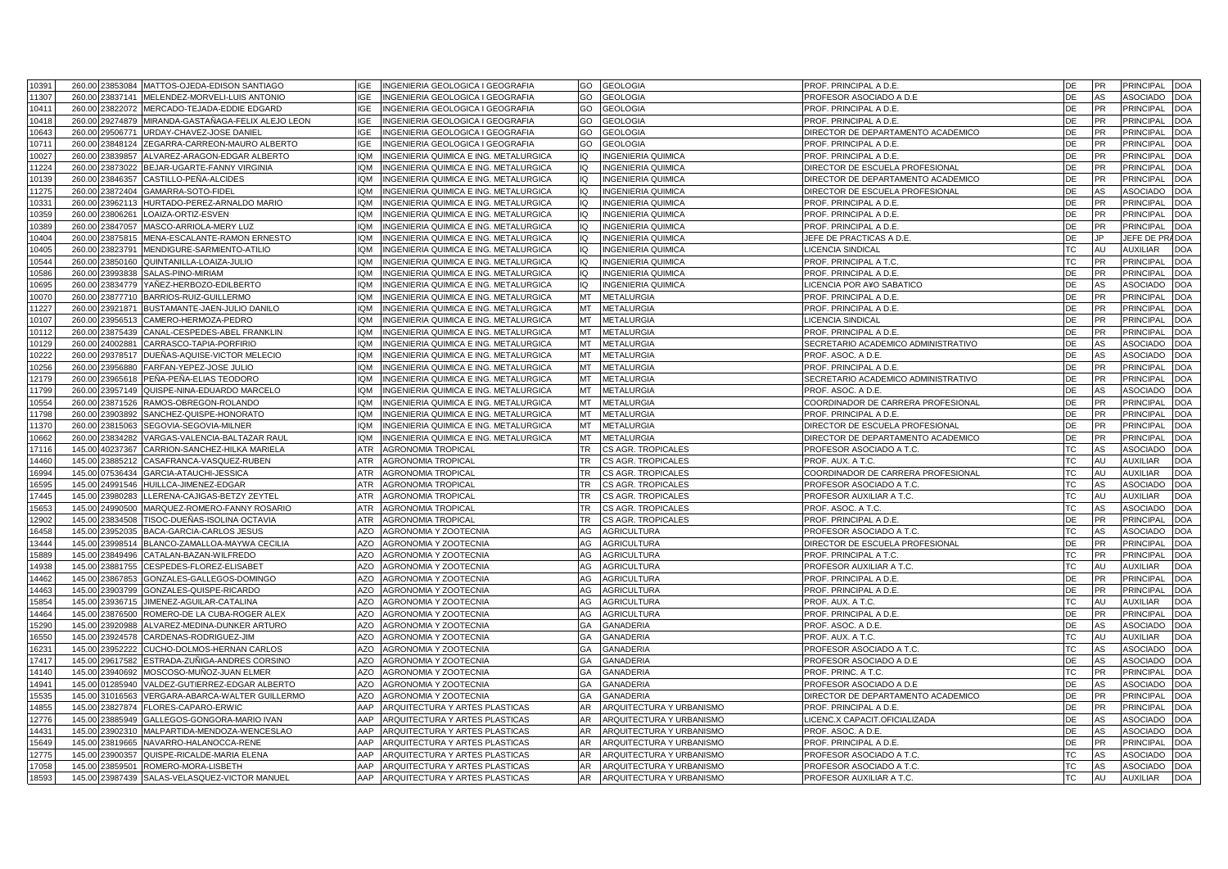| 10391 | 260.00 |                      | 23853084 MATTOS-OJEDA-EDISON SANTIAGO | INGENIERIA GEOLOGICA I GEOGRAFIA<br>IGE             | <b>GEOLOGIA</b><br>GO           | PROF. PRINCIPAL A D.E.              | DE        | <b>PR</b> | PRINCIPAL        | <b>DOA</b> |
|-------|--------|----------------------|---------------------------------------|-----------------------------------------------------|---------------------------------|-------------------------------------|-----------|-----------|------------------|------------|
| 11307 | 260.00 | 23837141             | MELENDEZ-MORVELI-LUIS ANTONIO         | <b>IGE</b><br>INGENIERIA GEOLOGICA I GEOGRAFIA      | GO<br><b>GEOLOGIA</b>           | PROFESOR ASOCIADO A D.E             | DE        | AS        | <b>ASOCIADO</b>  | <b>DOA</b> |
| 10411 | 260.00 | 23822072             | MERCADO-TEJADA-EDDIE EDGARD           | <b>IGE</b><br>INGENIERIA GEOLOGICA I GEOGRAFIA      | GO<br><b>GEOLOGIA</b>           | PROF. PRINCIPAL A D.E.              | DE        | PR        | <b>PRINCIPAL</b> | <b>DOA</b> |
| 10418 | 260.00 | 29274879             | MIRANDA-GASTAÑAGA-FELIX ALEJO LEON    | <b>IGE</b><br>INGENIERIA GEOLOGICA I GEOGRAFIA      | GO<br><b>GEOLOGIA</b>           | PROF. PRINCIPAL A D.E.              | DE        | <b>PR</b> | PRINCIPAL        | <b>DOA</b> |
| 10643 | 260.00 | 29506771             | URDAY-CHAVEZ-JOSE DANIEL              | <b>IGE</b><br>INGENIERIA GEOLOGICA I GEOGRAFIA      | GO<br>GEOLOGIA                  | DIRECTOR DE DEPARTAMENTO ACADEMICO  | <b>DE</b> | <b>PR</b> | <b>PRINCIPAL</b> | <b>DOA</b> |
| 10711 | 260.00 | 23848124             | ZEGARRA-CARREON-MAURO ALBERTO         | INGENIERIA GEOLOGICA I GEOGRAFIA<br><b>IGE</b>      | GO<br>GEOLOGIA                  | PROF. PRINCIPAL A D.E.              | DE        | <b>PR</b> | PRINCIPAL        | <b>DOA</b> |
| 10027 | 260.00 | 23839857             | ALVAREZ-ARAGON-EDGAR ALBERTO          | <b>IOM</b><br>INGENIERIA QUIMICA E ING. METALURGICA | IQ<br><b>INGENIERIA QUIMICA</b> | PROF. PRINCIPAL A D.E.              | <b>DE</b> | <b>PR</b> | <b>PRINCIPAL</b> | <b>DOA</b> |
| 11224 | 260.00 | 23873022             | BEJAR-UGARTE-FANNY VIRGINIA           | <b>IQM</b><br>INGENIERIA QUIMICA E ING. METALURGICA | IQ<br>INGENIERIA QUIMICA        | DIRECTOR DE ESCUELA PROFESIONAL     | DE        | <b>PR</b> | PRINCIPAL        | <b>DOA</b> |
| 10139 | 260.00 | 23846357             | CASTILLO-PEÑA-ALCIDES                 | <b>IQM</b><br>INGENIERIA QUIMICA E ING. METALURGICA | IQ<br>INGENIERIA QUIMICA        | DIRECTOR DE DEPARTAMENTO ACADEMICO  | DE        | <b>PR</b> | PRINCIPAL        | <b>DOA</b> |
| 11275 | 260.00 | 3872404              | GAMARRA-SOTO-FIDEL                    | <b>IOM</b><br>INGENIERIA QUIMICA E ING. METALURGICA | NGENIERIA QUIMICA<br>IO.        | DIRECTOR DE ESCUELA PROFESIONAL     | DE        | AS        | ASOCIADO         | <b>DOA</b> |
| 10331 | 260.00 | 23962113             | HURTADO-PEREZ-ARNALDO MARIO           | <b>IQM</b><br>INGENIERIA QUIMICA E ING. METALURGICA | IO<br><b>NGENIERIA QUIMICA</b>  | PROF. PRINCIPAL A D.E.              | DE        | <b>PR</b> | PRINCIPAL        | <b>DOA</b> |
| 10359 | 260.00 | 3806261              | OAIZA-ORTIZ-ESVEN                     | <b>MOI</b><br>INGENIERIA QUIMICA E ING. METALURGICA | IQ<br>NGENIERIA QUIMICA         | PROF. PRINCIPAL A D.E.              | DE        | PR        | PRINCIPAL        | <b>DOA</b> |
| 10389 | 260.00 |                      | MASCO-ARRIOLA-MERY LUZ                | <b>IQM</b>                                          |                                 |                                     | DE        | <b>PR</b> | PRINCIPAL        |            |
|       |        | 23847057             |                                       | INGENIERIA QUIMICA E ING. METALURGICA<br><b>IOM</b> | IQ<br>INGENIERIA QUIMICA        | PROF. PRINCIPAL A D.E.              | DE        |           |                  | DOA        |
| 10404 | 260.00 | 387581               | MENA-ESCALANTE-RAMON ERNESTO          | INGENIERIA QUIMICA E ING. METALURGICA               | NGENIERIA QUIMICA<br>က          | JEFE DE PRACTICAS A D.E             |           |           | JEFE DE PR       | <b>DOA</b> |
| 10405 | 260.00 | 23823791             | MENDIGURE-SARMIENTO-ATILIO            | INGENIERIA QUIMICA E ING. METALURGICA<br><b>IQM</b> | IQ<br>NGENIERIA QUIMICA         | <b>LICENCIA SINDICAL</b>            | TC        | AU        | <b>AUXILIAR</b>  | <b>OC</b>  |
| 10544 | 260.00 | 3850160              | QUINTANILLA-LOAIZA-JULIO              | <b>IQM</b><br>INGENIERIA QUIMICA E ING. METALURGICA | IQ<br><b>NGENIERIA QUIMICA</b>  | PROF. PRINCIPAL A T.C               | ТC        | PR        | PRINCIPAL        | DOA        |
| 10586 | 260.00 | 23993838             | SALAS-PINO-MIRIAM                     | <b>IOM</b><br>INGENIERIA QUIMICA E ING. METALURGICA | IQ<br>INGENIERIA QUIMICA        | PROF. PRINCIPAL A D.E.              | DE        | <b>PR</b> | PRINCIPAL        | <b>DOA</b> |
| 10695 | 260.00 | 3834779              | YAÑEZ-HERBOZO-EDILBERTO               | <b>IQM</b><br>INGENIERIA QUIMICA E ING. METALURGICA | IO<br>NGENIERIA QUIMICA         | LICENCIA POR A¥O SABATICO           | DE        | AS        | ASOCIADC         | <b>OC</b>  |
| 10070 | 260.00 | 23877710             | BARRIOS-RUIZ-GUILLERMO                | INGENIERIA QUIMICA E ING. METALURGICA<br><b>IQM</b> | MT<br><b>METALURGIA</b>         | PROF. PRINCIPAL A D.E.              | DE        | <b>PR</b> | PRINCIPAL        | <b>DOA</b> |
| 11227 | 260.00 | 2392187 <sup>-</sup> | BUSTAMANTE-JAEN-JULIO DANILO          | <b>IQM</b><br>INGENIERIA QUIMICA E ING. METALURGICA | MT<br><b>METALURGIA</b>         | PROF. PRINCIPAL A D.E.              | DE        | PR        | PRINCIPAL        | <b>OC</b>  |
| 10107 | 260.00 | 23956513             | CAMERO-HERMOZA-PEDRO                  | <b>IOM</b><br>INGENIERIA QUIMICA E ING. METALURGICA | МT<br><b>METALURGIA</b>         | LICENCIA SINDICAL                   | DE        | PR        | PRINCIPAL        | DOA        |
| 10112 | 260.00 | 23875439             | CANAL-CESPEDES-ABEL FRANKLIN          | INGENIERIA QUIMICA E ING. METALURGICA<br><b>IOM</b> | MT<br><b>METALURGIA</b>         | PROF. PRINCIPAL A D.E.              | DE        | PR        | PRINCIPAL        | <b>DOA</b> |
| 10129 | 260.00 | 24002881             | CARRASCO-TAPIA-PORFIRIO               | INGENIERIA QUIMICA E ING. METALURGICA<br><b>IQM</b> | <b>METALURGIA</b><br>МT         | SECRETARIO ACADEMICO ADMINISTRATIVO | DE        | AS        | <b>ASOCIADO</b>  | <b>DOA</b> |
| 10222 | 260.00 | 29378517             | DUEÑAS-AQUISE-VICTOR MELECIO          | <b>IOM</b><br>INGENIERIA QUIMICA E ING. METALURGICA | MT<br><b>METALURGIA</b>         | PROF. ASOC. A D.E.                  | DE        | AS        | ASOCIADO         | <b>DOA</b> |
| 10256 | 260.00 | 23956880             | FARFAN-YEPEZ-JOSE JULIO               | <b>IOM</b><br>INGENIERIA QUIMICA E ING. METALURGICA | МT<br><b>METALURGIA</b>         | PROF. PRINCIPAL A D.E.              | DE        | <b>PR</b> | PRINCIPAL        | <b>DOA</b> |
| 12179 | 260.00 | 23965618             | PEÑA-PEÑA-ELIAS TEODORO               | <b>IOM</b><br>INGENIERIA QUIMICA E ING. METALURGICA | MT<br><b>METALURGIA</b>         | SECRETARIO ACADEMICO ADMINISTRATIVO | DE        | <b>PR</b> | PRINCIPAL        | <b>DOA</b> |
| 11799 | 260.00 | 23957149             | QUISPE-NINA-EDUARDO MARCELO           | <b>IOM</b><br>INGENIERIA QUIMICA E ING. METALURGICA | МT<br><b>METALURGIA</b>         | PROF. ASOC. A D.E.                  | DE        | AS        | <b>ASOCIADO</b>  | <b>DOA</b> |
| 10554 | 260.00 | 23871526             | RAMOS-OBREGON-ROLANDO                 | <b>IOM</b><br>INGENIERIA QUIMICA E ING. METALURGICA | MT<br><b>METALURGIA</b>         | COORDINADOR DE CARRERA PROFESIONAL  | DE        | PR        | <b>PRINCIPAL</b> | <b>DOA</b> |
| 11798 | 260.00 | 23903892             | SANCHEZ-QUISPE-HONORATO               | <b>MOI</b><br>INGENIERIA QUIMICA E ING. METALURGICA | МT<br><b>METALURGIA</b>         | PROF. PRINCIPAL A D.E.              | DE        | <b>PR</b> | PRINCIPAL        | <b>DOA</b> |
| 11370 | 260.00 | 23815063             | SEGOVIA-SEGOVIA-MILNER                | <b>IQM</b><br>INGENIERIA QUIMICA E ING. METALURGICA | MT<br><b>METALURGIA</b>         | DIRECTOR DE ESCUELA PROFESIONAL     | DE        | <b>PR</b> | PRINCIPAL        | <b>DOA</b> |
| 10662 | 260.00 | 23834282             | /ARGAS-VALENCIA-BALTAZAR RAUL         | <b>IOM</b><br>INGENIERIA QUIMICA E ING. METALURGICA | MT<br><b>METALURGIA</b>         | DIRECTOR DE DEPARTAMENTO ACADEMICO  | <b>DE</b> | PR        | PRINCIPAL        | <b>DOA</b> |
| 17116 | 145.00 | 40237367             | CARRION-SANCHEZ-HILKA MARIELA         | <b>ATR</b><br><b>AGRONOMIA TROPICAL</b>             | <b>TR</b><br>CS AGR. TROPICALES | PROFESOR ASOCIADO A T.C.            | TC        | AS        | ASOCIADC         | <b>DOA</b> |
| 14460 | 145.00 | 23885212             | CASAFRANCA-VASQUEZ-RUBEN              | <b>ATR</b><br><b>AGRONOMIA TROPICAL</b>             | <b>TR</b><br>CS AGR. TROPICALES | PROF. AUX. A T.C.                   | <b>TC</b> | AU        | <b>AUXILIAR</b>  | <b>DOA</b> |
| 16994 | 145.00 | 07536434             | GARCIA-ATAUCHI-JESSICA                | <b>ATR</b><br>AGRONOMIA TROPICAL                    | <b>TR</b><br>CS AGR. TROPICALES | COORDINADOR DE CARRERA PROFESIONAL  | TC        | AU        | <b>AUXILIAR</b>  | <b>DOA</b> |
| 16595 | 145.00 | 24991546             | HUILLCA-JIMENEZ-EDGAR                 | <b>ATR</b><br><b>AGRONOMIA TROPICAL</b>             | TR.<br>CS AGR. TROPICALES       | PROFESOR ASOCIADO A T.C.            | <b>TC</b> | AS        | ASOCIADO         | <b>DOA</b> |
| 17445 | 145.00 | 23980283             | LERENA-CAJIGAS-BETZY ZEYTEL           | <b>ATR</b><br><b>AGRONOMIA TROPICAL</b>             | <b>TR</b><br>CS AGR. TROPICALES | PROFESOR AUXILIAR A T.C.            | <b>TC</b> | AU        | <b>AUXILIAR</b>  | <b>DOA</b> |
| 15653 | 145.00 | 24990500             | MARQUEZ-ROMERO-FANNY ROSARIO          | <b>ATR</b><br><b>AGRONOMIA TROPICAL</b>             | TR<br>CS AGR. TROPICALES        | PROF. ASOC. A T.C.                  | TC        | AS        | <b>ASOCIADO</b>  | <b>DOA</b> |
| 12902 | 145.00 | 23834508             | TISOC-DUEÑAS-ISOLINA OCTAVIA          | <b>ATR</b><br><b>AGRONOMIA TROPICAL</b>             | <b>TR</b><br>CS AGR. TROPICALES | PROF. PRINCIPAL A D.E.              | <b>DE</b> | <b>PR</b> | <b>PRINCIPAL</b> | <b>DOA</b> |
|       |        |                      |                                       |                                                     |                                 |                                     |           |           | ASOCIADO         |            |
| 16458 | 145.00 | 23952035             | BACA-GARCIA-CARLOS JESUS              | AZO<br>AGRONOMIA Y ZOOTECNIA                        | AG<br><b>AGRICULTURA</b>        | PROFESOR ASOCIADO A T.C.            | TC        | AS        |                  | <b>DOA</b> |
| 13444 | 145.00 | 23998514             | BLANCO-ZAMALLOA-MAYWA CECILIA         | <b>AZO</b><br>AGRONOMIA Y ZOOTECNIA                 | AG<br><b>AGRICULTURA</b>        | DIRECTOR DE ESCUELA PROFESIONAL     | <b>DE</b> | PR        | <b>PRINCIPAL</b> | <b>DOA</b> |
| 15889 | 145.00 | 23849496             | CATALAN-BAZAN-WILFREDO                | AZO<br>AGRONOMIA Y ZOOTECNIA                        | AG<br><b>AGRICULTURA</b>        | PROF. PRINCIPAL A T.C.              | <b>TC</b> | <b>PR</b> | PRINCIPAL        | <b>DOA</b> |
| 14938 | 145.00 | 23881755             | CESPEDES-FLOREZ-ELISABET              | <b>AZO</b><br>AGRONOMIA Y ZOOTECNIA                 | AG<br><b>AGRICULTURA</b>        | PROFESOR AUXILIAR A T.C.            | <b>TC</b> | AU        | <b>AUXILIAR</b>  | <b>DOA</b> |
| 14462 | 145.00 | 23867853             | GONZALES-GALLEGOS-DOMINGO             | AZO<br>AGRONOMIA Y ZOOTECNIA                        | AG<br>AGRICULTURA               | PROF. PRINCIPAL A D.E.              | DE        | <b>PR</b> | PRINCIPAL        | <b>DOA</b> |
| 14463 | 145.00 | 23903799             | GONZALES-QUISPE-RICARDO               | <b>AZO</b><br>AGRONOMIA Y ZOOTECNIA                 | AG<br><b>AGRICULTURA</b>        | PROF. PRINCIPAL A D.E.              | DE        | <b>PR</b> | PRINCIPAL        | <b>DOA</b> |
| 15854 | 145.00 | 23936715             | JIMENEZ-AGUILAR-CATALINA              | AZO<br>AGRONOMIA Y ZOOTECNIA                        | AG<br>AGRICULTURA               | PROF. AUX. A T.C.                   | <b>TC</b> | AU        | <b>AUXILIAR</b>  | <b>DOA</b> |
| 14464 | 145.00 | 23876500             | ROMERO-DE LA CUBA-ROGER ALEX          | AZO<br>AGRONOMIA Y ZOOTECNIA                        | AG<br><b>AGRICULTURA</b>        | PROF. PRINCIPAL A D.E.              | DE        | PR        | PRINCIPAL        | <b>DOA</b> |
| 15290 | 145.00 | 3920988              | ALVAREZ-MEDINA-DUNKER ARTURO          | AZO<br>AGRONOMIA Y ZOOTECNIA                        | GA<br>GANADERIA                 | PROF. ASOC. A D.E.                  | DE        | AS        | ASOCIADO         | <b>DOA</b> |
| 16550 | 145.00 | 23924578             | CARDENAS-RODRIGUEZ-JIM                | AZO<br>AGRONOMIA Y ZOOTECNIA                        | GANADERIA<br>GА                 | PROF. AUX. A T.C.                   | ТC        | AU        | <b>AUXILIAR</b>  | DOA        |
| 16231 | 145.00 | 3952222              | CUCHO-DOLMOS-HERNAN CARLOS            | AZO<br>AGRONOMIA Y ZOOTECNIA                        | GA<br><b>GANADERIA</b>          | PROFESOR ASOCIADO A T.C.            | ТC        | AS        | ASOCIADC         | DOA        |
| 17417 | 145.00 | 29617582             | ESTRADA-ZUÑIGA-ANDRES CORSINO         | AZO<br>AGRONOMIA Y ZOOTECNIA                        | GА<br>GANADERIA                 | PROFESOR ASOCIADO A D.E             | DE        | AS        | <b>ASOCIADO</b>  | <b>DOA</b> |
| 14140 | 145.00 | 3940692              | MOSCOSO-MUÑOZ-JUAN ELMER              | <b>AZO</b><br>AGRONOMIA Y ZOOTECNIA                 | GA<br><b>GANADERIA</b>          | PROF. PRINC. A T.C.                 | <b>TC</b> | PR        | PRINCIPAL        | <b>DOA</b> |
| 14941 | 145.00 | 01285940             | /ALDEZ-GUTIERREZ-EDGAR ALBERTO        | AZO<br>AGRONOMIA Y ZOOTECNIA                        | GANADERIA<br>GА                 | PROFESOR ASOCIADO A D.E             | DE        | AS        | ASOCIADO         | <b>DOA</b> |
| 15535 | 145.00 | 31016563             | /ERGARA-ABARCA-WALTER GUILLERMO       | <b>AZO</b><br>AGRONOMIA Y ZOOTECNIA                 | GA<br>GANADERIA                 | DIRECTOR DE DEPARTAMENTO ACADEMICO  | DE        | PR        | PRINCIPAL        | <b>DOA</b> |
| 14855 | 145.00 | 23827874             | FLORES-CAPARO-ERWIC                   | AAP<br>ARQUITECTURA Y ARTES PLASTICAS               | AR.<br>ARQUITECTURA Y URBANISMO | PROF. PRINCIPAL A D.E.              | DE        | <b>PR</b> | PRINCIPAL        | DOA        |
| 12776 | 145.00 | 23885949             | GALLEGOS-GONGORA-MARIO IVAN           | AAP<br>ARQUITECTURA Y ARTES PLASTICAS               | AR<br>ARQUITECTURA Y URBANISMO  | LICENC.X CAPACIT.OFICIALIZADA       | DE        | AS        | ASOCIADO         | <b>DOA</b> |
| 14431 | 145.00 | 23902310             | MALPARTIDA-MENDOZA-WENCESLAO          | AAP<br>ARQUITECTURA Y ARTES PLASTICAS               | AR<br>ARQUITECTURA Y URBANISMO  | PROF. ASOC. A D.E.                  | DE        | AS        | ASOCIADO         | DOA        |
| 15649 | 145.00 | 23819665             | VAVARRO-HALANOCCA-RENE                | AAP<br>ARQUITECTURA Y ARTES PLASTICAS               | AR<br>ARQUITECTURA Y URBANISMO  | PROF. PRINCIPAL A D.E.              | DE        | <b>PR</b> | PRINCIPAL        | <b>DOA</b> |
| 12775 | 145.00 | 23900357             | QUISPE-RICALDE-MARIA ELENA            | AAP<br>ARQUITECTURA Y ARTES PLASTICAS               | AR.<br>ARQUITECTURA Y URBANISMO | PROFESOR ASOCIADO A T.C.            | TC        | AS        | ASOCIADO         | <b>DOA</b> |
| 17058 | 145.00 | 2385950              | ROMERO-MORA-LISBETH                   | AAP<br>ARQUITECTURA Y ARTES PLASTICAS               | AR.<br>ARQUITECTURA Y URBANISMO | PROFESOR ASOCIADO A T.C.            | <b>TC</b> | AS        | ASOCIADO         | <b>DOA</b> |
| 18593 |        | 145.00 23987439      | SALAS-VELASQUEZ-VICTOR MANUEL         | AAP<br>ARQUITECTURA Y ARTES PLASTICAS               | AR<br>ARQUITECTURA Y URBANISMO  | PROFESOR AUXILIAR A T.C.            | <b>TC</b> | AU        | <b>AUXILIAR</b>  | <b>DOA</b> |
|       |        |                      |                                       |                                                     |                                 |                                     |           |           |                  |            |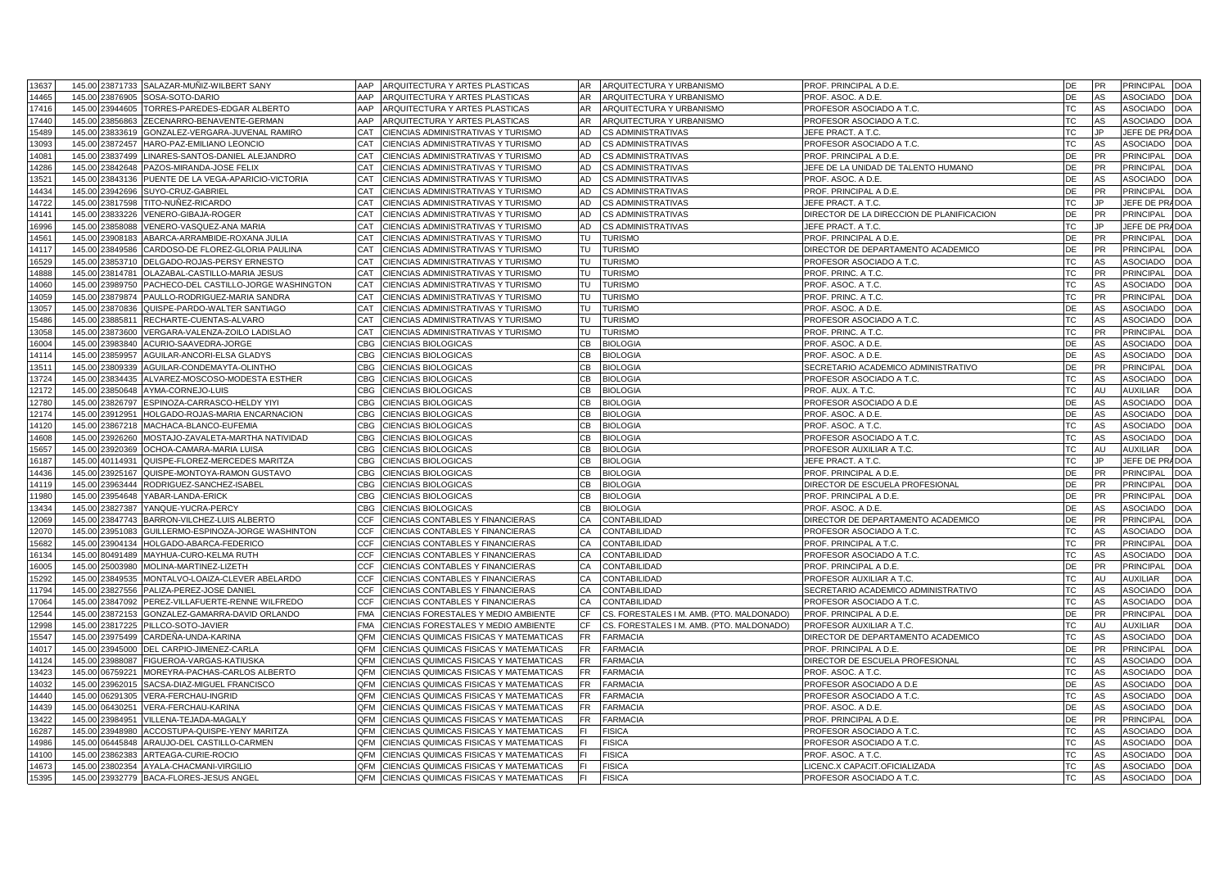| 13637          |        | 145.00 23871733 | SALAZAR-MUÑIZ-WILBERT SANY                     | ARQUITECTURA Y ARTES PLASTICAS<br>AAP              | ARQUITECTURA Y URBANISMO<br><b>AR</b>           | PROF. PRINCIPAL A D.E.                    | DE        | PR        | PRINCIPAL        | <b>DOA</b>              |
|----------------|--------|-----------------|------------------------------------------------|----------------------------------------------------|-------------------------------------------------|-------------------------------------------|-----------|-----------|------------------|-------------------------|
| 14465          | 145.00 | 23876905        | SOSA-SOTO-DARIO                                | AAP<br>ARQUITECTURA Y ARTES PLASTICAS              | AR.<br>ARQUITECTURA Y URBANISMO                 | PROF. ASOC. A D.E.                        | DE        | AS        | <b>ASOCIADO</b>  | <b>DOA</b>              |
| 17416          |        | 145.00 23944605 | TORRES-PAREDES-EDGAR ALBERTO                   | AAP<br>ARQUITECTURA Y ARTES PLASTICAS              | AR.<br>ARQUITECTURA Y URBANISMO                 | PROFESOR ASOCIADO A T.C.                  | <b>TC</b> | AS        | ASOCIADO         | <b>DOA</b>              |
| 17440          | 145.00 | 23856863        | ZECENARRO-BENAVENTE-GERMAN                     | AAP<br>ARQUITECTURA Y ARTES PLASTICAS              | AR.<br>ARQUITECTURA Y URBANISMO                 | PROFESOR ASOCIADO A T.C.                  | TC        | AS        | ASOCIADO         | <b>DOA</b>              |
| 15489          |        | 145.00 23833619 | GONZALEZ-VERGARA-JUVENAL RAMIRO                | CAT<br>CIENCIAS ADMINISTRATIVAS Y TURISMO          | AD<br><b>CS ADMINISTRATIVAS</b>                 | JEFE PRACT. A T.C.                        | <b>TC</b> | <b>JP</b> | JEFE DE PRADOA   |                         |
| 13093          | 145.00 | 23872457        | HARO-PAZ-EMILIANO LEONCIO                      | CAT<br>CIENCIAS ADMINISTRATIVAS Y TURISMO          | AD<br><b>CS ADMINISTRATIVAS</b>                 | PROFESOR ASOCIADO A T.C.                  | TC        | AS        | <b>ASOCIADO</b>  | <b>DOA</b>              |
| 14081          | 145.00 | 23837499        | LINARES-SANTOS-DANIEL ALEJANDRO                | CAT<br>CIENCIAS ADMINISTRATIVAS Y TURISMO          | AD<br><b>CS ADMINISTRATIVAS</b>                 | PROF. PRINCIPAL A D.E.                    | <b>DE</b> | <b>PR</b> | <b>PRINCIPAL</b> | <b>DOA</b>              |
| 14286          | 145.00 | 23842648        | PAZOS-MIRANDA-JOSE FELIX                       | CAT<br>CIENCIAS ADMINISTRATIVAS Y TURISMO          | AD<br><b>CS ADMINISTRATIVAS</b>                 | JEFE DE LA UNIDAD DE TALENTO HUMANO       | DE        | <b>PR</b> | PRINCIPAL        | <b>DOA</b>              |
| 13521          | 145.00 | 23843136        | PUENTE DE LA VEGA-APARICIO-VICTORIA            | CAT<br>CIENCIAS ADMINISTRATIVAS Y TURISMO          | AD<br><b>CS ADMINISTRATIVAS</b>                 | PROF. ASOC. A D.E.                        | DE        | AS        | <b>ASOCIADO</b>  | <b>DOA</b>              |
| 4434           | 145.00 | 3942696         | SUYO-CRUZ-GABRIEL                              | CAT<br>CIENCIAS ADMINISTRATIVAS Y TURISMO          | AD<br>CS ADMINISTRATIVAS                        | PROF. PRINCIPAL A D.E.                    | DE        | PR        | PRINCIPAL        | <b>DOA</b>              |
| 14722          | 145.00 | 23817598        | TITO-NUÑEZ-RICARDO                             | CAT<br>CIENCIAS ADMINISTRATIVAS Y TURISMO          | AD<br><b>CS ADMINISTRATIVAS</b>                 | JEFE PRACT. A T.C.                        | <b>TC</b> | JP.       | JEFE DE PRA      | <b>DOA</b>              |
| 14141          | 145.00 | 23833226        | /ENERO-GIBAJA-ROGER                            | CAT<br>CIENCIAS ADMINISTRATIVAS Y TURISMO          | AD<br>CS ADMINISTRATIVAS                        | DIRECTOR DE LA DIRECCION DE PLANIFICACION | DE        | PR        | PRINCIPAL        | <b>DOA</b>              |
| 16996          |        | 145.00 23858088 | /ENERO-VASQUEZ-ANA MARIA                       | CAT<br>CIENCIAS ADMINISTRATIVAS Y TURISMO          | AD<br><b>CS ADMINISTRATIVAS</b>                 | JEFE PRACT. A T.C.                        | TC        | .IP       | JEFE DE PRADOA   |                         |
| 14561          | 145.00 | 3908183         | ABARCA-ARRAMBIDE-ROXANA JULIA                  | CAT<br>CIENCIAS ADMINISTRATIVAS Y TURISMO          | TU<br><b>TURISMO</b>                            | PROF. PRINCIPAL A D.E.                    | DE        | PR        | PRINCIPAL        | <b>OC</b>               |
| 14117          |        | 145.00 23849586 | CARDOSO-DE FLOREZ-GLORIA PAULINA               | CAT<br>CIENCIAS ADMINISTRATIVAS Y TURISMO          | <b>TURISMO</b><br>TU                            | DIRECTOR DE DEPARTAMENTO ACADEMICO        | DE        | <b>PR</b> | <b>PRINCIPAL</b> | <b>OC</b>               |
|                |        |                 |                                                | CAT                                                | TU                                              |                                           | ТC        |           |                  |                         |
| 16529<br>14888 | 145.00 | 23853710        | DELGADO-ROJAS-PERSY ERNESTO                    | CIENCIAS ADMINISTRATIVAS Y TURISMO                 | <b>TURISMO</b><br>TU<br><b>TURISMO</b>          | PROFESOR ASOCIADO A T.C.                  |           | AS        | ASOCIADC         | <b>OC</b><br><b>DOA</b> |
|                |        | 145.00 23814781 | OLAZABAL-CASTILLO-MARIA JESUS                  | CAT<br>CIENCIAS ADMINISTRATIVAS Y TURISMO          |                                                 | PROF. PRINC. A T.C                        | TC        | <b>PR</b> | <b>PRINCIPAL</b> |                         |
| 14060          | 145.00 | :3989750        | PACHECO-DEL CASTILLO-JORGE WASHINGTON          | CAT<br>CIENCIAS ADMINISTRATIVAS Y TURISMO          | TU<br><b>TURISMO</b>                            | PROF. ASOC. A T.C.                        | <b>TC</b> | AS        | ASOCIADC         | <b>OC</b>               |
| 14059          |        | 145.00 23879874 | PAULLO-RODRIGUEZ-MARIA SANDRA                  | CIENCIAS ADMINISTRATIVAS Y TURISMO<br>CAT          | <b>TURISMO</b><br>TU                            | PROF. PRINC. A T.C                        | TC        | <b>PR</b> | PRINCIPAL        | <b>DOA</b>              |
| 13057          | 145.00 | 23870836        | QUISPE-PARDO-WALTER SANTIAGO                   | CAT<br>CIENCIAS ADMINISTRATIVAS Y TURISMO          | TU<br><b>TURISMO</b>                            | PROF. ASOC. A D.E.                        | DE        | AS        | ASOCIADC         | <b>OC</b>               |
| 5486           |        | 145.00 23885811 | RECHARTE-CUENTAS-ALVARO                        | CIENCIAS ADMINISTRATIVAS Y TURISMO<br>CAT          | TU<br><b>TURISMO</b>                            | PROFESOR ASOCIADO A T.C.                  | TC        | AS        | ASOCIADO         | DOA                     |
| 13058          | 145.00 | 23873600        | VERGARA-VALENZA-ZOILO LADISLAO                 | CAT<br>CIENCIAS ADMINISTRATIVAS Y TURISMO          | TU<br><b>TURISMO</b>                            | PROF. PRINC. A T.C                        | <b>TC</b> | <b>PR</b> | PRINCIPAL        | <b>DOA</b>              |
| 16004          |        | 145.00 23983840 | ACURIO-SAAVEDRA-JORGE                          | CBG<br>CIENCIAS BIOLOGICAS                         | CВ<br><b>BIOLOGIA</b>                           | PROF. ASOC. A D.E.                        | DE        | AS        | <b>ASOCIADO</b>  | <b>DOA</b>              |
| 14114          |        | 145.00 23859957 | AGUILAR-ANCORI-ELSA GLADYS                     | <b>CBG</b><br>CIENCIAS BIOLOGICAS                  | CB<br><b>BIOLOGIA</b>                           | PROF. ASOC. A D.E.                        | DE        | AS        | ASOCIADO         | <b>DOA</b>              |
| 13511          |        | 145.00 23809339 | AGUILAR-CONDEMAYTA-OLINTHO                     | CBG<br>CIENCIAS BIOLOGICAS                         | CB<br><b>BIOLOGIA</b>                           | SECRETARIO ACADEMICO ADMINISTRATIVO       | DE        | PR        | <b>PRINCIPAL</b> | <b>DOA</b>              |
| 13724          | 145.00 | 23834435        | ALVAREZ-MOSCOSO-MODESTA ESTHER                 | <b>CBG</b><br>CIENCIAS BIOLOGICAS                  | CB<br><b>BIOLOGIA</b>                           | PROFESOR ASOCIADO A T.C.                  | TC        | AS        | ASOCIADO         | <b>DOA</b>              |
| 12172          |        | 145.00 23850648 | AYMA-CORNEJO-LUIS                              | <b>CBG</b><br>CIENCIAS BIOLOGICAS                  | CВ<br><b>BIOLOGIA</b>                           | PROF. AUX. A T.C.                         | TC        | AU        | <b>AUXILIAR</b>  | <b>DOA</b>              |
| 12780          | 145.00 | 23826797        | ESPINOZA-CARRASCO-HELDY YIYI                   | <b>CBG</b><br>CIENCIAS BIOLOGICAS                  | CB<br><b>BIOLOGIA</b>                           | PROFESOR ASOCIADO A D.E                   | DE        | AS        | ASOCIADC         | <b>DOA</b>              |
| 12174          |        | 145.00 23912951 | HOLGADO-ROJAS-MARIA ENCARNACION                | CBG<br>CIENCIAS BIOLOGICAS                         | CB<br><b>BIOLOGIA</b>                           | PROF. ASOC. A D.E.                        | DE        | AS        | <b>ASOCIADO</b>  | <b>DOA</b>              |
| 14120          | 145.00 | 23867218        | MACHACA-BLANCO-EUFEMIA                         | <b>CBG</b><br>CIENCIAS BIOLOGICAS                  | CB<br><b>BIOLOGIA</b>                           | PROF. ASOC. A T.C.                        | TC        | AS        | <b>ASOCIADC</b>  | <b>DOA</b>              |
| 14608          |        | 145.00 23926260 | MOSTAJO-ZAVALETA-MARTHA NATIVIDAD              | <b>CBG</b><br>CIENCIAS BIOLOGICAS                  | CВ<br><b>BIOLOGIA</b>                           | PROFESOR ASOCIADO A T.C.                  | <b>TC</b> | AS        | <b>ASOCIADO</b>  | <b>DOA</b>              |
| 15657          |        | 145.00 23920369 | OCHOA-CAMARA-MARIA LUISA                       | <b>CBG</b><br>CIENCIAS BIOLOGICAS                  | CB<br><b>BIOLOGIA</b>                           | PROFESOR AUXILIAR A T.C.                  | TC        | AU        | <b>AUXILIAR</b>  | <b>DOA</b>              |
| 16187          |        |                 | 145.00 40114931 QUISPE-FLOREZ-MERCEDES MARITZA | <b>CBG</b><br>CIENCIAS BIOLOGICAS                  | <b>CB</b><br><b>BIOLOGIA</b>                    | JEFE PRACT. A T.C.                        | <b>TC</b> | .IP       | JEFE DE PRADOA   |                         |
| 14436          |        | 145.00 23925167 | QUISPE-MONTOYA-RAMON GUSTAVO                   | <b>CBG</b><br>CIENCIAS BIOLOGICAS                  | CB<br><b>BIOLOGIA</b>                           | PROF. PRINCIPAL A D.E.                    | DE        | PR        | <b>PRINCIPAL</b> | <b>DOA</b>              |
| 14119          | 145.00 | 23963444        | RODRIGUEZ-SANCHEZ-ISABEL                       | CBG<br>CIENCIAS BIOLOGICAS                         | <b>BIOLOGIA</b><br>CВ                           | DIRECTOR DE ESCUELA PROFESIONAL           | DE        | <b>PR</b> | PRINCIPAL        | DOA                     |
| 11980          |        | 145.00 23954648 | YABAR-LANDA-ERICK                              | <b>CBG</b><br>CIENCIAS BIOLOGICAS                  | CB<br><b>BIOLOGIA</b>                           | PROF. PRINCIPAL A D.E.                    | <b>DE</b> | PR        | <b>PRINCIPAL</b> | <b>DOA</b>              |
| 13434          | 145.00 | 23827387        | YANQUE-YUCRA-PERCY                             | CBG<br>CIENCIAS BIOLOGICAS                         | CВ<br><b>BIOLOGIA</b>                           | PROF. ASOC. A D.E.                        | DE        | AS        | <b>ASOCIADO</b>  | <b>DOA</b>              |
| 12069          |        | 145.00 23847743 | BARRON-VILCHEZ-LUIS ALBERTO                    | <b>CCF</b><br>CIENCIAS CONTABLES Y FINANCIERAS     | CA<br>CONTABILIDAD                              | DIRECTOR DE DEPARTAMENTO ACADEMICO        | <b>DE</b> | <b>PR</b> | <b>PRINCIPAL</b> | <b>DOA</b>              |
| 12070          | 145.00 | 23951083        | GUILLERMO-ESPINOZA-JORGE WASHINTON             | <b>CCF</b><br>CIENCIAS CONTABLES Y FINANCIERAS     | CONTABILIDAD<br>СA                              | PROFESOR ASOCIADO A T.C.                  | TC        | AS        | <b>ASOCIADO</b>  | <b>DOA</b>              |
| 15682          |        | 145.00 23904134 | HOLGADO-ABARCA-FEDERICO                        | <b>CCF</b><br>CIENCIAS CONTABLES Y FINANCIERAS     | CA<br>CONTABILIDAD                              | PROF. PRINCIPAL A T.C                     | <b>TC</b> | PR        | <b>PRINCIPAL</b> | <b>DOA</b>              |
| 16134          |        | 145.00 80491489 | MAYHUA-CURO-KELMA RUTH                         | CCF<br>CIENCIAS CONTABLES Y FINANCIERAS            | CA<br>CONTABILIDAD                              | PROFESOR ASOCIADO A T.C.                  | <b>TC</b> | AS        | <b>ASOCIADO</b>  | <b>DOA</b>              |
| 16005          |        | 145.00 25003980 | MOLINA-MARTINEZ-LIZETH                         | CCF<br>CIENCIAS CONTABLES Y FINANCIERAS            | CA<br>CONTABILIDAD                              | PROF. PRINCIPAL A D.E.                    | DE        | PR        | PRINCIPAL        | <b>DOA</b>              |
| 5292           | 145.00 | 23849535        | MONTALVO-LOAIZA-CLEVER ABELARDO                | <b>CCF</b><br>CIENCIAS CONTABLES Y FINANCIERAS     | CONTABILIDAD<br>СA                              | PROFESOR AUXILIAR A T.C.                  | <b>TC</b> | AU        | <b>AUXILIAR</b>  | <b>DOA</b>              |
| 11794          | 145.00 | 23827556        | PALIZA-PEREZ-JOSE DANIEL                       | <b>CCF</b><br>CIENCIAS CONTABLES Y FINANCIERAS     | CA<br>CONTABILIDAD                              | SECRETARIO ACADEMICO ADMINISTRATIVO       | <b>TC</b> | AS        | <b>ASOCIADO</b>  | <b>DOA</b>              |
| 17064          | 145.00 | 23847092        | PEREZ-VILLAFUERTE-RENNE WILFREDO               | CCF<br>CIENCIAS CONTABLES Y FINANCIERAS            | CA<br>CONTABILIDAD                              | PROFESOR ASOCIADO A T.C.                  | <b>TC</b> | AS        | ASOCIADO         | <b>DOA</b>              |
| 12544          |        | 145.00 23872153 | GONZALEZ-GAMARRA-DAVID ORLANDO                 | <b>FMA</b><br>CIENCIAS FORESTALES Y MEDIO AMBIENTE | CF<br>CS. FORESTALES I M. AMB. (PTO. MALDONADO) | PROF. PRINCIPAL A D.E.                    | DE        | PR        | PRINCIPAL        | <b>DOA</b>              |
| 2998           | 145.00 | 23817225        | PILLCO-SOTO-JAVIER                             | <b>FMA</b><br>CIENCIAS FORESTALES Y MEDIO AMBIENTE | CF<br>CS. FORESTALES I M. AMB. (PTO. MALDONADO) | PROFESOR AUXILIAR A T.C.                  | <b>TC</b> | AU        | <b>AUXILIAR</b>  | <b>DOA</b>              |
| 15547          |        | 145.00 23975499 | CARDEÑA-UNDA-KARINA                            | QFM<br>CIENCIAS QUIMICAS FISICAS Y MATEMATICAS     | <b>FR</b><br><b>FARMACIA</b>                    | DIRECTOR DE DEPARTAMENTO ACADEMICO        | ТC        | AS        | <b>ASOCIADO</b>  | <b>DOA</b>              |
| 14017          | 145.00 | 23945000        | DEL CARPIO-JIMENEZ-CARLA                       | QFM<br>CIENCIAS QUIMICAS FISICAS Y MATEMATICAS     | <b>FR</b><br><b>FARMACIA</b>                    | PROF. PRINCIPAL A D.E.                    | DE        | PR        | <b>PRINCIPAL</b> | DOA                     |
| 14124          |        | 145.00 23988087 | FIGUEROA-VARGAS-KATIUSKA                       | QFM<br>CIENCIAS QUIMICAS FISICAS Y MATEMATICAS     | <b>FR</b><br><b>FARMACIA</b>                    | DIRECTOR DE ESCUELA PROFESIONAL           | TC        | AS        | <b>ASOCIADO</b>  | <b>DOA</b>              |
|                |        |                 |                                                | QFM                                                |                                                 |                                           | <b>TC</b> |           | ASOCIADC         | <b>DOA</b>              |
| 13423          | 145.00 | 06759221        | MOREYRA-PACHAS-CARLOS ALBERTO                  | CIENCIAS QUIMICAS FISICAS Y MATEMATICAS<br>QFM     | <b>FR</b><br><b>FARMACIA</b><br><b>FR</b>       | PROF. ASOC. A T.C.                        |           | AS        | ASOCIADO         | <b>DOA</b>              |
| 14032          |        | 145.00 23962015 | SACSA-DIAZ-MIGUEL FRANCISCO                    | CIENCIAS QUIMICAS FISICAS Y MATEMATICAS            | <b>FARMACIA</b>                                 | PROFESOR ASOCIADO A D.E                   | DE        | AS        |                  |                         |
| 14440          | 145.00 | 06291305        | <b>VERA-FERCHAU-INGRID</b>                     | QFM<br>CIENCIAS QUIMICAS FISICAS Y MATEMATICAS     | <b>FR</b><br><b>FARMACIA</b>                    | PROFESOR ASOCIADO A T.C.                  | <b>TC</b> | AS        | ASOCIADC         | DOA                     |
| 14439          |        | 145.00 06430251 | VERA-FERCHAU-KARINA                            | QFM<br>CIENCIAS QUIMICAS FISICAS Y MATEMATICAS     | FR.<br><b>FARMACIA</b>                          | PROF. ASOC. A D.E.                        | DE        | AS        | <b>ASOCIADO</b>  | DOA                     |
| 13422          | 145.00 | 23984951        | VILLENA-TEJADA-MAGALY                          | QFM<br>CIENCIAS QUIMICAS FISICAS Y MATEMATICAS     | <b>FARMACIA</b><br><b>FR</b>                    | PROF. PRINCIPAL A D.E.                    | DE        | <b>PR</b> | PRINCIPAL        | <b>DOA</b>              |
| 16287          |        | 145.00 23948980 | ACCOSTUPA-QUISPE-YENY MARITZA                  | QFM<br>CIENCIAS QUIMICAS FISICAS Y MATEMATICAS     | <b>FISICA</b>                                   | PROFESOR ASOCIADO A T.C.                  | TC        | AS        | ASOCIADO         | DOA                     |
| 14986          | 145.00 | 06445848        | ARAUJO-DEL CASTILLO-CARMEN                     | QFM<br>CIENCIAS QUIMICAS FISICAS Y MATEMATICAS     | <b>FISICA</b>                                   | PROFESOR ASOCIADO A T.C.                  | <b>TC</b> | AS        | ASOCIADO         | <b>DOA</b>              |
| 14100          |        | 145.00 23862383 | ARTEAGA-CURIE-ROCIO                            | QFM<br>CIENCIAS QUIMICAS FISICAS Y MATEMATICAS     | <b>FISICA</b>                                   | PROF. ASOC. A T.C.                        | TC        | AS        | ASOCIADO         | <b>DOA</b>              |
| 14673          | 145.00 | 23802354        | AYALA-CHACMANI-VIRGILIO                        | OFM<br>CIENCIAS QUIMICAS FISICAS Y MATEMATICAS     | <b>FISICA</b>                                   | LICENC.X CAPACIT.OFICIALIZADA             | <b>TC</b> | AS        | ASOCIADO         | <b>DOA</b>              |
| 15395          |        |                 | 145.00 23932779 BACA-FLORES-JESUS ANGEL        | QFM<br>CIENCIAS QUIMICAS FISICAS Y MATEMATICAS     | <b>FISICA</b><br>FI.                            | PROFESOR ASOCIADO A T.C.                  | <b>TC</b> | AS        | ASOCIADO         | <b>DOA</b>              |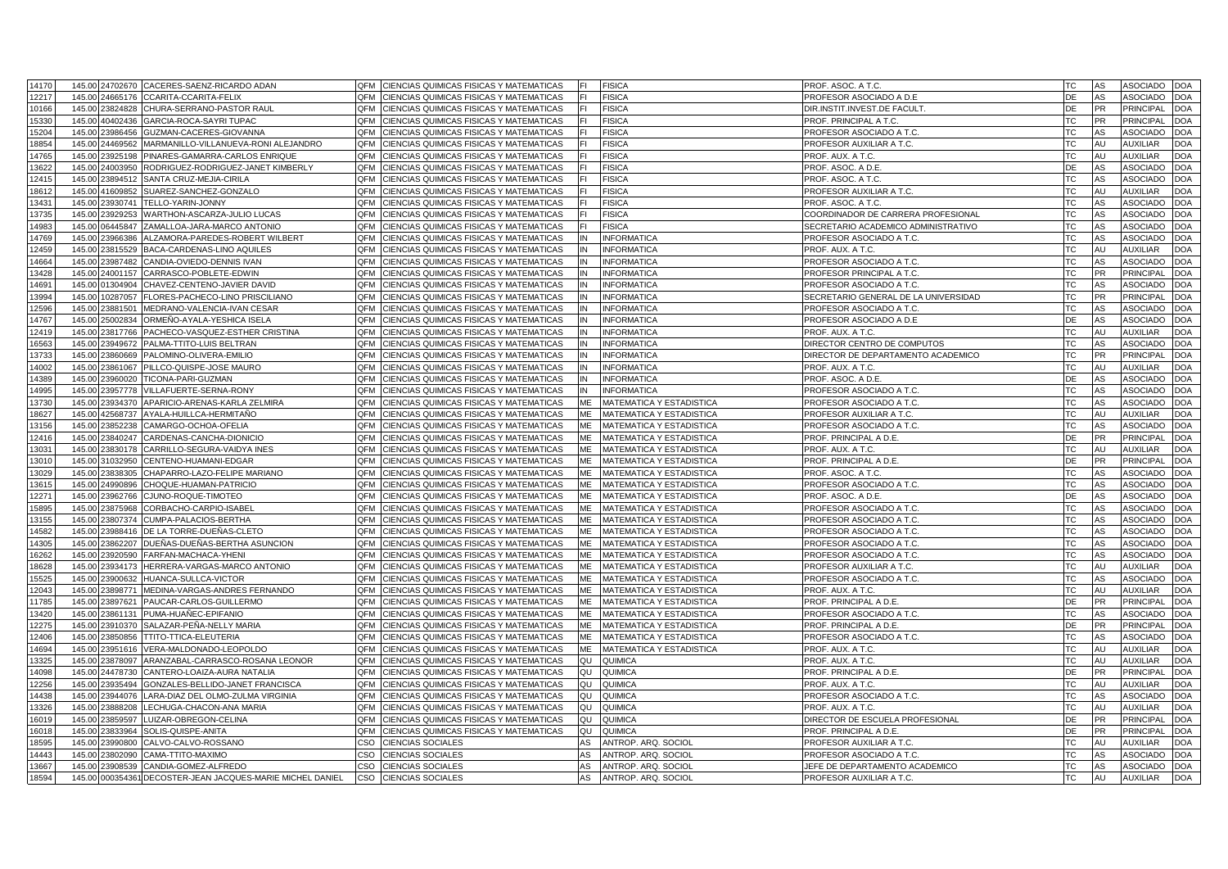| 14170          | 145.00 24702670                         | CACERES-SAENZ-RICARDO ADAN<br>QFM                                      | CIENCIAS QUIMICAS FISICAS Y MATEMATICAS                                                        | <b>FISICA</b>                                        | PROF. ASOC. A T.C.                                   | <b>TC</b>        | AS              | ASOCIADO<br><b>DOA</b>                                         |
|----------------|-----------------------------------------|------------------------------------------------------------------------|------------------------------------------------------------------------------------------------|------------------------------------------------------|------------------------------------------------------|------------------|-----------------|----------------------------------------------------------------|
| 12217          | 145.00 24665176                         | CCARITA-CCARITA-FELIX<br><b>OFM</b>                                    | CIENCIAS QUIMICAS FISICAS Y MATEMATICAS                                                        | <b>FISICA</b>                                        | PROFESOR ASOCIADO A D.E                              | DE               | AS              | ASOCIADO<br><b>DOA</b>                                         |
| 10166          | 145.00 23824828                         | CHURA-SERRANO-PASTOR RAUL<br>QFM                                       | CIENCIAS QUIMICAS FISICAS Y MATEMATICAS                                                        | <b>FISICA</b>                                        | DIR.INSTIT.INVEST.DE FACULT.                         | DE               | PR              | <b>PRINCIPAL</b><br><b>DOA</b>                                 |
| 15330          | 145.00 40402436                         | QFM<br>GARCIA-ROCA-SAYRI TUPAC                                         | CIENCIAS QUIMICAS FISICAS Y MATEMATICAS                                                        | <b>FISICA</b>                                        | PROF. PRINCIPAL A T.C.                               | TC               | <b>PR</b>       | PRINCIPAL<br><b>DOA</b>                                        |
| 15204          | 145.00 23986456                         | <b>OFM</b><br>GUZMAN-CACERES-GIOVANNA                                  | CIENCIAS QUIMICAS FISICAS Y MATEMATICAS                                                        | <b>FISICA</b>                                        | PROFESOR ASOCIADO A T.C.                             | <b>TC</b>        | AS              | <b>ASOCIADO</b><br><b>DOA</b>                                  |
| 18854          | 145.00<br>24469562                      | MARMANILLO-VILLANUEVA-RONI ALEJANDRO<br>QFM                            | CIENCIAS QUIMICAS FISICAS Y MATEMATICAS                                                        | <b>FISICA</b>                                        | PROFESOR AUXILIAR A T.C.                             | TC               | AU              | <b>AUXILIAR</b><br><b>DOA</b>                                  |
| 14765          | 145.00<br>23925198                      | PINARES-GAMARRA-CARLOS ENRIQUE<br>QFM                                  | CIENCIAS QUIMICAS FISICAS Y MATEMATICAS                                                        | <b>FISICA</b>                                        | PROF. AUX. A T.C.                                    | <b>TC</b>        | AU              | <b>AUXILIAR</b><br><b>DOA</b>                                  |
| 13622          | 145.00 24003950                         | RODRIGUEZ-RODRIGUEZ-JANET KIMBERLY<br>QFM                              | CIENCIAS QUIMICAS FISICAS Y MATEMATICAS                                                        | <b>FISICA</b>                                        | PROF. ASOC. A D.E.                                   | DE               | AS              | ASOCIADO<br><b>DOA</b>                                         |
| 12415          | 145.00 23894512                         | QFM<br>SANTA CRUZ-MEJIA-CIRILA                                         | CIENCIAS QUIMICAS FISICAS Y MATEMATICAS                                                        | <b>FISICA</b>                                        | PROF. ASOC. A T.C.                                   | <b>TC</b>        | AS              | <b>ASOCIADO</b><br><b>DOA</b>                                  |
| 18612          | 145.00<br>1609852                       | SUAREZ-SANCHEZ-GONZALO<br>QFM                                          | CIENCIAS QUIMICAS FISICAS Y MATEMATICAS                                                        | <b>FISICA</b>                                        | PROFESOR AUXILIAR A T.C.                             | <b>TC</b>        | AU              | <b>DOA</b><br><b>AUXILIAR</b>                                  |
| 13431          | 145.00<br>23930741                      | TELLO-YARIN-JONNY<br>QFM                                               | CIENCIAS QUIMICAS FISICAS Y MATEMATICAS                                                        | <b>FISICA</b>                                        | PROF. ASOC. A T.C.                                   | TC               | AS              | <b>DOA</b><br>ASOCIADO                                         |
| 13735          | 145.00<br>3929253                       | QFM<br>VARTHON-ASCARZA-JULIO LUCAS                                     | CIENCIAS QUIMICAS FISICAS Y MATEMATICAS                                                        | <b>FISICA</b>                                        | COORDINADOR DE CARRERA PROFESIONAL                   | <b>TC</b>        | AS              | ASOCIADO<br><b>DOA</b>                                         |
| 14983          | 145.00 06445847                         | QFM<br>ZAMALLOA-JARA-MARCO ANTONIO                                     | CIENCIAS QUIMICAS FISICAS Y MATEMATICAS                                                        | <b>FISICA</b>                                        | SECRETARIO ACADEMICO ADMINISTRATIVO                  | TC               | AS              | ASOCIADO<br><b>DOA</b>                                         |
| 14769          | 145.00<br>3966386                       | <b>LZAMORA-PAREDES-ROBERT WILBERT</b><br>QFM                           | CIENCIAS QUIMICAS FISICAS Y MATEMATICAS                                                        | <b>INFORMATICA</b>                                   | PROFESOR ASOCIADO A T.C.                             | <b>TC</b>        | AS              | ASOCIADO<br><b>DOA</b>                                         |
| 12459          | 145.00 23815529                         | QFM<br>BACA-CARDENAS-LINO AQUILES                                      | CIENCIAS QUIMICAS FISICAS Y MATEMATICAS                                                        | <b>INFORMATICA</b>                                   | PROF. AUX. A T.C.                                    | TC               | AU              | <b>AUXILIAR</b><br>DOA                                         |
| 14664          | 145.00<br>23987482                      | QFM<br>CANDIA-OVIEDO-DENNIS IVAN                                       | CIENCIAS QUIMICAS FISICAS Y MATEMATICAS                                                        | <b>INFORMATICA</b>                                   | PROFESOR ASOCIADO A T.C.                             | <b>TC</b>        | AS              | ASOCIADO<br><b>DOA</b>                                         |
| 13428          | 145.00 24001157                         | QFM<br>CARRASCO-POBLETE-EDWIN                                          | CIENCIAS QUIMICAS FISICAS Y MATEMATICAS<br>ΙN                                                  | <b>INFORMATICA</b>                                   | PROFESOR PRINCIPAL A T.C.                            | ТC               | PR              | <b>PRINCIPAL</b><br><b>DOA</b>                                 |
| 14691          | 145.00<br>1304904                       | QFM<br>CHAVEZ-CENTENO-JAVIER DAVID                                     | CIENCIAS QUIMICAS FISICAS Y MATEMATICAS                                                        | <b>INFORMATICA</b>                                   | PROFESOR ASOCIADO A T.C.                             | <b>TC</b>        | AS              | ASOCIADO<br><b>DOA</b>                                         |
| 3994           | 145.00<br>10287057                      | FLORES-PACHECO-LINO PRISCILIANO<br>QFM                                 | CIENCIAS QUIMICAS FISICAS Y MATEMATICAS                                                        | <b>INFORMATICA</b>                                   | SECRETARIO GENERAL DE LA UNIVERSIDAD                 | ТC               | PR              | <b>PRINCIPAL</b><br><b>DOA</b>                                 |
| 12596          | 145.00<br>2388150                       | MEDRANO-VALENCIA-IVAN CESAR<br>QFM                                     | CIENCIAS QUIMICAS FISICAS Y MATEMATICAS                                                        | <b>INFORMATICA</b>                                   | PROFESOR ASOCIADO A T.C.                             | <b>TC</b>        | AS              | ASOCIADO<br><b>DOA</b>                                         |
| 14767          | 145.00 25002834                         | QFM<br>ORMEÑO-AYALA-YESHICA ISELA                                      | CIENCIAS QUIMICAS FISICAS Y MATEMATICAS<br>IN                                                  | <b>INFORMATICA</b>                                   | PROFESOR ASOCIADO A D.E                              | DE               | AS              | ASOCIADO<br><b>DOA</b>                                         |
| 12419          | 145.00<br>23817766                      | QFM<br>PACHECO-VASQUEZ-ESTHER CRISTINA                                 | CIENCIAS QUIMICAS FISICAS Y MATEMATICAS<br>ΙN                                                  | <b>INFORMATICA</b>                                   | PROF. AUX. A T.C.                                    | <b>TC</b>        | AU              | <b>AUXILIAR</b><br><b>DOA</b>                                  |
| 16563          | 145.00 23949672                         | PALMA-TTITO-LUIS BELTRAN<br>QFM                                        | CIENCIAS QUIMICAS FISICAS Y MATEMATICAS<br>IN                                                  | <b>INFORMATICA</b>                                   | DIRECTOR CENTRO DE COMPUTOS                          | TC               | AS              | ASOCIADO<br><b>DOA</b>                                         |
| 13733          | 145.00 23860669                         | PALOMINO-OLIVERA-EMILIO<br>QFM                                         | CIENCIAS QUIMICAS FISICAS Y MATEMATICAS<br>IN                                                  | <b>INFORMATICA</b>                                   | DIRECTOR DE DEPARTAMENTO ACADEMICO                   | <b>TC</b>        | <b>PR</b>       | <b>PRINCIPAL</b><br><b>DOA</b>                                 |
| 14002          | 145.00 23861067                         | PILLCO-QUISPE-JOSE MAURO<br>QFM                                        | CIENCIAS QUIMICAS FISICAS Y MATEMATICAS<br>IN                                                  | <b>INFORMATICA</b>                                   | PROF. AUX. A T.C.                                    | <b>TC</b>        | AU              | <b>AUXILIAR</b><br><b>DOA</b>                                  |
| 14389          | 145.00 23960020                         | TICONA-PARI-GUZMAN<br>OFM                                              | CIENCIAS QUIMICAS FISICAS Y MATEMATICAS<br>IN                                                  | <b>INFORMATICA</b>                                   | PROF. ASOC. A D.E.                                   | <b>DE</b>        | AS              | <b>ASOCIADO</b><br><b>DOA</b>                                  |
| 14995          | 145.00 23957778                         | VILLAFUERTE-SERNA-RONY<br>QFM                                          | CIENCIAS QUIMICAS FISICAS Y MATEMATICAS<br>IN                                                  | <b>INFORMATICA</b>                                   | PROFESOR ASOCIADO A T.C.                             | <b>TC</b>        | AS              | ASOCIADO<br><b>DOA</b>                                         |
| 13730          | 145.00 23934370                         | APARICIO-ARENAS-KARLA ZELMIRA<br>QFM                                   | CIENCIAS QUIMICAS FISICAS Y MATEMATICAS<br><b>ME</b>                                           | MATEMATICA Y ESTADISTICA                             | PROFESOR ASOCIADO A T.C.                             | <b>TC</b>        | AS              | <b>ASOCIADO</b><br><b>DOA</b>                                  |
| 18627          | 145.00 42568737                         | AYALA-HUILLCA-HERMITAÑO<br>QFM                                         | CIENCIAS QUIMICAS FISICAS Y MATEMATICAS<br>ME                                                  | <b>MATEMATICA Y ESTADISTICA</b>                      | PROFESOR AUXILIAR A T.C.                             | <b>TC</b>        | AU              | <b>AUXILIAR</b><br><b>DOA</b>                                  |
| 13156          | 145.00 23852238                         | QFM<br>CAMARGO-OCHOA-OFELIA                                            | CIENCIAS QUIMICAS FISICAS Y MATEMATICAS<br><b>ME</b>                                           | MATEMATICA Y ESTADISTICA                             |                                                      | <b>TC</b>        | AS              | <b>ASOCIADO</b><br><b>DOA</b>                                  |
| 12416          | 145.00 23840247                         | CARDENAS-CANCHA-DIONICIO<br>QFM                                        | CIENCIAS QUIMICAS FISICAS Y MATEMATICAS<br>ME                                                  | MATEMATICA Y ESTADISTICA                             | PROFESOR ASOCIADO A T.C.<br>PROF. PRINCIPAL A D.E.   | DE               | <b>PR</b>       | <b>PRINCIPAL</b><br><b>DOA</b>                                 |
|                |                                         | <b>QFM</b>                                                             | МE                                                                                             |                                                      |                                                      | <b>TC</b>        | AU              | <b>AUXILIAR</b>                                                |
| 13031<br>13010 | 145.00<br>23830178<br>145.00 31032950   | CARRILLO-SEGURA-VAIDYA INES<br>OFM                                     | CIENCIAS QUIMICAS FISICAS Y MATEMATICAS<br>ME                                                  | MATEMATICA Y ESTADISTICA                             | PROF. AUX. A T.C                                     | DE               | <b>PR</b>       | <b>DOA</b><br>PRINCIPAL<br><b>DOA</b>                          |
|                |                                         | CENTENO-HUAMANI-EDGAR<br>QFM                                           | CIENCIAS QUIMICAS FISICAS Y MATEMATICAS                                                        | <b>MATEMATICA Y ESTADISTICA</b>                      | PROF. PRINCIPAL A D.E.                               |                  |                 |                                                                |
| 13029          | 145.00<br>23838305                      | CHAPARRO-LAZO-FELIPE MARIANO                                           | CIENCIAS QUIMICAS FISICAS Y MATEMATICAS<br>ME                                                  | MATEMATICA Y ESTADISTICA                             | PROF. ASOC. A T.C.                                   | <b>TC</b><br>TC. | AS<br>AS        | <b>ASOCIADO</b><br><b>DOA</b>                                  |
| 13615          | 145.00<br>24990896                      | CHOQUE-HUAMAN-PATRICIO<br><b>OFM</b><br>QFM                            | CIENCIAS QUIMICAS FISICAS Y MATEMATICAS<br>ME                                                  | MATEMATICA Y ESTADISTICA                             | PROFESOR ASOCIADO A T.C.                             |                  |                 | ASOCIADO<br><b>DOA</b>                                         |
| 12271          | 145.00<br>23962766                      | CJUNO-ROQUE-TIMOTEO<br>QFM                                             | CIENCIAS QUIMICAS FISICAS Y MATEMATICAS<br>ME<br>ME                                            | MATEMATICA Y ESTADISTICA                             | PROF. ASOC. A D.E.                                   | DE<br><b>TC</b>  | AS<br>AS        | <b>ASOCIADO</b><br><b>DOA</b><br>ASOCIADO<br><b>DOA</b>        |
| 15895          | 145.00<br>23875968<br>145.00 23807374   | CORBACHO-CARPIO-ISABEL<br>QFM                                          | CIENCIAS QUIMICAS FISICAS Y MATEMATICAS<br>ME                                                  | MATEMATICA Y ESTADISTICA                             | PROFESOR ASOCIADO A T.C.                             | <b>TC</b>        | AS              | ASOCIADO                                                       |
| 13155          |                                         | CUMPA-PALACIOS-BERTHA                                                  | CIENCIAS QUIMICAS FISICAS Y MATEMATICAS                                                        | MATEMATICA Y ESTADISTICA                             | PROFESOR ASOCIADO A T.C.                             |                  |                 | <b>DOA</b>                                                     |
| 14582          | 145.00<br>3988416<br>145.00<br>23862207 | DE LA TORRE-DUEÑAS-CLETO<br>QFM<br>QFM                                 | CIENCIAS QUIMICAS FISICAS Y MATEMATICAS<br>МE<br>CIENCIAS QUIMICAS FISICAS Y MATEMATICAS<br>ME | MATEMATICA Y ESTADISTICA                             | PROFESOR ASOCIADO A T.C.                             | TC<br><b>TC</b>  | AS<br>AS        | <b>ASOCIADO</b><br><b>DOA</b><br><b>ASOCIADO</b><br><b>DOA</b> |
| 14305<br>16262 | 145.00                                  | DUEÑAS-DUEÑAS-BERTHA ASUNCION<br>QFM                                   | МE                                                                                             | <b>MATEMATICA Y ESTADISTICA</b>                      | PROFESOR ASOCIADO A T.C.<br>PROFESOR ASOCIADO A T.C. | <b>TC</b>        | AS              | ASOCIADO<br><b>DOA</b>                                         |
| 18628          | 23920590                                | FARFAN-MACHACA-YHENI<br><b>OFM</b>                                     | CIENCIAS QUIMICAS FISICAS Y MATEMATICAS<br>ME                                                  | MATEMATICA Y ESTADISTICA                             |                                                      | <b>TC</b>        | AU              | <b>AUXILIAR</b><br><b>DOA</b>                                  |
| 15525          | 145.00 23934173<br>145.00               | HERRERA-VARGAS-MARCO ANTONIO<br>QFM                                    | CIENCIAS QUIMICAS FISICAS Y MATEMATICAS<br>ИE                                                  | MATEMATICA Y ESTADISTICA<br>MATEMATICA Y ESTADISTICA | PROFESOR AUXILIAR A T.C.<br>PROFESOR ASOCIADO A T.C. | <b>TC</b>        | AS              | <b>DOA</b><br><b>ASOCIADO</b>                                  |
|                | 3900632                                 | HUANCA-SULLCA-VICTOR                                                   | CIENCIAS QUIMICAS FISICAS Y MATEMATICAS<br>MF                                                  |                                                      |                                                      |                  | AU              |                                                                |
| 12043<br>11785 | 145.00<br>23898771<br>145.00<br>3897621 | MEDINA-VARGAS-ANDRES FERNANDO<br>QFM<br>QFM<br>PAUCAR-CARLOS-GUILLERMO | CIENCIAS QUIMICAS FISICAS Y MATEMATICAS<br>CIENCIAS QUIMICAS FISICAS Y MATEMATICAS<br>МE       | MATEMATICA Y ESTADISTICA<br>MATEMATICA Y ESTADISTICA | PROF. AUX. A T.C.<br>PROF. PRINCIPAL A D.E.          | TC<br>DE         | PR.             | <b>AUXILIAR</b><br><b>DOA</b><br>PRINCIPAL<br><b>DOA</b>       |
|                |                                         | QFM                                                                    | ME                                                                                             |                                                      |                                                      | <b>TC</b>        |                 |                                                                |
| 13420<br>12275 | 145.00 23861131<br>145.00               | PUMA-HUAÑEC-EPIFANIO<br>QFM                                            | CIENCIAS QUIMICAS FISICAS Y MATEMATICAS                                                        | <b>MATEMATICA Y ESTADISTICA</b>                      | PROFESOR ASOCIADO A T.C.                             | DE               | AS<br><b>PR</b> | ASOCIADO<br><b>DOA</b><br><b>PRINCIPAL</b><br><b>DOA</b>       |
|                | 3910370                                 | SALAZAR-PEÑA-NELLY MARIA                                               | CIENCIAS QUIMICAS FISICAS Y MATEMATICAS<br>ME                                                  | MATEMATICA Y ESTADISTICA                             | PROF. PRINCIPAL A D.E.                               | TC               | AS              | <b>ASOCIADO</b><br><b>DOA</b>                                  |
| 12406          | 145.00 23850856                         | TTITO-TTICA-ELEUTERIA<br>QFM                                           | CIENCIAS QUIMICAS FISICAS Y MATEMATICAS                                                        | <b>MATEMATICA Y ESTADISTICA</b>                      | PROFESOR ASOCIADO A T.C.                             | <b>TC</b>        | AU              |                                                                |
| 14694          | 145.00<br>23951616                      | QFM<br>/ERA-MALDONADO-LEOPOLDO                                         | CIENCIAS QUIMICAS FISICAS Y MATEMATICAS<br>МE                                                  | MATEMATICA Y ESTADISTICA                             | PROF. AUX. A T.C.                                    |                  |                 | <b>AUXILIAR</b><br><b>DOA</b>                                  |
| 13325          | 145.00 23878097                         | ARANZABAL-CARRASCO-ROSANA LEONOR<br>QFM                                | CIENCIAS QUIMICAS FISICAS Y MATEMATICAS<br>QU                                                  | QUIMICA                                              | PROF. AUX. A T.C.                                    | TC               | AU              | <b>AUXILIAR</b><br><b>DOA</b>                                  |
| 14098          | 145.00<br>24478730                      | QFM<br>CANTERO-LOAIZA-AURA NATALIA                                     | CIENCIAS QUIMICAS FISICAS Y MATEMATICAS<br>JC                                                  | QUIMICA                                              | PROF. PRINCIPAL A D.E.                               | DE               | PR              | <b>PRINCIPAI</b><br><b>DOA</b>                                 |
| 12256          | 145.00 23935494                         | GONZALES-BELLIDO-JANET FRANCISCA<br>QFM                                | CIENCIAS QUIMICAS FISICAS Y MATEMATICAS<br>QU                                                  | QUIMICA                                              | PROF. AUX. A T.C.                                    | ТC               | AU              | <b>AUXILIAR</b><br><b>DOA</b>                                  |
| 14438          | 145.00<br>23944076                      | QFM<br>ARA-DIAZ DEL OLMO-ZULMA VIRGINIA                                | CIENCIAS QUIMICAS FISICAS Y MATEMATICAS<br>υc                                                  | QUIMICA                                              | PROFESOR ASOCIADO A T.C.                             | <b>TC</b>        | AS              | ASOCIADC<br><b>DOA</b>                                         |
| 13326          | 145.00 23888208                         | QFM<br>ECHUGA-CHACON-ANA MARIA                                         | CIENCIAS QUIMICAS FISICAS Y MATEMATICAS<br>วบ                                                  | QUIMICA                                              | PROF. AUX. A T.C.                                    | ТC               | AU              | <b>AUXILIAR</b><br><b>DOA</b>                                  |
| 16019          | 145.00<br>23859597                      | UIZAR-OBREGON-CELINA<br>QFM                                            | CIENCIAS QUIMICAS FISICAS Y MATEMATICAS<br>QU                                                  | QUIMICA                                              | DIRECTOR DE ESCUELA PROFESIONAL                      | DE               | <b>PR</b>       | <b>PRINCIPAL</b><br><b>DOA</b>                                 |
| 16018          | 145.00 23833964                         | SOLIS-QUISPE-ANITA<br>QFM                                              | CIENCIAS QUIMICAS FISICAS Y MATEMATICAS<br>QU                                                  | QUIMICA                                              | PROF. PRINCIPAL A D.E.                               | DE               | <b>PR</b>       | <b>PRINCIPAL</b><br><b>DOA</b>                                 |
| 18595          | 145.00<br>23990800                      | CALVO-CALVO-ROSSANO<br>CSO                                             | CIENCIAS SOCIALES                                                                              | ANTROP. ARQ. SOCIOL                                  | PROFESOR AUXILIAR A T.C                              | <b>TC</b>        | AU              | <b>AUXILIAR</b><br><b>DOA</b>                                  |
| 4443           | 145.00 23802090                         | CSO<br>OMIXAM-TTITO-MAXIMO                                             | AS<br>CIENCIAS SOCIALES                                                                        | ANTROP. ARQ. SOCIOL                                  | PROFESOR ASOCIADO A T.C.                             | <b>TC</b>        | AS              | ASOCIADO<br><b>DOA</b>                                         |
| 13667          | 145.00<br>23908539                      | CANDIA-GOMEZ-ALFREDO<br>CSO                                            | CIENCIAS SOCIALES<br>AS                                                                        | ANTROP. ARQ. SOCIOL                                  | JEFE DE DEPARTAMENTO ACADEMICO                       | <b>TC</b>        | AS              | <b>DOA</b><br><b>ASOCIADO</b>                                  |
| 18594          |                                         | 145.00 000354361 DECOSTER-JEAN JACQUES-MARIE MICHEL DANIEL             | CSO CIENCIAS SOCIALES<br>AS                                                                    | ANTROP. ARQ. SOCIOL                                  | PROFESOR AUXILIAR A T.C.                             | <b>TC</b>        | AU              | <b>AUXILIAR</b><br><b>DOA</b>                                  |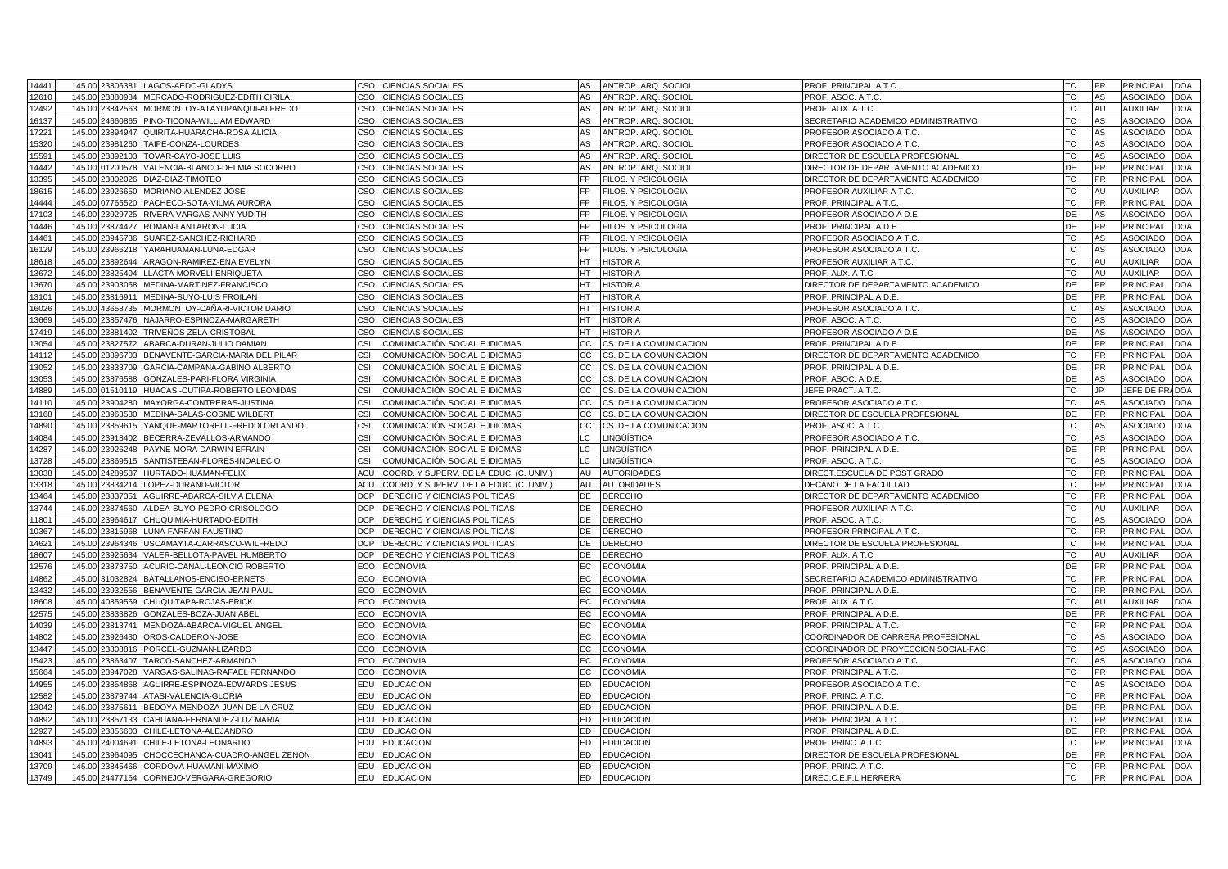| 14441 | LAGOS-AEDO-GLADYS<br>145.00 23806381                   | CSO        | <b>CIENCIAS SOCIALES</b>                |           | AS ANTROP. ARQ. SOCIOL | PROF. PRINCIPAL A T.C.               | TC        | PR        | PRINCIPAL        | <b>DOA</b> |
|-------|--------------------------------------------------------|------------|-----------------------------------------|-----------|------------------------|--------------------------------------|-----------|-----------|------------------|------------|
| 12610 | 145.00<br>23880984<br>MERCADO-RODRIGUEZ-EDITH CIRILA   | CSO        | <b>CIENCIAS SOCIALES</b>                | AS        | ANTROP. ARQ. SOCIOL    | PROF. ASOC. A T.C.                   | TC        | AS        | <b>ASOCIADO</b>  | <b>DOA</b> |
| 12492 | 145.00<br>23842563<br>MORMONTOY-ATAYUPANQUI-ALFREDO    | CSO        | <b>CIENCIAS SOCIALES</b>                | AS        | ANTROP. ARQ. SOCIOL    | PROF. AUX. A T.C.                    | <b>TC</b> | AU        | <b>AUXILIAR</b>  | <b>DOA</b> |
| 16137 | 145.00<br>24660865<br>PINO-TICONA-WILLIAM EDWARD       | CSO        | <b>CIENCIAS SOCIALES</b>                | AS        | ANTROP. ARQ. SOCIOL    | SECRETARIO ACADEMICO ADMINISTRATIVO  | TC        | AS        | <b>ASOCIADO</b>  | <b>DOA</b> |
| 17221 | 145.00<br>23894947<br>QUIRITA-HUARACHA-ROSA ALICIA     | <b>CSO</b> | <b>CIENCIAS SOCIALES</b>                | AS        | ANTROP. ARQ. SOCIOL    | PROFESOR ASOCIADO A T.C.             | <b>TC</b> | AS        | <b>ASOCIADO</b>  | <b>DOA</b> |
| 15320 | 145.00<br>23981260<br>TAIPE-CONZA-LOURDES              | <b>CSO</b> | <b>CIENCIAS SOCIALES</b>                | AS        | ANTROP. ARQ. SOCIOL    | PROFESOR ASOCIADO A T.C.             | TC        | AS        | <b>ASOCIADO</b>  | <b>DOA</b> |
| 15591 | 145.00<br>23892103<br>TOVAR-CAYO-JOSE LUIS             | CSO        | <b>CIENCIAS SOCIALES</b>                | AS        | ANTROP, ARQ, SOCIOL    | DIRECTOR DE ESCUELA PROFESIONAL      | <b>TC</b> | AS        | ASOCIADO         | <b>DOA</b> |
| 14442 | 145.00<br>VALENCIA-BLANCO-DELMIA SOCORRO<br>01200578   | CSO        | <b>CIENCIAS SOCIALES</b>                | AS        | ANTROP. ARQ. SOCIOL    | DIRECTOR DE DEPARTAMENTO ACADEMICO   | DE        | <b>PR</b> | PRINCIPAL        | <b>DOA</b> |
| 13395 | 145.00<br>23802026<br>DIAZ-DIAZ-TIMOTEO                | CSO        | CIENCIAS SOCIALES                       | FP        | FILOS. Y PSICOLOGIA    | DIRECTOR DE DEPARTAMENTO ACADEMICO   | <b>TC</b> | <b>PR</b> | PRINCIPAL        | <b>DOA</b> |
| 18615 | 145.00<br>23926650<br>MORIANO-ALENDEZ-JOSE             | CSO        | CIENCIAS SOCIALES                       | FP        | FILOS. Y PSICOLOGIA    | PROFESOR AUXILIAR A T.C.             | <b>TC</b> | AU        | <b>AUXILIAR</b>  | DOA        |
| 14444 | 145.00<br>07765520<br>PACHECO-SOTA-VILMA AURORA        | CSO        | <b>CIENCIAS SOCIALES</b>                | FP.       | FILOS. Y PSICOLOGIA    | PROF. PRINCIPAL A T.C                | <b>TC</b> | PR        | PRINCIPAL        | DOA        |
| 17103 | 145.00<br>23929725<br>RIVERA-VARGAS-ANNY YUDITH        | CSO        | CIENCIAS SOCIALES                       | FP        | FILOS. Y PSICOLOGIA    | PROFESOR ASOCIADO A D.E              | DE        | AS        | ASOCIADO         | DOA        |
| 14446 | 145.00 23874427<br>ROMAN-LANTARON-LUCIA                | cso        | <b>CIENCIAS SOCIALES</b>                | FP.       | FILOS. Y PSICOLOGIA    | PROF. PRINCIPAL A D.E.               | DE        | <b>PR</b> | PRINCIPAL        | DOA        |
| 14461 | 145.00<br>23945736<br>SUAREZ-SANCHEZ-RICHARD           | CSO        | CIENCIAS SOCIALES                       | FР        | FILOS. Y PSICOLOGIA    | PROFESOR ASOCIADO A T.C.             | ТC        | AS        | ASOCIADC         | <b>OC</b>  |
| 16129 | 145.00<br>23966218<br>YARAHUAMAN-LUNA-EDGAR            | cso        | CIENCIAS SOCIALES                       | FP.       | FILOS. Y PSICOLOGIA    | PROFESOR ASOCIADO A T.C.             | ТC        | AS        | ASOCIADO         | <b>OC</b>  |
| 18618 | 145.00<br>23892644<br>ARAGON-RAMIREZ-ENA EVELYN        | cso        | CIENCIAS SOCIALES                       | <b>HT</b> | <b>HISTORIA</b>        | PROFESOR AUXILIAR A T.C.             | ТC        | AU        | <b>AUXILIAR</b>  | <b>DOA</b> |
| 13672 | 145.00<br>23825404<br>LACTA-MORVELI-ENRIQUETA          | <b>CSO</b> | CIENCIAS SOCIALES                       | НT        | <b>HISTORIA</b>        | PROF. AUX. A T.C.                    | ТC        | AU        | <b>AUXILIAR</b>  | <b>DOA</b> |
| 13670 | 145.0<br>23903058<br>MEDINA-MARTINEZ-FRANCISCC         | CSO        | CIENCIAS SOCIALES                       | <b>HT</b> | <b>HISTORIA</b>        | DIRECTOR DE DEPARTAMENTO ACADEMICO   | DE        | PR        | PRINCIPAL        | <b>OC</b>  |
| 13101 | 145.00<br>MEDINA-SUYO-LUIS FROILAN<br>23816911         | cso        | CIENCIAS SOCIALES                       | НT        | <b>HISTORIA</b>        | PROF. PRINCIPAL A D.E.               | DE        | PR        | PRINCIPAL        | <b>OC</b>  |
| 16026 | 145.00<br>43658735<br>MORMONTOY-CAÑARI-VICTOR DARIO    | cso        | CIENCIAS SOCIALES                       | <b>HT</b> | <b>HISTORIA</b>        | PROFESOR ASOCIADO A T.C.             | <b>TC</b> | AS        | ASOCIADC         | <b>OC</b>  |
| 13669 | 145.00<br>23857476<br>NAJARRO-ESPINOZA-MARGARETH       | CSO        | CIENCIAS SOCIALES                       | <b>HT</b> | <b>HISTORIA</b>        | PROF. ASOC. A T.C.                   | ТC        | AS        | ASOCIADO         | DOA        |
| 17419 | 145.00<br>23881402<br>TRIVEÑOS-ZELA-CRISTOBAL          | CSO        | CIENCIAS SOCIALES                       | HT.       | <b>HISTORIA</b>        | PROFESOR ASOCIADO A D.E              | DE        | AS        | ASOCIADO         | DOA        |
| 13054 | 145.00<br>23827572<br>ABARCA-DURAN-JULIO DAMIAN        | CSI        | COMUNICACIÓN SOCIAL E IDIOMAS           | СC        | CS. DE LA COMUNICACION | PROF. PRINCIPAL A D.E.               | DE        | <b>PR</b> | PRINCIPAL        | DOA        |
| 14112 | 145.00<br>23896703<br>BENAVENTE-GARCIA-MARIA DEL PILAR | CSI        | COMUNICACIÓN SOCIAL E IDIOMAS           | СC        | CS. DE LA COMUNICACION | DIRECTOR DE DEPARTAMENTO ACADEMICO   | <b>TC</b> | <b>PR</b> | PRINCIPAL        | <b>DOA</b> |
| 13052 | 145.00 23833709<br>GARCIA-CAMPANA-GABINO ALBERTO       | CSI        | COMUNICACIÓN SOCIAL E IDIOMAS           | СC        | CS. DE LA COMUNICACION | PROF. PRINCIPAL A D.E.               | DE        | <b>PR</b> | PRINCIPAL        | <b>DOA</b> |
| 13053 | 145.00<br>23876588<br>GONZALES-PARI-FLORA VIRGINIA     | CSI        | COMUNICACIÓN SOCIAL E IDIOMAS           | CC        | CS. DE LA COMUNICACION | PROF. ASOC. A D.E.                   | DE        | AS        | ASOCIADO         | <b>DOA</b> |
| 14889 | 145.00 01510119<br>HUACASI-CUTIPA-ROBERTO LEONIDAS     | CSI        | COMUNICACIÓN SOCIAL E IDIOMAS           | СC        | CS. DE LA COMUNICACION | JEFE PRACT. A T.C.                   | TC        | JP.       | JEFE DE PRADOA   |            |
| 14110 | 145.00<br>23904280<br>MAYORGA-CONTRERAS-JUSTINA        | CSI        | COMUNICACIÓN SOCIAL E IDIOMAS           | cc        | CS. DE LA COMUNICACION | PROFESOR ASOCIADO A T.C.             | TC        | AS        | ASOCIADC         | <b>DOA</b> |
| 13168 | 145.00 23963530<br>MEDINA-SALAS-COSME WILBERT          | CSI        | COMUNICACIÓN SOCIAL E IDIOMAS           | CC        | CS. DE LA COMUNICACION | DIRECTOR DE ESCUELA PROFESIONAL      | DE        | PR        | PRINCIPAL        | <b>DOA</b> |
| 14890 | 145.00<br>23859615<br>YANQUE-MARTORELL-FREDDI ORLANDO  | <b>CSI</b> | COMUNICACIÓN SOCIAL E IDIOMAS           | CC        | CS. DE LA COMUNICACION | PROF. ASOC. A T.C.                   | TC        | AS        | ASOCIADC         | <b>DOA</b> |
| 14084 | 145.00<br>BECERRA-ZEVALLOS-ARMANDO<br>23918402         | CSI        | COMUNICACIÓN SOCIAL E IDIOMAS           | LC        | <b>LINGÜÍSTICA</b>     | PROFESOR ASOCIADO A T.C.             | <b>TC</b> | AS        | <b>ASOCIADO</b>  | <b>DOA</b> |
| 14287 | 145.00<br>23926248<br>PAYNE-MORA-DARWIN EFRAIN         | <b>CSI</b> | COMUNICACIÓN SOCIAL E IDIOMAS           | LC        | LINGÜÍSTICA            | PROF. PRINCIPAL A D.E.               | DE        | PR        | <b>PRINCIPAL</b> | <b>DOA</b> |
| 13728 | 145.00<br>23869515<br>SANTISTEBAN-FLORES-INDALECIO     | CSI        | COMUNICACIÓN SOCIAL E IDIOMAS           | LC.       | LINGÜÍSTICA            | PROF. ASOC. A T.C.                   | TC        | AS        | <b>ASOCIADO</b>  | <b>DOA</b> |
| 13038 | 145.00<br>24289587<br>HURTADO-HUAMAN-FELIX             | <b>ACU</b> | COORD. Y SUPERV. DE LA EDUC. (C. UNIV.) | AU        | <b>AUTORIDADES</b>     | DIRECT.ESCUELA DE POST GRADO         | TC        | <b>PR</b> | PRINCIPAL        | <b>DOA</b> |
| 13318 | 145.00<br>23834214<br>OPEZ-DURAND-VICTOR               | ACU        | COORD. Y SUPERV. DE LA EDUC. (C. UNIV.) | AU        | <b>AUTORIDADES</b>     | DECANO DE LA FACULTAD                | <b>TC</b> | PR        | PRINCIPAL        | DOA        |
| 13464 | 145.00<br>23837351<br>AGUIRRE-ABARCA-SILVIA ELENA      | <b>DCP</b> | DERECHO Y CIENCIAS POLITICAS            | DE        | <b>DERECHO</b>         | DIRECTOR DE DEPARTAMENTO ACADEMICO   | <b>TC</b> | <b>PR</b> | PRINCIPAL        | <b>DOA</b> |
| 13744 | 145.00<br>ALDEA-SUYO-PEDRO CRISOLOGO<br>23874560       | <b>DCP</b> | DERECHO Y CIENCIAS POLITICAS            | DE        | <b>DERECHO</b>         | PROFESOR AUXILIAR A T.C.             | ТC        | AU        | <b>AUXILIAR</b>  | <b>DOA</b> |
| 11801 | 145.00<br>23964617<br>CHUQUIMIA-HURTADO-EDITH          | <b>DCP</b> | DERECHO Y CIENCIAS POLITICAS            | DE        | <b>DERECHO</b>         | PROF. ASOC. A T.C.                   | <b>TC</b> | AS        | ASOCIADO         | <b>DOA</b> |
| 10367 | 145.00<br>23815968<br>LUNA-FARFAN-FAUSTINO             | <b>DCP</b> | DERECHO Y CIENCIAS POLITICAS            | DE        | <b>DERECHO</b>         | PROFESOR PRINCIPAL A T.C.            | ТC        | <b>PR</b> | PRINCIPAL        | <b>DOA</b> |
| 14621 | 23964346<br>USCAMAYTA-CARRASCO-WILFREDO<br>145.00      | <b>DCP</b> | DERECHO Y CIENCIAS POLITICAS            | DE        | <b>DERECHO</b>         | DIRECTOR DE ESCUELA PROFESIONAL      | <b>TC</b> | PR        | <b>PRINCIPAL</b> | <b>DOA</b> |
| 18607 | 145.00<br>23925634<br>VALER-BELLOTA-PAVEL HUMBERTO     | <b>DCP</b> | DERECHO Y CIENCIAS POLITICAS            | DE        | <b>DERECHO</b>         | PROF. AUX. A T.C.                    | ТC        | AU        | <b>AUXILIAR</b>  | <b>DOA</b> |
| 12576 | ACURIO-CANAL-LEONCIO ROBERTO<br>145.00<br>23873750     | <b>ECO</b> | <b>ECONOMIA</b>                         | EC        | <b>ECONOMIA</b>        | PROF. PRINCIPAL A D.E.               | DE        | PR        | PRINCIPAL        | <b>DOA</b> |
| 14862 | 145.00<br>31032824<br>BATALLANOS-ENCISO-ERNETS         | ECO        | <b>ECONOMIA</b>                         | EC.       | <b>ECONOMIA</b>        | SECRETARIO ACADEMICO ADMINISTRATIVO  | <b>TC</b> | <b>PR</b> | PRINCIPAL        | DOA        |
| 13432 | 145.00<br>23932556<br>BENAVENTE-GARCIA-JEAN PAUL       | ECO        | <b>ECONOMIA</b>                         | ЕC        | <b>ECONOMIA</b>        | PROF. PRINCIPAL A D.E.               | <b>TC</b> | PR        | PRINCIPAL        | <b>DOA</b> |
| 18608 | 145.00<br>40859559<br>CHUQUITAPA-ROJAS-ERICK           | ECO        | <b>ECONOMIA</b>                         | EC        | <b>ECONOMIA</b>        | PROF. AUX. A T.C.                    | <b>TC</b> | AU        | <b>AUXILIAR</b>  | <b>DOA</b> |
| 12575 | 145.00<br>23833826<br>GONZALES-BOZA-JUAN ABEL          | <b>ECO</b> | <b>ECONOMIA</b>                         | EC        | <b>ECONOMIA</b>        | PROF. PRINCIPAL A D.E.               | DE        | <b>PR</b> | PRINCIPAL        | <b>DOA</b> |
| 14039 | 145.00<br>23813741<br>MENDOZA-ABARCA-MIGUEL ANGEL      | ECO        | <b>ECONOMIA</b>                         | EC.       | <b>ECONOMIA</b>        | PROF. PRINCIPAL A T.C.               | <b>TC</b> | <b>PR</b> | PRINCIPAL        | DOA        |
| 14802 | 145.00<br>23926430<br>OROS-CALDERON-JOSE               | ECO        | <b>ECONOMIA</b>                         | ЕC        | <b>ECONOMIA</b>        | COORDINADOR DE CARRERA PROFESIONAL   | TC        | AS        | ASOCIADO         | DOA        |
| 13447 | 145.00<br>PORCEL-GUZMAN-LIZARDO<br>23808816            | ECO        | <b>ECONOMIA</b>                         | ЕC        | <b>ECONOMIA</b>        | COORDINADOR DE PROYECCION SOCIAL-FAC | <b>TC</b> | AS        | ASOCIADO         | DOA        |
| 15423 | 145.00<br>23863407<br>TARCO-SANCHEZ-ARMANDO            | ECO        | <b>ECONOMIA</b>                         | EC        | <b>ECONOMIA</b>        | PROFESOR ASOCIADO A T.C.             | TC        | AS        | <b>ASOCIADO</b>  | DOA        |
| 15664 | 145.0<br>23947028<br>/ARGAS-SALINAS-RAFAEL FERNANDO    | ECO        | <b>ECONOMIA</b>                         | ЕC        | <b>ECONOMIA</b>        | PROF. PRINCIPAL A T.C                | <b>TC</b> | PR        | PRINCIPAL        | <b>DOA</b> |
| 14955 | 145.00<br>23854868<br>AGUIRRE-ESPINOZA-EDWARDS JESUS   | EDU        | <b>EDUCACION</b>                        | ED        | <b>EDUCACION</b>       | PROFESOR ASOCIADO A T.C.             | TC        | AS        | ASOCIADO         | <b>DOA</b> |
| 12582 | 145.00<br>23879744<br>ATASI-VALENCIA-GLORIA            | EDU        | <b>EDUCACION</b>                        | ED        | EDUCACION              | PROF. PRINC. A T.C                   | <b>TC</b> | PR        | PRINCIPAL        | <b>OC</b>  |
| 13042 | 145.00<br>23875611<br>BEDOYA-MENDOZA-JUAN DE LA CRUZ   | EDU        | <b>EDUCACION</b>                        | ED        | <b>EDUCACION</b>       | PROF. PRINCIPAL A D.E.               | DE        | <b>PR</b> | PRINCIPAL        | DOA        |
| 14892 | 145.00<br>23857133<br>CAHUANA-FERNANDEZ-LUZ MARIA      | EDU        | <b>EDUCACION</b>                        | ED.       | <b>EDUCACION</b>       | PROF. PRINCIPAL A T.C.               | <b>TC</b> | PR        | PRINCIPAL        | DOA        |
| 12927 | 145.00<br>23856603<br>CHILE-LETONA-ALEJANDRO           | EDU        | <b>EDUCACION</b>                        |           | ED EDUCACION           | PROF. PRINCIPAL A D.E.               | DE        | <b>PR</b> | PRINCIPAL        | DOA        |
| 14893 | 145.00<br>24004691<br>CHILE-LETONA-LEONARDO            | EDU        | <b>EDUCACION</b>                        | ED        | <b>EDUCACION</b>       | PROF. PRINC. A T.C.                  | <b>TC</b> | PR        | PRINCIPAL        | DOA        |
| 13041 | 145.00<br>23964095<br>CHOCCECHANCA-CUADRO-ANGEL ZENON  | EDU        | <b>EDUCACION</b>                        |           | ED EDUCACION           | DIRECTOR DE ESCUELA PROFESIONAL      | DE        | PR        | PRINCIPAL        | <b>DOA</b> |
| 13709 | 145.00<br>23845466<br>CORDOVA-HUAMANI-MAXIMO           | EDU        | <b>EDUCACION</b>                        | ED        | <b>EDUCACION</b>       | PROF. PRINC. A T.C.                  | <b>TC</b> | <b>PR</b> | PRINCIPAL        | <b>DOA</b> |
| 13749 | 145.00 24477164<br>CORNEJO-VERGARA-GREGORIO            |            | EDU EDUCACION                           |           | ED EDUCACION           | DIREC.C.E.F.L.HERRERA                | <b>TC</b> | <b>PR</b> | <b>PRINCIPAL</b> | <b>DOA</b> |
|       |                                                        |            |                                         |           |                        |                                      |           |           |                  |            |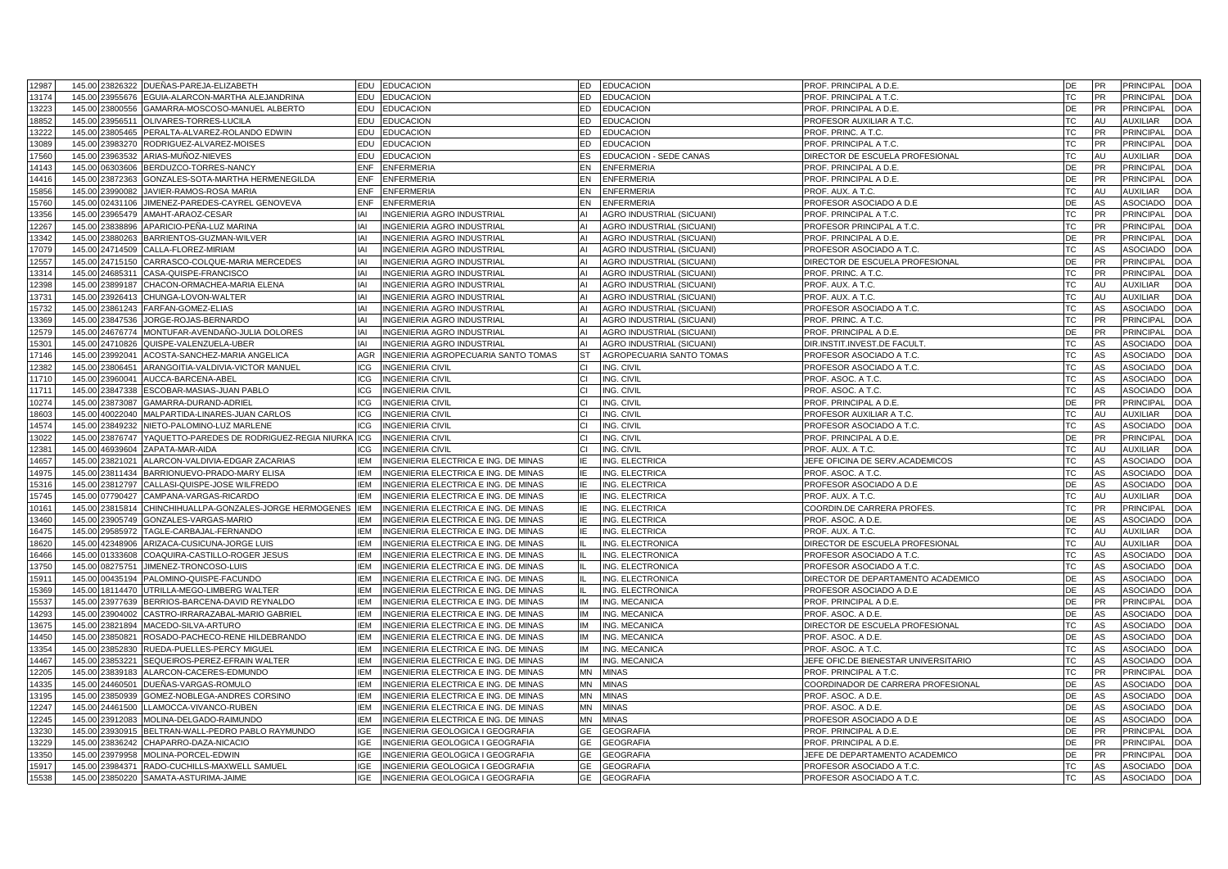| 12987          |        |                                    | 145.00 23826322 DUEÑAS-PAREJA-ELIZABETH                 | EDU EDUCACION                                                                                            | ED<br><b>EDUCACION</b>                 | PROF. PRINCIPAL A D.E                                 | DE<br>PR                    | <b>PRINCIPAL</b><br><b>DOA</b>                                  |
|----------------|--------|------------------------------------|---------------------------------------------------------|----------------------------------------------------------------------------------------------------------|----------------------------------------|-------------------------------------------------------|-----------------------------|-----------------------------------------------------------------|
| 13174          | 145.00 | 3955676                            | EGUIA-ALARCON-MARTHA ALEJANDRINA                        | EDU<br><b>EDUCACION</b>                                                                                  | ED<br>EDUCACION                        | PROF. PRINCIPAL A T.C.                                | <b>TC</b><br><b>PR</b>      | <b>PRINCIPAL</b><br><b>DOA</b>                                  |
| 13223          | 145.00 | 23800556                           | GAMARRA-MOSCOSO-MANUEL ALBERTO                          | EDU<br><b>EDUCACION</b>                                                                                  | ED.<br><b>EDUCACION</b>                | PROF. PRINCIPAL A D.E                                 | DE<br>PR                    | <b>PRINCIPAL</b><br><b>DOA</b>                                  |
| 18852          | 145.00 | 3956511                            | OLIVARES-TORRES-LUCILA                                  | EDU<br><b>EDUCACION</b>                                                                                  | ED<br>EDUCACION                        | PROFESOR AUXILIAR A T.C.                              | <b>TC</b><br>AU             | <b>AUXILIAR</b><br><b>DOA</b>                                   |
| 3222           | 145.00 | 23805465                           | PERALTA-ALVAREZ-ROLANDO EDWIN                           | EDU<br><b>EDUCACION</b>                                                                                  | ED.<br><b>EDUCACION</b>                | PROF. PRINC. A T.C                                    | TC.<br>PR                   | <b>PRINCIPAL</b><br><b>DOA</b>                                  |
| 13089          | 145.00 | 3983270                            | RODRIGUEZ-ALVAREZ-MOISES                                | EDU<br><b>EDUCACION</b>                                                                                  | ED<br><b>EDUCACION</b>                 | PROF. PRINCIPAL A T.C.                                | <b>TC</b><br>PR             | <b>PRINCIPAL</b><br><b>DOA</b>                                  |
| 17560          | 145.00 | 23963532                           | ARIAS-MUÑOZ-NIEVES                                      | EDU<br><b>EDUCACION</b>                                                                                  | ES<br>EDUCACION - SEDE CANAS           | DIRECTOR DE ESCUELA PROFESIONAL                       | ТC<br>AU                    | <b>AUXILIAR</b><br><b>DOA</b>                                   |
| 14143          | 145.00 | 6303606                            | BERDUZCO-TORRES-NANCY                                   | ENF<br><b>ENFERMERIA</b>                                                                                 | EN<br><b>ENFERMERIA</b>                | PROF. PRINCIPAL A D.E                                 | DE<br><b>PR</b>             | <b>PRINCIPAL</b><br><b>DOA</b>                                  |
| 14416          |        | 145.00 23872363                    | GONZALES-SOTA-MARTHA HERMENEGILDA                       | ENF<br><b>ENFERMERIA</b>                                                                                 | EN<br><b>ENFERMERIA</b>                | PROF. PRINCIPAL A D.E.                                | DE<br><b>PR</b>             | PRINCIPAL<br><b>DOA</b>                                         |
| 15856          | 145.00 | 23990082                           | JAVIER-RAMOS-ROSA MARIA                                 | <b>ENF</b><br><b>ENFERMERIA</b>                                                                          | EN<br><b>ENFERMERIA</b>                | PROF. AUX. A T.C.                                     | <b>TC</b><br>AU             | <b>AUXILIAR</b><br><b>DOA</b>                                   |
| 15760          |        | 145.00 02431106                    | JIMENEZ-PAREDES-CAYREL GENOVEVA                         | ENF<br><b>ENFERMERIA</b>                                                                                 | EN<br><b>ENFERMERIA</b>                | PROFESOR ASOCIADO A D.E                               | AS<br>DE                    | <b>ASOCIADO</b><br><b>DOA</b>                                   |
| 13356          |        | 145.00 23965479                    | AMAHT-ARAOZ-CESAR                                       | <b>IAI</b><br><b>INGENIERIA AGRO INDUSTRIAL</b>                                                          | AI<br>AGRO INDUSTRIAL (SICUANI)        | PROF. PRINCIPAL A T.C.                                | <b>TC</b><br>PR             | <b>PRINCIPAL</b><br><b>DOA</b>                                  |
| 12267          |        | 145.00 23838896                    | APARICIO-PEÑA-LUZ MARINA                                | IAI<br><b>INGENIERIA AGRO INDUSTRIAL</b>                                                                 | ΔI<br>AGRO INDUSTRIAL (SICUANI)        | PROFESOR PRINCIPAL A T.C.                             | TC<br><b>PR</b>             | PRINCIPAL<br><b>DOA</b>                                         |
| 13342          | 145.00 | 23880263                           | BARRIENTOS-GUZMAN-WILVER                                | <b>IAI</b><br>INGENIERIA AGRO INDUSTRIAL                                                                 | AI<br>AGRO INDUSTRIAL (SICUANI)        | PROF. PRINCIPAL A D.E                                 | DE<br><b>PR</b>             | <b>PRINCIPAL</b><br><b>DOA</b>                                  |
| 17079          |        | 145.00 24714509                    | CALLA-FLOREZ-MIRIAM                                     | IAI<br><b>INGENIERIA AGRO INDUSTRIAL</b>                                                                 | ΔI<br>AGRO INDUSTRIAL (SICUANI)        | PROFESOR ASOCIADO A T.C.                              | TC<br>AS                    | <b>ASOCIADO</b><br><b>DOA</b>                                   |
| 12557          |        | 145.00 24715150                    | CARRASCO-COLQUE-MARIA MERCEDES                          | <b>IAI</b><br><b>INGENIERIA AGRO INDUSTRIAL</b>                                                          | AI<br>AGRO INDUSTRIAL (SICUANI)        | DIRECTOR DE ESCUELA PROFESIONAL                       | <b>PR</b><br>DE             | <b>PRINCIPAL</b><br><b>DOA</b>                                  |
| 13314          |        | 145.00 24685311                    | CASA-QUISPE-FRANCISCO                                   | IAI<br>INGENIERIA AGRO INDUSTRIAL                                                                        | A١<br>AGRO INDUSTRIAL (SICUANI)        | PROF. PRINC. A T.C.                                   | TC<br>PR                    | PRINCIPAL<br><b>DOA</b>                                         |
| 12398          | 145.00 | 23899187                           | CHACON-ORMACHEA-MARIA ELENA                             | <b>IAI</b><br><b>INGENIERIA AGRO INDUSTRIAL</b>                                                          | ΔI<br>AGRO INDUSTRIAL (SICUANI)        | PROF. AUX. A T.C.                                     | <b>TC</b><br>AU             | <b>AUXILIAR</b><br><b>DOA</b>                                   |
| 13731          |        | 145.00 23926413                    | CHUNGA-LOVON-WALTER                                     | IAI<br>INGENIERIA AGRO INDUSTRIAL                                                                        | AI<br>AGRO INDUSTRIAL (SICUANI)        | PROF. AUX. A T.C.                                     | ТC<br>AU                    | <b>AUXILIAR</b><br><b>DOA</b>                                   |
| 15732          | 145.00 | 23861243                           | FARFAN-GOMEZ-ELIAS                                      | <b>IAI</b><br>INGENIERIA AGRO INDUSTRIAL                                                                 | AI<br>AGRO INDUSTRIAL (SICUANI)        | PROFESOR ASOCIADO A T.C.                              | <b>TC</b><br>AS             | <b>DOA</b><br><b>ASOCIADO</b>                                   |
| 13369          |        | 145.00 23847536                    | JORGE-ROJAS-BERNARDO                                    | IAI<br><b>INGENIERIA AGRO INDUSTRIAL</b>                                                                 | ΔI<br>AGRO INDUSTRIAL (SICUANI)        | PROF. PRINC. A T.C.                                   | <b>TC</b><br><b>PR</b>      | <b>PRINCIPAL</b><br><b>DOA</b>                                  |
| 12579          | 145.00 | 24676774                           | MONTUFAR-AVENDAÑO-JULIA DOLORES                         | <b>IAI</b><br><b>INGENIERIA AGRO INDUSTRIAL</b>                                                          | AI<br>AGRO INDUSTRIAL (SICUANI)        | PROF. PRINCIPAL A D.E                                 | DE<br>PR                    | <b>PRINCIPAL</b><br><b>DOA</b>                                  |
| 15301          | 145.00 | 24710826                           | QUISPE-VALENZUELA-UBER                                  | <b>IAI</b><br><b>INGENIERIA AGRO INDUSTRIAL</b>                                                          | AI<br>AGRO INDUSTRIAL (SICUANI)        | DIR.INSTIT.INVEST.DE FACULT                           | TC.<br>AS                   | <b>ASOCIADO</b><br><b>DOA</b>                                   |
| 17146          | 145.00 | 23992041                           | ACOSTA-SANCHEZ-MARIA ANGELICA                           | <b>AGR</b><br>INGENIERIA AGROPECUARIA SANTO TOMAS                                                        | <b>ST</b><br>AGROPECUARIA SANTO TOMAS  | PROFESOR ASOCIADO A T.C.                              | AS<br><b>TC</b>             | <b>ASOCIADO</b><br><b>DOA</b>                                   |
| 12382          | 145.00 | 23806451                           | ARANGOITIA-VALDIVIA-VICTOR MANUEL                       | ICG<br><b>INGENIERIA CIVIL</b>                                                                           | ING. CIVIL<br>CI.                      | PROFESOR ASOCIADO A T.C.                              | <b>TC</b><br>AS             | <b>ASOCIADO</b><br><b>DOA</b>                                   |
| 11710          | 145.00 | 23960041                           | AUCCA-BARCENA-ABEL                                      | <b>ICG</b><br><b>INGENIERIA CIVIL</b>                                                                    | ING. CIVIL<br>СI                       | PROF. ASOC. A T.C.                                    | TC<br>AS                    | ASOCIADO<br><b>DOA</b>                                          |
| 11711          | 145.00 | 23847338                           | ESCOBAR-MASIAS-JUAN PABLO                               | ICG<br><b>INGENIERIA CIVIL</b>                                                                           | СI<br>ING. CIVIL                       | PROF. ASOC. A T.C.                                    | <b>TC</b><br>AS             | <b>ASOCIADO</b><br><b>DOA</b>                                   |
| 10274          | 145.00 | 23873087                           | GAMARRA-DURAND-ADRIEL                                   | <b>ICG</b><br><b>INGENIERIA CIVIL</b>                                                                    | ING. CIVIL<br>СI                       | PROF. PRINCIPAL A D.E                                 | DE<br>PR                    | PRINCIPAL<br><b>DOA</b>                                         |
| 18603          | 145.00 | 40022040                           | MALPARTIDA-LINARES-JUAN CARLOS                          | ICG<br><b>INGENIERIA CIVIL</b>                                                                           | CI.<br>ING. CIVIL                      | PROFESOR AUXILIAR A T.C                               | <b>TC</b><br>AU             | <b>DOA</b><br><b>AUXILIAR</b>                                   |
| 14574          | 145.00 | 23849232                           | NIETO-PALOMINO-LUZ MARLENE                              | <b>ICG</b><br><b>INGENIERIA CIVIL</b>                                                                    | СL<br>ING. CIVIL                       | PROFESOR ASOCIADO A T.C.                              | TC<br>AS                    | <b>ASOCIADO</b><br><b>DOA</b>                                   |
| 13022          | 145.00 | 3876747                            | YAQUETTO-PAREDES DE RODRIGUEZ-REGIA NIURKA              | <b>ICG</b><br><b>INGENIERIA CIVIL</b>                                                                    | ING. CIVIL                             | PROF. PRINCIPAL A D.E                                 | DE<br><b>PR</b>             | <b>PRINCIPAL</b><br><b>DOA</b>                                  |
| 12381          | 145.00 | 46939604                           | ZAPATA-MAR-AIDA                                         | <b>INGENIERIA CIVIL</b><br>ICG                                                                           | ING. CIVIL<br>СI                       | PROF. AUX. A T.C                                      | ТC<br>AU                    | <b>AUXILIAR</b><br><b>DOA</b>                                   |
| 14657          | 145.00 | 3821021                            | ALARCON-VALDIVIA-EDGAR ZACARIAS                         | <b>IEM</b><br>INGENIERIA ELECTRICA E ING. DE MINAS                                                       | NG. ELECTRICA                          | JEFE OFICINA DE SERV.ACADEMICOS                       | <b>TC</b><br>AS             | ASOCIADO<br><b>DOA</b>                                          |
| 14975          |        | 145.00 23811434                    | BARRIONUEVO-PRADO-MARY ELISA                            | IEM<br>INGENIERIA ELECTRICA E ING. DE MINAS                                                              | ING. ELECTRICA                         | PROF. ASOC. A T.C.                                    | ТC<br>AS                    | <b>ASOCIADO</b><br><b>DOA</b>                                   |
| 15316          | 145.00 | 3812797                            | CALLASI-QUISPE-JOSE WILFREDO                            | <b>IEM</b><br>INGENIERIA ELECTRICA E ING. DE MINAS                                                       | ING. ELECTRICA                         | PROFESOR ASOCIADO A D.E                               | DE<br>AS                    | ASOCIADO<br><b>DOA</b>                                          |
| 15745          |        | 145.00 07790427                    | CAMPANA-VARGAS-RICARDO                                  | IEM<br>INGENIERIA ELECTRICA E ING. DE MINAS                                                              | ING. ELECTRICA                         | PROF. AUX. A T.C.                                     | <b>TC</b><br>AU             | <b>AUXILIAR</b><br><b>DOA</b>                                   |
| 10161          | 145.00 | 23815814                           | CHINCHIHUALLPA-GONZALES-JORGE HERMOGENES                | <b>IEM</b><br>INGENIERIA ELECTRICA E ING. DE MINAS                                                       | ING. ELECTRICA                         | COORDIN.DE CARRERA PROFES                             | TC<br><b>PR</b>             | <b>PRINCIPAL</b><br><b>DOA</b>                                  |
| 13460          |        | 145.00 23905749                    | GONZALES-VARGAS-MARIO                                   | <b>IEM</b><br>INGENIERIA ELECTRICA E ING. DE MINAS                                                       | ING. ELECTRICA                         | PROF. ASOC. A D.E.                                    | DE<br>AS                    | <b>ASOCIADO</b><br><b>DOA</b>                                   |
| 16475          | 145.00 | 29585972                           | TAGLE-CARBAJAL-FERNANDO                                 | <b>IEM</b><br>INGENIERIA ELECTRICA E ING. DE MINAS                                                       | ING. ELECTRICA                         | PROF. AUX. A T.C.                                     | TC<br>AU                    | <b>AUXILIAR</b><br><b>DOA</b>                                   |
| 18620          |        | 145.00 42348906                    | ARIZACA-CUSICUNA-JORGE LUIS                             | <b>IEM</b><br>INGENIERIA ELECTRICA E ING. DE MINAS                                                       | ING. ELECTRONICA                       | DIRECTOR DE ESCUELA PROFESIONAL                       | TC<br>AU                    | <b>AUXILIAR</b><br><b>DOA</b>                                   |
| 16466          | 145.00 | 01333608                           | COAQUIRA-CASTILLO-ROGER JESUS                           | <b>IEM</b><br>INGENIERIA ELECTRICA E ING. DE MINAS                                                       | ING. ELECTRONICA                       | PROFESOR ASOCIADO A T.C.                              | <b>TC</b><br>AS             | <b>DOA</b><br><b>ASOCIADO</b>                                   |
| 13750<br>15911 |        | 145.00 08275751<br>145.00 00435194 | JIMENEZ-TRONCOSO-LUIS                                   | IEM<br>INGENIERIA ELECTRICA E ING. DE MINAS<br><b>IEM</b><br>INGENIERIA ELECTRICA E ING. DE MINAS        | ING. ELECTRONICA<br>ING. ELECTRONICA   | PROFESOR ASOCIADO A T.C.                              | <b>TC</b><br>AS<br>DE<br>AS | <b>ASOCIADO</b><br><b>DOA</b><br><b>ASOCIADO</b><br><b>DOA</b>  |
|                |        |                                    | PALOMINO-QUISPE-FACUNDO                                 |                                                                                                          |                                        | DIRECTOR DE DEPARTAMENTO ACADEMICO                    |                             |                                                                 |
| 15369<br>15537 | 145.00 | 145.00 18114470<br>23977639        | UTRILLA-MEGO-LIMBERG WALTER                             | <b>IEM</b><br>INGENIERIA ELECTRICA E ING. DE MINAS<br><b>IEM</b><br>INGENIERIA ELECTRICA E ING. DE MINAS | NG. ELECTRONICA<br>IМ<br>ING. MECANICA | PROFESOR ASOCIADO A D.E<br>PROF. PRINCIPAL A D.E      | DE<br>AS<br>DE<br>PR        | <b>ASOCIADO</b><br><b>DOA</b><br><b>PRINCIPAL</b><br><b>DOA</b> |
| 14293          |        |                                    | BERRIOS-BARCENA-DAVID REYNALDO                          | IEM                                                                                                      | IМ                                     |                                                       | <b>DE</b><br>AS             | <b>ASOCIADO</b><br><b>DOA</b>                                   |
| 13675          | 145.00 | 145.00 23904002<br>23821894        | CASTRO-IRRARAZABAL-MARIO GABRIEL<br>MACEDO-SILVA-ARTURO | INGENIERIA ELECTRICA E ING. DE MINAS<br><b>IEM</b><br>INGENIERIA ELECTRICA E ING. DE MINAS               | ING. MECANICA<br>ING. MECANICA<br>IМ   | PROF. ASOC. A D.E.                                    | TC<br>AS                    | <b>ASOCIADO</b><br><b>DOA</b>                                   |
| 14450          | 145.00 | 23850821                           | ROSADO-PACHECO-RENE HILDEBRANDO                         | <b>IEM</b><br>INGENIERIA ELECTRICA E ING. DE MINAS                                                       | ING. MECANICA<br>IМ                    | DIRECTOR DE ESCUELA PROFESIONAL<br>PROF. ASOC. A D.E. | DE<br>AS                    | <b>ASOCIADO</b><br><b>DOA</b>                                   |
| 13354          | 145.00 | 23852830                           | RUEDA-PUELLES-PERCY MIGUEL                              | <b>IEM</b><br>INGENIERIA ELECTRICA E ING. DE MINAS                                                       | IМ<br>ING. MECANICA                    | PROF. ASOC. A T.C.                                    | AS<br>TC                    | <b>ASOCIADO</b><br><b>DOA</b>                                   |
| 14467          | 145.00 | 23853221                           | SEQUEIROS-PEREZ-EFRAIN WALTER                           | <b>IEM</b><br>INGENIERIA ELECTRICA E ING. DE MINAS                                                       | IМ<br>ING. MECANICA                    | JEFE OFIC.DE BIENESTAR UNIVERSITARIO                  | <b>TC</b><br>AS             | <b>ASOCIADO</b><br><b>DOA</b>                                   |
| 12205          | 145.00 | 23839183                           | ALARCON-CACERES-EDMUNDO                                 | <b>IEM</b><br>INGENIERIA ELECTRICA E ING. DE MINAS                                                       | <b>MN</b><br><b>MINAS</b>              | PROF. PRINCIPAL A T.C.                                | <b>TC</b><br><b>PR</b>      | <b>PRINCIPAL</b><br><b>DOA</b>                                  |
| 14335          | 145.00 | 24460501                           | DUEÑAS-VARGAS-ROMULO                                    | <b>IEM</b><br>INGENIERIA ELECTRICA E ING. DE MINAS                                                       | MΝ<br>MINAS                            | COORDINADOR DE CARRERA PROFESIONAL                    | DE<br>AS                    | <b>ASOCIADO</b><br><b>DOA</b>                                   |
| 13195          | 145.00 | 23850939                           | GOMEZ-NOBLEGA-ANDRES CORSINO                            | <b>IEM</b><br>INGENIERIA ELECTRICA E ING. DE MINAS                                                       | <b>MINAS</b><br><b>MN</b>              | PROF. ASOC. A D.E.                                    | AS<br><b>DE</b>             | <b>ASOCIADO</b><br><b>DOA</b>                                   |
| 12247          | 145.00 | 24461500                           | LLAMOCCA-VIVANCO-RUBEN                                  | <b>IEM</b><br>INGENIERIA ELECTRICA E ING. DE MINAS                                                       | ΜN<br>MINAS                            | PROF. ASOC. A D.E.                                    | DE<br>AS                    | ASOCIADO<br><b>DOA</b>                                          |
| 12245          | 145.00 | 23912083                           | MOLINA-DELGADO-RAIMUNDO                                 | <b>IEM</b><br>INGENIERIA ELECTRICA E ING. DE MINAS                                                       | MΝ<br>MINAS                            | PROFESOR ASOCIADO A D.E                               | DE<br>AS                    | <b>ASOCIADO</b><br><b>DOA</b>                                   |
| 3230           | 145.00 | 3930915                            | BELTRAN-WALL-PEDRO PABLO RAYMUNDO                       | INGENIERIA GEOLOGICA I GEOGRAFIA<br><b>IGE</b>                                                           | <b>GEOGRAFIA</b><br>GE                 | PROF. PRINCIPAL A D.E                                 | DE<br><b>PR</b>             | <b>PRINCIPAL</b><br><b>DOA</b>                                  |
| 13229          | 145.00 | 23836242                           | CHAPARRO-DAZA-NICACIO                                   | INGENIERIA GEOLOGICA I GEOGRAFIA<br><b>IGE</b>                                                           | GE<br><b>GEOGRAFIA</b>                 | PROF. PRINCIPAL A D.E                                 | <b>PR</b><br>DE             | PRINCIPAL<br><b>DOA</b>                                         |
| 13350          | 145.00 | 3979958                            | MOLINA-PORCEL-EDWIN                                     | <b>IGE</b><br>INGENIERIA GEOLOGICA I GEOGRAFIA                                                           | GE<br><b>GEOGRAFIA</b>                 | JEFE DE DEPARTAMENTO ACADEMICO                        | DE<br><b>PR</b>             | PRINCIPAL<br><b>DOA</b>                                         |
| 15917          | 145.00 | 23984371                           | RADO-CUCHILLS-MAXWELL SAMUEL                            | IGE<br>INGENIERIA GEOLOGICA I GEOGRAFIA                                                                  | GE<br><b>GEOGRAFIA</b>                 | PROFESOR ASOCIADO A T.C.                              | ТC<br>AS                    | <b>ASOCIADO</b><br><b>DOA</b>                                   |
| 15538          | 145.00 | 23850220                           | SAMATA-ASTURIMA-JAIME                                   | IGE<br>INGENIERIA GEOLOGICA I GEOGRAFIA                                                                  | GE<br><b>GEOGRAFIA</b>                 | PROFESOR ASOCIADO A T.C.                              | <b>TC</b><br>AS             | <b>ASOCIADO</b><br><b>DOA</b>                                   |
|                |        |                                    |                                                         |                                                                                                          |                                        |                                                       |                             |                                                                 |